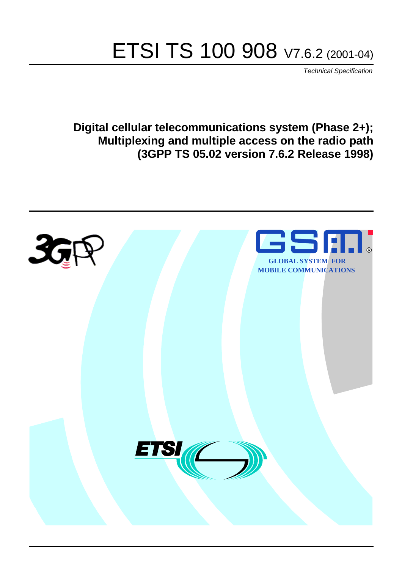# ETSI TS 100 908 V7.6.2 (2001-04)

Technical Specification

**Digital cellular telecommunications system (Phase 2+); Multiplexing and multiple access on the radio path (3GPP TS 05.02 version 7.6.2 Release 1998)**

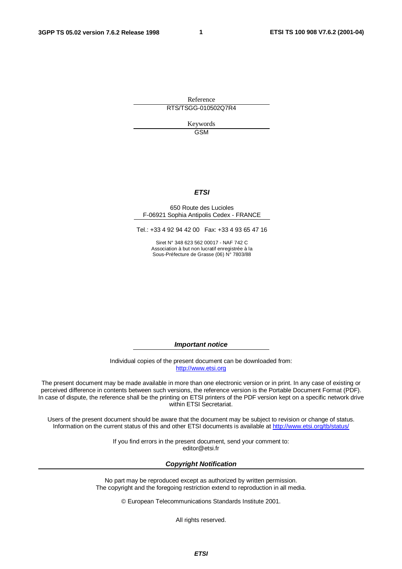**1**

Reference RTS/TSGG-010502Q7R4

> Keywords GSM

#### **ETSI**

#### 650 Route des Lucioles F-06921 Sophia Antipolis Cedex - FRANCE

Tel.: +33 4 92 94 42 00 Fax: +33 4 93 65 47 16

Siret N° 348 623 562 00017 - NAF 742 C Association à but non lucratif enregistrée à la Sous-Préfecture de Grasse (06) N° 7803/88

**Important notice**

Individual copies of the present document can be downloaded from: [http://www.etsi.org](http://www.etsi.org/)

The present document may be made available in more than one electronic version or in print. In any case of existing or perceived difference in contents between such versions, the reference version is the Portable Document Format (PDF). In case of dispute, the reference shall be the printing on ETSI printers of the PDF version kept on a specific network drive within ETSI Secretariat.

Users of the present document should be aware that the document may be subject to revision or change of status. Information on the current status of this and other ETSI documents is available at [http://www.etsi.org/tb/status/](http://www.etsi.org/tb/status)

> If you find errors in the present document, send your comment to: <editor@etsi.fr>

#### **Copyright Notification**

No part may be reproduced except as authorized by written permission. The copyright and the foregoing restriction extend to reproduction in all media.

© European Telecommunications Standards Institute 2001.

All rights reserved.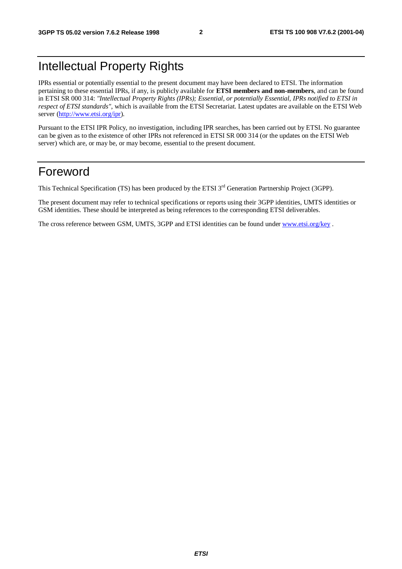# Intellectual Property Rights

IPRs essential or potentially essential to the present document may have been declared to ETSI. The information pertaining to these essential IPRs, if any, is publicly available for **ETSI members and non-members**, and can be found in ETSI SR 000 314: *"Intellectual Property Rights (IPRs); Essential, or potentially Essential, IPRs notified to ETSI in respect of ETSI standards"*, which is available from the ETSI Secretariat. Latest updates are available on the ETSI Web server [\(http://www.etsi.org/ipr](http://www.etsi.org/ipr)).

Pursuant to the ETSI IPR Policy, no investigation, including IPR searches, has been carried out by ETSI. No guarantee can be given as to the existence of other IPRs not referenced in ETSI SR 000 314 (or the updates on the ETSI Web server) which are, or may be, or may become, essential to the present document.

## Foreword

This Technical Specification (TS) has been produced by the ETSI 3<sup>rd</sup> Generation Partnership Project (3GPP).

The present document may refer to technical specifications or reports using their 3GPP identities, UMTS identities or GSM identities. These should be interpreted as being references to the corresponding ETSI deliverables.

The cross reference between GSM, UMTS, 3GPP and ETSI identities can be found under [www.etsi.org/key](http://www.etsi.org/key) .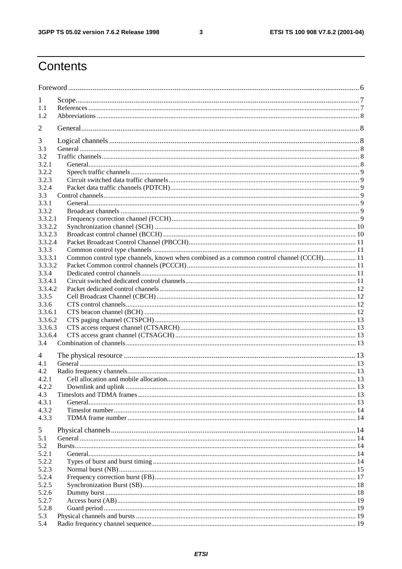$\mathbf{3}$ 

# Contents

| 1                |                                                                                         |  |
|------------------|-----------------------------------------------------------------------------------------|--|
| 1.1              |                                                                                         |  |
| 1.2              |                                                                                         |  |
| 2                |                                                                                         |  |
|                  |                                                                                         |  |
| 3                |                                                                                         |  |
| 3.1              |                                                                                         |  |
| 3.2              |                                                                                         |  |
| 3.2.1            |                                                                                         |  |
| 3.2.2<br>3.2.3   |                                                                                         |  |
| 3.2.4            |                                                                                         |  |
| 3.3              |                                                                                         |  |
| 3.3.1            |                                                                                         |  |
| 3.3.2            |                                                                                         |  |
| 3.3.2.1          |                                                                                         |  |
| 3.3.2.2          |                                                                                         |  |
| 3.3.2.3          |                                                                                         |  |
| 3.3.2.4          |                                                                                         |  |
| 3.3.3            |                                                                                         |  |
| 3.3.3.1          | Common control type channels, known when combined as a common control channel (CCCH) 11 |  |
| 3.3.3.2<br>3.3.4 |                                                                                         |  |
| 3.3.4.1          |                                                                                         |  |
| 3.3.4.2          |                                                                                         |  |
| 3.3.5            |                                                                                         |  |
| 3.3.6            |                                                                                         |  |
| 3.3.6.1          |                                                                                         |  |
| 3.3.6.2          |                                                                                         |  |
| 3.3.6.3          |                                                                                         |  |
| 3.3.6.4          |                                                                                         |  |
| 3.4              |                                                                                         |  |
| 4                |                                                                                         |  |
| 4.1              |                                                                                         |  |
| 4.2              |                                                                                         |  |
| 4.2.1            |                                                                                         |  |
| 4.2.2            |                                                                                         |  |
| 4.3              |                                                                                         |  |
| 4.3.1<br>4.3.2   |                                                                                         |  |
| 4.3.3            |                                                                                         |  |
|                  |                                                                                         |  |
| 5                |                                                                                         |  |
| 5.1              |                                                                                         |  |
| 5.2<br>5.2.1     |                                                                                         |  |
| 5.2.2            |                                                                                         |  |
| 5.2.3            |                                                                                         |  |
| 5.2.4            |                                                                                         |  |
| 5.2.5            |                                                                                         |  |
| 5.2.6            |                                                                                         |  |
| 5.2.7            |                                                                                         |  |
| 5.2.8            |                                                                                         |  |
| 5.3              |                                                                                         |  |
| 5.4              |                                                                                         |  |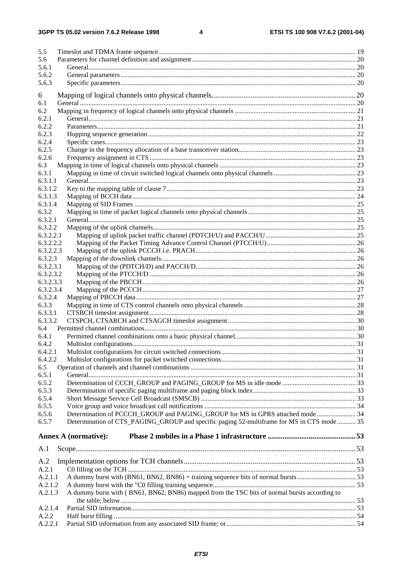$\overline{\mathbf{4}}$ 

| 5.5              |                                                                                              |  |
|------------------|----------------------------------------------------------------------------------------------|--|
| 5.6              |                                                                                              |  |
| 5.6.1            |                                                                                              |  |
| 5.6.2            |                                                                                              |  |
| 5.6.3            |                                                                                              |  |
| 6                |                                                                                              |  |
| 6.1              |                                                                                              |  |
| 6.2              |                                                                                              |  |
| 6.2.1            |                                                                                              |  |
| 6.2.2            |                                                                                              |  |
| 6.2.3            |                                                                                              |  |
| 6.2.4            |                                                                                              |  |
| 6.2.5            |                                                                                              |  |
| 6.2.6            |                                                                                              |  |
| 6.3              |                                                                                              |  |
| 6.3.1<br>6.3.1.1 |                                                                                              |  |
| 6.3.1.2          |                                                                                              |  |
| 6.3.1.3          |                                                                                              |  |
| 6.3.1.4          |                                                                                              |  |
| 6.3.2            |                                                                                              |  |
| 6.3.2.1          |                                                                                              |  |
| 6.3.2.2          |                                                                                              |  |
| 6.3.2.2.1        |                                                                                              |  |
| 6.3.2.2.2        |                                                                                              |  |
| 6.3.2.2.3        |                                                                                              |  |
| 6.3.2.3          |                                                                                              |  |
| 6.3.2.3.1        |                                                                                              |  |
| 6.3.2.3.2        |                                                                                              |  |
| 6.3.2.3.3        |                                                                                              |  |
| 6.3.2.3.4        |                                                                                              |  |
| 6.3.2.4          |                                                                                              |  |
| 6.3.3<br>6.3.3.1 |                                                                                              |  |
| 6.3.3.2          |                                                                                              |  |
| 6.4              |                                                                                              |  |
| 6.4.1            |                                                                                              |  |
| 6.4.2            |                                                                                              |  |
| 6.4.2.1          |                                                                                              |  |
| 6.4.2.2          |                                                                                              |  |
| 6.5              |                                                                                              |  |
| 6.5.1            |                                                                                              |  |
| 6.5.2            |                                                                                              |  |
| 6.5.3            |                                                                                              |  |
| 6.5.4            |                                                                                              |  |
| 6.5.5            |                                                                                              |  |
| 6.5.6            | Determination of PCCCH_GROUP and PAGING_GROUP for MS in GPRS attached mode 34                |  |
| 6.5.7            | Determination of CTS_PAGING_GROUP and specific paging 52-multiframe for MS in CTS mode 35    |  |
|                  | <b>Annex A (normative):</b>                                                                  |  |
|                  |                                                                                              |  |
| A.1              |                                                                                              |  |
| A.2              |                                                                                              |  |
| A.2.1            |                                                                                              |  |
| A.2.1.1          |                                                                                              |  |
| A.2.1.2          |                                                                                              |  |
| A.2.1.3          | A dummy burst with (BN61, BN62, BN86) mapped from the TSC bits of normal bursts according to |  |
|                  |                                                                                              |  |
| A.2.1.4          |                                                                                              |  |
| A.2.2            |                                                                                              |  |
| A.2.2.1          |                                                                                              |  |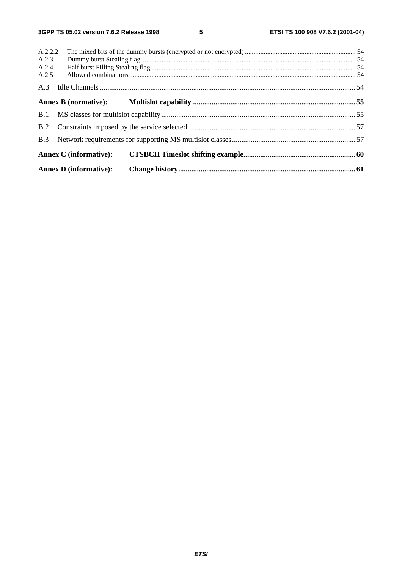$\overline{\mathbf{5}}$ 

|                | <b>Annex D</b> (informative): |  |  |
|----------------|-------------------------------|--|--|
|                | Annex C (informative):        |  |  |
| B.3            |                               |  |  |
| B.2            |                               |  |  |
|                |                               |  |  |
|                |                               |  |  |
| A.3            |                               |  |  |
| A.2.4<br>A.2.5 |                               |  |  |
| A.2.3          |                               |  |  |
| A.2.2.2        |                               |  |  |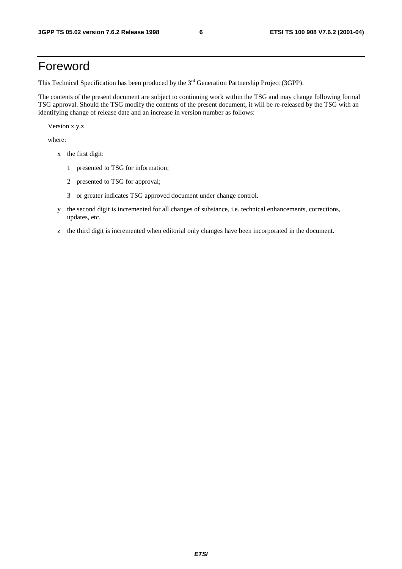## Foreword

This Technical Specification has been produced by the 3<sup>rd</sup> Generation Partnership Project (3GPP).

The contents of the present document are subject to continuing work within the TSG and may change following formal TSG approval. Should the TSG modify the contents of the present document, it will be re-released by the TSG with an identifying change of release date and an increase in version number as follows:

Version x.y.z

where:

- x the first digit:
	- 1 presented to TSG for information;
	- 2 presented to TSG for approval;
	- 3 or greater indicates TSG approved document under change control.
- y the second digit is incremented for all changes of substance, i.e. technical enhancements, corrections, updates, etc.
- z the third digit is incremented when editorial only changes have been incorporated in the document.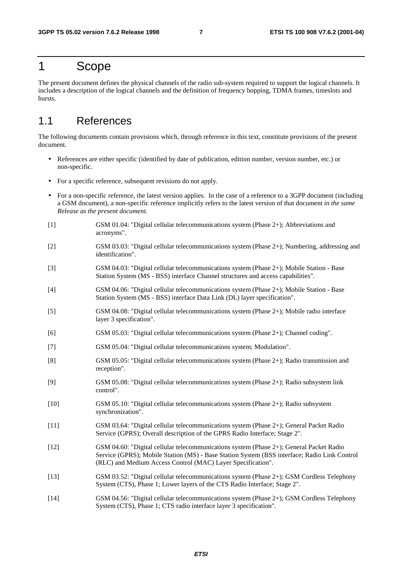### 1 Scope

The present document defines the physical channels of the radio sub-system required to support the logical channels. It includes a description of the logical channels and the definition of frequency hopping, TDMA frames, timeslots and bursts.

### 1.1 References

The following documents contain provisions which, through reference in this text, constitute provisions of the present document.

- References are either specific (identified by date of publication, edition number, version number, etc.) or non-specific.
- For a specific reference, subsequent revisions do not apply.
- For a non-specific reference, the latest version applies. In the case of a reference to a 3GPP document (including a GSM document), a non-specific reference implicitly refers to the latest version of that document *in the same Release as the present document*.
- [1] GSM 01.04: "Digital cellular telecommunications system (Phase 2+); Abbreviations and acronyms".
- [2] GSM 03.03: "Digital cellular telecommunications system (Phase 2+); Numbering, addressing and identification".
- [3] GSM 04.03: "Digital cellular telecommunications system (Phase 2+); Mobile Station Base Station System (MS - BSS) interface Channel structures and access capabilities".
- [4] GSM 04.06: "Digital cellular telecommunications system (Phase 2+); Mobile Station Base Station System (MS - BSS) interface Data Link (DL) layer specification".
- [5] GSM 04.08: "Digital cellular telecommunications system (Phase 2+); Mobile radio interface layer 3 specification".
- [6] GSM 05.03: "Digital cellular telecommunications system (Phase 2+); Channel coding".
- [7] GSM 05.04: "Digital cellular telecommunications system; Modulation".
- [8] GSM 05.05: "Digital cellular telecommunications system (Phase 2+); Radio transmission and reception".
- [9] GSM 05.08: "Digital cellular telecommunications system (Phase 2+); Radio subsystem link control".
- [10] GSM 05.10: "Digital cellular telecommunications system (Phase 2+); Radio subsystem synchronization".
- [11] GSM 03.64: "Digital cellular telecommunications system (Phase 2+); General Packet Radio Service (GPRS); Overall description of the GPRS Radio Interface; Stage 2".
- [12] GSM 04.60: "Digital cellular telecommunications system (Phase 2+); General Packet Radio Service (GPRS); Mobile Station (MS) - Base Station System (BSS interface; Radio Link Control (RLC) and Medium Access Control (MAC) Layer Specification".
- [13] GSM 03.52: "Digital cellular telecommunications system (Phase 2+); GSM Cordless Telephony System (CTS), Phase 1; Lower layers of the CTS Radio Interface; Stage 2".
- [14] GSM 04.56: "Digital cellular telecommunications system (Phase 2+); GSM Cordless Telephony System (CTS), Phase 1; CTS radio interface layer 3 specification".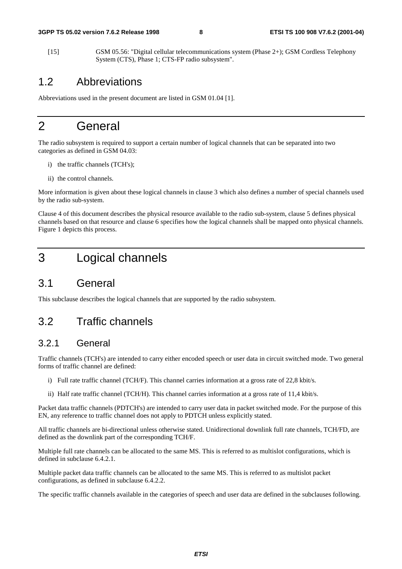[15] GSM 05.56: "Digital cellular telecommunications system (Phase 2+); GSM Cordless Telephony System (CTS), Phase 1; CTS-FP radio subsystem".

### 1.2 Abbreviations

Abbreviations used in the present document are listed in GSM 01.04 [1].

### 2 General

The radio subsystem is required to support a certain number of logical channels that can be separated into two categories as defined in GSM 04.03:

- i) the traffic channels (TCH's);
- ii) the control channels.

More information is given about these logical channels in clause 3 which also defines a number of special channels used by the radio sub-system.

Clause 4 of this document describes the physical resource available to the radio sub-system, clause 5 defines physical channels based on that resource and clause 6 specifies how the logical channels shall be mapped onto physical channels. Figure 1 depicts this process.

## 3 Logical channels

### 3.1 General

This subclause describes the logical channels that are supported by the radio subsystem.

### 3.2 Traffic channels

#### 3.2.1 General

Traffic channels (TCH's) are intended to carry either encoded speech or user data in circuit switched mode. Two general forms of traffic channel are defined:

- i) Full rate traffic channel (TCH/F). This channel carries information at a gross rate of 22,8 kbit/s.
- ii) Half rate traffic channel (TCH/H). This channel carries information at a gross rate of 11,4 kbit/s.

Packet data traffic channels (PDTCH's) are intended to carry user data in packet switched mode. For the purpose of this EN, any reference to traffic channel does not apply to PDTCH unless explicitly stated.

All traffic channels are bi-directional unless otherwise stated. Unidirectional downlink full rate channels, TCH/FD, are defined as the downlink part of the corresponding TCH/F.

Multiple full rate channels can be allocated to the same MS. This is referred to as multislot configurations, which is defined in subclause 6.4.2.1.

Multiple packet data traffic channels can be allocated to the same MS. This is referred to as multislot packet configurations, as defined in subclause 6.4.2.2.

The specific traffic channels available in the categories of speech and user data are defined in the subclauses following.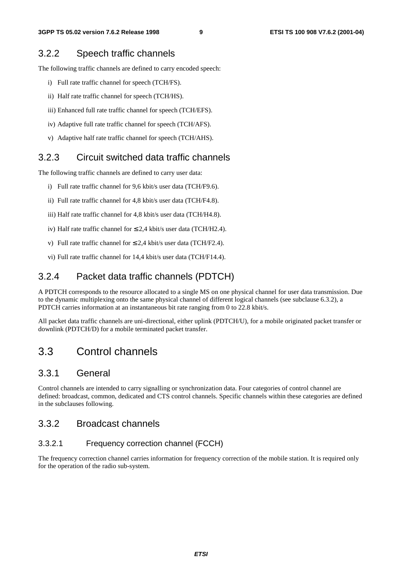### 3.2.2 Speech traffic channels

The following traffic channels are defined to carry encoded speech:

- i) Full rate traffic channel for speech (TCH/FS).
- ii) Half rate traffic channel for speech (TCH/HS).
- iii) Enhanced full rate traffic channel for speech (TCH/EFS).
- iv) Adaptive full rate traffic channel for speech (TCH/AFS).
- v) Adaptive half rate traffic channel for speech (TCH/AHS).

### 3.2.3 Circuit switched data traffic channels

The following traffic channels are defined to carry user data:

- i) Full rate traffic channel for 9,6 kbit/s user data (TCH/F9.6).
- ii) Full rate traffic channel for 4,8 kbit/s user data (TCH/F4.8).
- iii) Half rate traffic channel for 4,8 kbit/s user data (TCH/H4.8).
- iv) Half rate traffic channel for  $\leq 2.4$  kbit/s user data (TCH/H2.4).
- v) Full rate traffic channel for  $\leq 2.4$  kbit/s user data (TCH/F2.4).
- vi) Full rate traffic channel for 14,4 kbit/s user data (TCH/F14.4).

### 3.2.4 Packet data traffic channels (PDTCH)

A PDTCH corresponds to the resource allocated to a single MS on one physical channel for user data transmission. Due to the dynamic multiplexing onto the same physical channel of different logical channels (see subclause 6.3.2), a PDTCH carries information at an instantaneous bit rate ranging from 0 to 22.8 kbit/s.

All packet data traffic channels are uni-directional, either uplink (PDTCH/U), for a mobile originated packet transfer or downlink (PDTCH/D) for a mobile terminated packet transfer.

### 3.3 Control channels

#### 3.3.1 General

Control channels are intended to carry signalling or synchronization data. Four categories of control channel are defined: broadcast, common, dedicated and CTS control channels. Specific channels within these categories are defined in the subclauses following.

### 3.3.2 Broadcast channels

#### 3.3.2.1 Frequency correction channel (FCCH)

The frequency correction channel carries information for frequency correction of the mobile station. It is required only for the operation of the radio sub-system.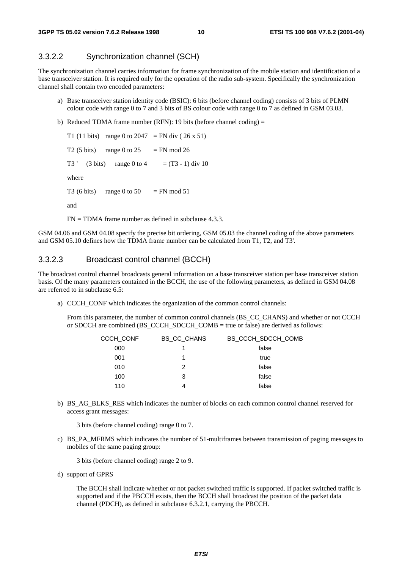#### 3.3.2.2 Synchronization channel (SCH)

The synchronization channel carries information for frame synchronization of the mobile station and identification of a base transceiver station. It is required only for the operation of the radio sub-system. Specifically the synchronization channel shall contain two encoded parameters:

- a) Base transceiver station identity code (BSIC): 6 bits (before channel coding) consists of 3 bits of PLMN colour code with range 0 to 7 and 3 bits of BS colour code with range 0 to 7 as defined in GSM 03.03.
- b) Reduced TDMA frame number (RFN): 19 bits (before channel coding)  $=$

T1 (11 bits) range 0 to 2047 = FN div (26 x 51) T2 (5 bits) range 0 to 25 = FN mod 26 T3 ' (3 bits) range 0 to 4 =  $(T3 - 1)$  div 10 where T3 (6 bits) range 0 to 50 = FN mod 51 and  $FN = TDMA$  frame number as defined in subclause 4.3.3.

GSM 04.06 and GSM 04.08 specify the precise bit ordering, GSM 05.03 the channel coding of the above parameters and GSM 05.10 defines how the TDMA frame number can be calculated from T1, T2, and T3'.

#### 3.3.2.3 Broadcast control channel (BCCH)

The broadcast control channel broadcasts general information on a base transceiver station per base transceiver station basis. Of the many parameters contained in the BCCH, the use of the following parameters, as defined in GSM 04.08 are referred to in subclause 6.5:

a) CCCH\_CONF which indicates the organization of the common control channels:

From this parameter, the number of common control channels (BS\_CC\_CHANS) and whether or not CCCH or SDCCH are combined (BS\_CCCH\_SDCCH\_COMB = true or false) are derived as follows:

| <b>CCCH CONF</b> | <b>BS CC CHANS</b> | BS_CCCH_SDCCH_COMB |
|------------------|--------------------|--------------------|
| 000              |                    | false              |
| 001              | 1                  | true               |
| 010              | 2                  | false              |
| 100              | 3                  | false              |
| 110              | 4                  | false              |
|                  |                    |                    |

b) BS\_AG\_BLKS\_RES which indicates the number of blocks on each common control channel reserved for access grant messages:

3 bits (before channel coding) range 0 to 7.

c) BS\_PA\_MFRMS which indicates the number of 51-multiframes between transmission of paging messages to mobiles of the same paging group:

3 bits (before channel coding) range 2 to 9.

d) support of GPRS

The BCCH shall indicate whether or not packet switched traffic is supported. If packet switched traffic is supported and if the PBCCH exists, then the BCCH shall broadcast the position of the packet data channel (PDCH), as defined in subclause 6.3.2.1, carrying the PBCCH.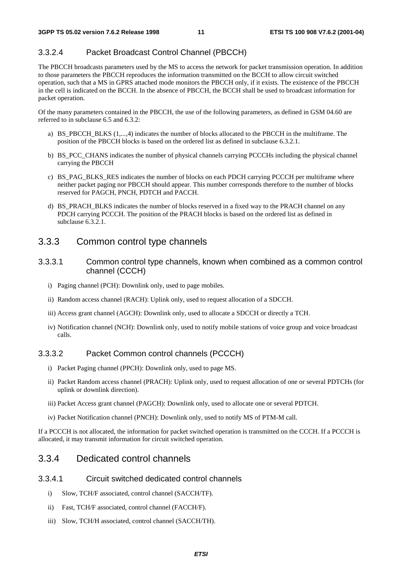#### 3.3.2.4 Packet Broadcast Control Channel (PBCCH)

The PBCCH broadcasts parameters used by the MS to access the network for packet transmission operation. In addition to those parameters the PBCCH reproduces the information transmitted on the BCCH to allow circuit switched operation, such that a MS in GPRS attached mode monitors the PBCCH only, if it exists. The existence of the PBCCH in the cell is indicated on the BCCH. In the absence of PBCCH, the BCCH shall be used to broadcast information for packet operation.

Of the many parameters contained in the PBCCH, the use of the following parameters, as defined in GSM 04.60 are referred to in subclause 6.5 and 6.3.2:

- a) BS\_PBCCH\_BLKS (1,...,4) indicates the number of blocks allocated to the PBCCH in the multiframe. The position of the PBCCH blocks is based on the ordered list as defined in subclause 6.3.2.1.
- b) BS\_PCC\_CHANS indicates the number of physical channels carrying PCCCHs including the physical channel carrying the PBCCH
- c) BS\_PAG\_BLKS\_RES indicates the number of blocks on each PDCH carrying PCCCH per multiframe where neither packet paging nor PBCCH should appear. This number corresponds therefore to the number of blocks reserved for PAGCH, PNCH, PDTCH and PACCH.
- d) BS\_PRACH\_BLKS indicates the number of blocks reserved in a fixed way to the PRACH channel on any PDCH carrying PCCCH. The position of the PRACH blocks is based on the ordered list as defined in subclause 6.3.2.1.

#### 3.3.3 Common control type channels

- 3.3.3.1 Common control type channels, known when combined as a common control channel (CCCH)
	- i) Paging channel (PCH): Downlink only, used to page mobiles.
	- ii) Random access channel (RACH): Uplink only, used to request allocation of a SDCCH.
	- iii) Access grant channel (AGCH): Downlink only, used to allocate a SDCCH or directly a TCH.
	- iv) Notification channel (NCH): Downlink only, used to notify mobile stations of voice group and voice broadcast calls.

#### 3.3.3.2 Packet Common control channels (PCCCH)

- i) Packet Paging channel (PPCH): Downlink only, used to page MS.
- ii) Packet Random access channel (PRACH): Uplink only, used to request allocation of one or several PDTCHs (for uplink or downlink direction).
- iii) Packet Access grant channel (PAGCH): Downlink only, used to allocate one or several PDTCH.
- iv) Packet Notification channel (PNCH): Downlink only, used to notify MS of PTM-M call.

If a PCCCH is not allocated, the information for packet switched operation is transmitted on the CCCH. If a PCCCH is allocated, it may transmit information for circuit switched operation.

#### 3.3.4 Dedicated control channels

#### 3.3.4.1 Circuit switched dedicated control channels

- i) Slow, TCH/F associated, control channel (SACCH/TF).
- ii) Fast, TCH/F associated, control channel (FACCH/F).
- iii) Slow, TCH/H associated, control channel (SACCH/TH).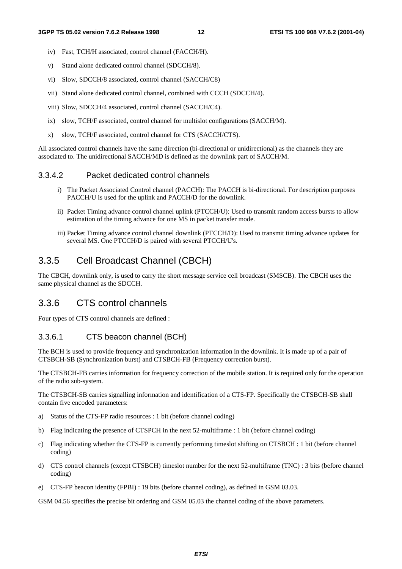- iv) Fast, TCH/H associated, control channel (FACCH/H).
- v) Stand alone dedicated control channel (SDCCH/8).
- vi) Slow, SDCCH/8 associated, control channel (SACCH/C8)
- vii) Stand alone dedicated control channel, combined with CCCH (SDCCH/4).
- viii) Slow, SDCCH/4 associated, control channel (SACCH/C4).
- ix) slow, TCH/F associated, control channel for multislot configurations (SACCH/M).
- x) slow, TCH/F associated, control channel for CTS (SACCH/CTS).

All associated control channels have the same direction (bi-directional or unidirectional) as the channels they are associated to. The unidirectional SACCH/MD is defined as the downlink part of SACCH/M.

#### 3.3.4.2 Packet dedicated control channels

- i) The Packet Associated Control channel (PACCH): The PACCH is bi-directional. For description purposes PACCH/U is used for the uplink and PACCH/D for the downlink.
- ii) Packet Timing advance control channel uplink (PTCCH/U): Used to transmit random access bursts to allow estimation of the timing advance for one MS in packet transfer mode.
- iii) Packet Timing advance control channel downlink (PTCCH/D): Used to transmit timing advance updates for several MS. One PTCCH/D is paired with several PTCCH/U's.

### 3.3.5 Cell Broadcast Channel (CBCH)

The CBCH, downlink only, is used to carry the short message service cell broadcast (SMSCB). The CBCH uses the same physical channel as the SDCCH.

### 3.3.6 CTS control channels

Four types of CTS control channels are defined :

#### 3.3.6.1 CTS beacon channel (BCH)

The BCH is used to provide frequency and synchronization information in the downlink. It is made up of a pair of CTSBCH-SB (Synchronization burst) and CTSBCH-FB (Frequency correction burst).

The CTSBCH-FB carries information for frequency correction of the mobile station. It is required only for the operation of the radio sub-system.

The CTSBCH-SB carries signalling information and identification of a CTS-FP. Specifically the CTSBCH-SB shall contain five encoded parameters:

- a) Status of the CTS-FP radio resources : 1 bit (before channel coding)
- b) Flag indicating the presence of CTSPCH in the next 52-multiframe : 1 bit (before channel coding)
- c) Flag indicating whether the CTS-FP is currently performing timeslot shifting on CTSBCH : 1 bit (before channel coding)
- d) CTS control channels (except CTSBCH) timeslot number for the next 52-multiframe (TNC) : 3 bits (before channel coding)
- e) CTS-FP beacon identity (FPBI) : 19 bits (before channel coding), as defined in GSM 03.03.

GSM 04.56 specifies the precise bit ordering and GSM 05.03 the channel coding of the above parameters.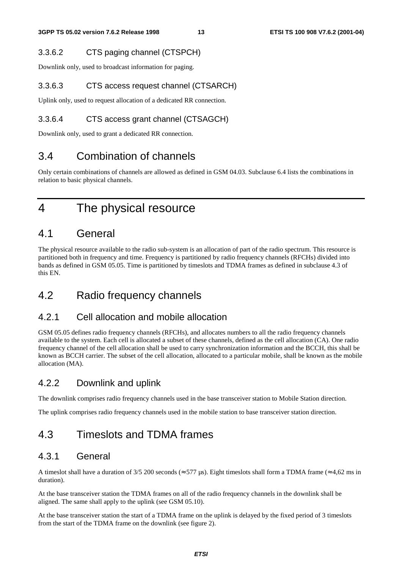#### 3.3.6.2 CTS paging channel (CTSPCH)

Downlink only, used to broadcast information for paging.

#### 3.3.6.3 CTS access request channel (CTSARCH)

Uplink only, used to request allocation of a dedicated RR connection.

### 3.3.6.4 CTS access grant channel (CTSAGCH)

Downlink only, used to grant a dedicated RR connection.

### 3.4 Combination of channels

Only certain combinations of channels are allowed as defined in GSM 04.03. Subclause 6.4 lists the combinations in relation to basic physical channels.

4 The physical resource

### 4.1 General

The physical resource available to the radio sub-system is an allocation of part of the radio spectrum. This resource is partitioned both in frequency and time. Frequency is partitioned by radio frequency channels (RFCHs) divided into bands as defined in GSM 05.05. Time is partitioned by timeslots and TDMA frames as defined in subclause 4.3 of this EN.

### 4.2 Radio frequency channels

### 4.2.1 Cell allocation and mobile allocation

GSM 05.05 defines radio frequency channels (RFCHs), and allocates numbers to all the radio frequency channels available to the system. Each cell is allocated a subset of these channels, defined as the cell allocation (CA). One radio frequency channel of the cell allocation shall be used to carry synchronization information and the BCCH, this shall be known as BCCH carrier. The subset of the cell allocation, allocated to a particular mobile, shall be known as the mobile allocation (MA).

### 4.2.2 Downlink and uplink

The downlink comprises radio frequency channels used in the base transceiver station to Mobile Station direction.

The uplink comprises radio frequency channels used in the mobile station to base transceiver station direction.

### 4.3 Timeslots and TDMA frames

### 4.3.1 General

A timeslot shall have a duration of 3/5 200 seconds ( $\approx$  577 µs). Eight timeslots shall form a TDMA frame ( $\approx$  4,62 ms in duration).

At the base transceiver station the TDMA frames on all of the radio frequency channels in the downlink shall be aligned. The same shall apply to the uplink (see GSM 05.10).

At the base transceiver station the start of a TDMA frame on the uplink is delayed by the fixed period of 3 timeslots from the start of the TDMA frame on the downlink (see figure 2).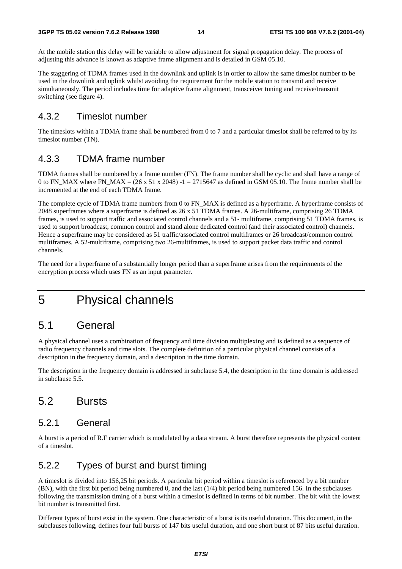At the mobile station this delay will be variable to allow adjustment for signal propagation delay. The process of adjusting this advance is known as adaptive frame alignment and is detailed in GSM 05.10.

The staggering of TDMA frames used in the downlink and uplink is in order to allow the same timeslot number to be used in the downlink and uplink whilst avoiding the requirement for the mobile station to transmit and receive simultaneously. The period includes time for adaptive frame alignment, transceiver tuning and receive/transmit switching (see figure 4).

### 4.3.2 Timeslot number

The timeslots within a TDMA frame shall be numbered from 0 to 7 and a particular timeslot shall be referred to by its timeslot number (TN).

### 4.3.3 TDMA frame number

TDMA frames shall be numbered by a frame number (FN). The frame number shall be cyclic and shall have a range of 0 to FN\_MAX where FN\_MAX =  $(26 \times 51 \times 2048)$  -1 = 2715647 as defined in GSM 05.10. The frame number shall be incremented at the end of each TDMA frame.

The complete cycle of TDMA frame numbers from 0 to FN\_MAX is defined as a hyperframe. A hyperframe consists of 2048 superframes where a superframe is defined as 26 x 51 TDMA frames. A 26-multiframe, comprising 26 TDMA frames, is used to support traffic and associated control channels and a 51- multiframe, comprising 51 TDMA frames, is used to support broadcast, common control and stand alone dedicated control (and their associated control) channels. Hence a superframe may be considered as 51 traffic/associated control multiframes or 26 broadcast/common control multiframes. A 52-multiframe, comprising two 26-multiframes, is used to support packet data traffic and control channels.

The need for a hyperframe of a substantially longer period than a superframe arises from the requirements of the encryption process which uses FN as an input parameter.

# 5 Physical channels

### 5.1 General

A physical channel uses a combination of frequency and time division multiplexing and is defined as a sequence of radio frequency channels and time slots. The complete definition of a particular physical channel consists of a description in the frequency domain, and a description in the time domain.

The description in the frequency domain is addressed in subclause 5.4, the description in the time domain is addressed in subclause 5.5.

### 5.2 Bursts

#### 5.2.1 General

A burst is a period of R.F carrier which is modulated by a data stream. A burst therefore represents the physical content of a timeslot.

### 5.2.2 Types of burst and burst timing

A timeslot is divided into 156,25 bit periods. A particular bit period within a timeslot is referenced by a bit number (BN), with the first bit period being numbered 0, and the last (1/4) bit period being numbered 156. In the subclauses following the transmission timing of a burst within a timeslot is defined in terms of bit number. The bit with the lowest bit number is transmitted first.

Different types of burst exist in the system. One characteristic of a burst is its useful duration. This document, in the subclauses following, defines four full bursts of 147 bits useful duration, and one short burst of 87 bits useful duration.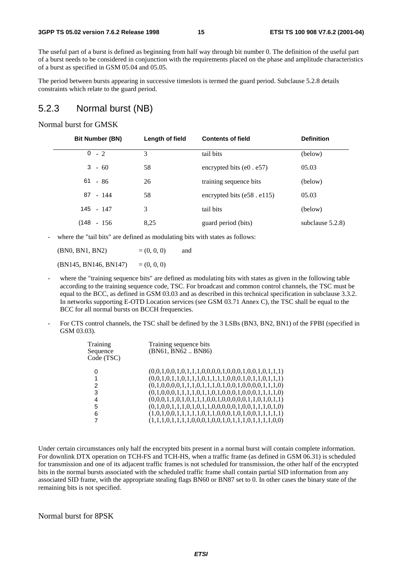The useful part of a burst is defined as beginning from half way through bit number 0. The definition of the useful part of a burst needs to be considered in conjunction with the requirements placed on the phase and amplitude characteristics of a burst as specified in GSM 05.04 and 05.05.

The period between bursts appearing in successive timeslots is termed the guard period. Subclause 5.2.8 details constraints which relate to the guard period.

### 5.2.3 Normal burst (NB)

#### Normal burst for GMSK

| <b>Bit Number (BN)</b> | Length of field | <b>Contents of field</b>          | <b>Definition</b>   |
|------------------------|-----------------|-----------------------------------|---------------------|
| $0 - 2$                | 3               | tail bits                         | (below)             |
| $3 - 60$               | 58              | encrypted bits $(e0 \cdot e57)$   | 05.03               |
| $61 - 86$              | 26              | training sequence bits            | (below)             |
| 87 - 144               | 58              | encrypted bits $(e58 \cdot e115)$ | 05.03               |
| 145 - 147              | 3               | tail bits                         | (below)             |
| $(148 - 156)$          | 8,25            | guard period (bits)               | subclause $5.2.8$ ) |

where the "tail bits" are defined as modulating bits with states as follows:

 $(BN0, BN1, BN2)$  =  $(0, 0, 0)$  and  $(BN145, BN146, BN147) = (0, 0, 0)$ 

- where the "training sequence bits" are defined as modulating bits with states as given in the following table according to the training sequence code, TSC. For broadcast and common control channels, the TSC must be equal to the BCC, as defined in GSM 03.03 and as described in this technical specification in subclause 3.3.2. In networks supporting E-OTD Location services (see GSM 03.71 Annex C), the TSC shall be equal to the BCC for all normal bursts on BCCH frequencies.
- For CTS control channels, the TSC shall be defined by the 3 LSBs (BN3, BN2, BN1) of the FPBI (specified in GSM 03.03).

| Training sequence bits<br>(BN61, BN62BN86)              |
|---------------------------------------------------------|
| $(0,0,1,0,0,1,0,1,1,1,0,0,0,0,1,0,0,1,0,0,1,0,1,1,1)$   |
| $(0,0,1,0,1,1,0,1,1,1,0,1,1,1,1,0,0,0,1,0,1,1,0,1,1,1)$ |
| $(0,1,0,0,0,0,1,1,1,0,1,1,1,0,1,0,0,1,0,0,0,0,1,1,1,0)$ |
| $(0,1,0,0,0,1,1,1,1,0,1,1,0,1,0,0,0,1,0,0,0,1,1,1,1,0)$ |
| $(0,0,0,1,1,0,1,0,1,1,1,0,0,1,0,0,0,0,0,1,1,0,1,0,1,1)$ |
| $(0,1,0,0,1,1,1,0,1,0,1,1,0,0,0,0,0,1,0,0,1,1,1,0,1,0)$ |
|                                                         |
| $(1,1,1,0,1,1,1,1,0,0,0,1,0,0,1,0,1,1,1,0,1,1,1,1,0,0)$ |
|                                                         |

Under certain circumstances only half the encrypted bits present in a normal burst will contain complete information. For downlink DTX operation on TCH-FS and TCH-HS, when a traffic frame (as defined in GSM 06.31) is scheduled for transmission and one of its adjacent traffic frames is not scheduled for transmission, the other half of the encrypted bits in the normal bursts associated with the scheduled traffic frame shall contain partial SID information from any associated SID frame, with the appropriate stealing flags BN60 or BN87 set to 0. In other cases the binary state of the remaining bits is not specified.

#### Normal burst for 8PSK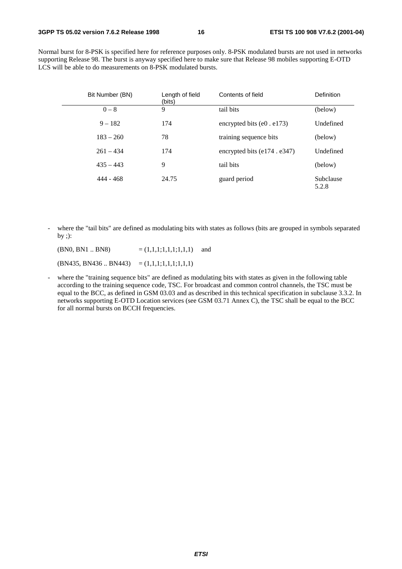Normal burst for 8-PSK is specified here for reference purposes only. 8-PSK modulated bursts are not used in networks supporting Release 98. The burst is anyway specified here to make sure that Release 98 mobiles supporting E-OTD LCS will be able to do measurements on 8-PSK modulated bursts.

| Bit Number (BN) | Length of field<br>(bits) | Contents of field                  | Definition         |
|-----------------|---------------------------|------------------------------------|--------------------|
| $0 - 8$         | 9                         | tail bits                          | (below)            |
| $9 - 182$       | 174                       | encrypted bits $(e0. e173)$        | Undefined          |
| $183 - 260$     | 78                        | training sequence bits             | (below)            |
| $261 - 434$     | 174                       | encrypted bits $(e174 \cdot e347)$ | Undefined          |
| $435 - 443$     | 9                         | tail bits                          | (below)            |
| 444 - 468       | 24.75                     | guard period                       | Subclause<br>5.2.8 |

- where the "tail bits" are defined as modulating bits with states as follows (bits are grouped in symbols separated by ;):

 $(BN0, BN1 \dots BN8)$  =  $(1,1,1,1,1,1,1,1)$  and  $(BN435, BN436.. BN443) = (1,1,1;1,1,1;1,1,1)$ 

- where the "training sequence bits" are defined as modulating bits with states as given in the following table according to the training sequence code, TSC. For broadcast and common control channels, the TSC must be equal to the BCC, as defined in GSM 03.03 and as described in this technical specification in subclause 3.3.2. In networks supporting E-OTD Location services (see GSM 03.71 Annex C), the TSC shall be equal to the BCC for all normal bursts on BCCH frequencies.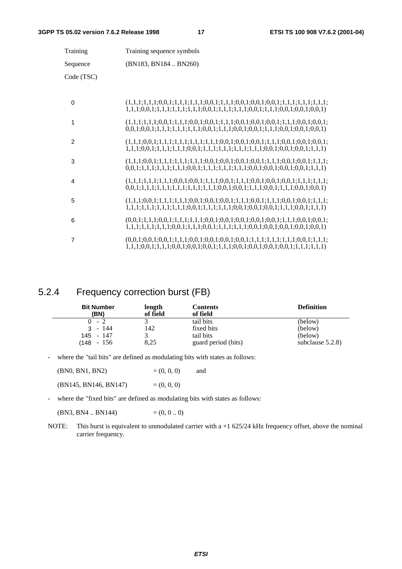| Training       | Training sequence symbols                                                                                                                                                                                         |
|----------------|-------------------------------------------------------------------------------------------------------------------------------------------------------------------------------------------------------------------|
| Sequence       | (BN183, BN184  BN260)                                                                                                                                                                                             |
| Code (TSC)     |                                                                                                                                                                                                                   |
| $\Omega$       |                                                                                                                                                                                                                   |
| 1              | $(1,1,1;1,1,1;0,0,1;1,1,1;0,0,1;0,0,1;1,1,1;0,0,1;0,0,1;0,0,1;1,1,1;0,0,1;0,0,1;$<br>$0,0,1;0,0,1;1,1,1;1,1,1,1,1,1,0,0,1;1,1,1;0,0,1;0,0,1;1,1,1;0,0,1;0,0,1;0,0,1)$                                             |
| 2              |                                                                                                                                                                                                                   |
| 3              | $(1,1,1,0,0,1;1,1,1,1,1,1,1,1,1,1,0,0,1;0,0,1;0,0,1;1,1,1,1;0,0,1;0,0,1;1,1,1;$                                                                                                                                   |
| 4              | $0,0,1;1,1,1;1,1,1,1,1,1,1,1,1,1,1,1,1,0,0,1;0,0,1;1,1,1;0,0,1;1,1,1;0,0,1;0,0,1)$                                                                                                                                |
| 5              | $(1,1,1;0,0,1;1,1,1,1,1,1;0,0,1;0,0,1;0,0,1;1,1,1;0,0,1;1,1,1;0,0,1;0,0,1;1,1,1;$<br>$1, 1, 1, 1, 1, 1, 1, 1, 1, 1, 1, 1, 0, 0, 1, 1, 1, 1, 1, 1, 1, 1, 0, 0, 1, 0, 0, 1, 1, 0, 0, 1, 1, 1, 1, 0, 0, 1, 1, 1, 1)$ |
| 6              | $1, 1, 1, 1, 1, 1, 1, 1, 1, 0, 0, 1, 1, 1, 1, 0, 0, 1, 1, 1, 1, 1, 1, 1, 1, 1, 0, 0, 1, 0, 0, 1, 0, 0, 1, 0, 0, 1, 0, 0, 1)$                                                                                      |
| $\overline{7}$ | $1,1,1;0,0,1;1,1,1;0,0,1;0,0,1;0,0,1;1,1,1;0,0,1;0,0,1;0,0,1;0,0,1;1,1,1;1,1,1)$                                                                                                                                  |

### 5.2.4 Frequency correction burst (FB)

| <b>Bit Number</b><br>(BN) | length<br>of field | Contents<br>of field | <b>Definition</b>   |
|---------------------------|--------------------|----------------------|---------------------|
| $0 - 2$                   |                    | tail bits            | (below)             |
| $3 - 144$                 | 142                | fixed bits           | (below)             |
| 145 - 147                 |                    | tail bits            | (below)             |
| $(148 - 156)$             | 8,25               | guard period (bits)  | subclause $5.2.8$ ) |

- where the "tail bits" are defined as modulating bits with states as follows:

| (BN0, BN1, BN2) | $= (0, 0, 0)$ | and |
|-----------------|---------------|-----|
|                 |               |     |

 $(BN145, BN146, BN147) = (0, 0, 0)$ 

- where the "fixed bits" are defined as modulating bits with states as follows:

(BN3, BN4 .. BN144)  $=(0, 0..0)$ 

NOTE: This burst is equivalent to unmodulated carrier with a +1 625/24 kHz frequency offset, above the nominal carrier frequency.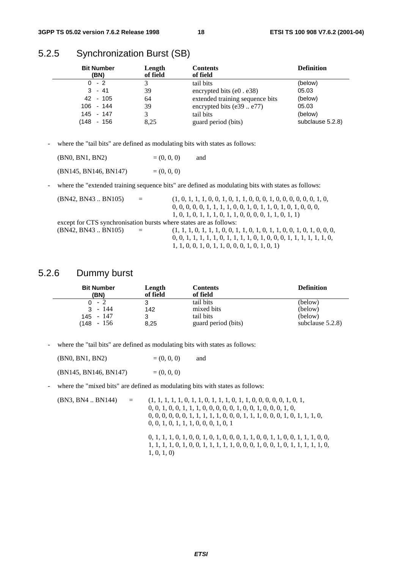### 5.2.5 Synchronization Burst (SB)

| <b>Bit Number</b><br>(BN) | Length<br>of field | <b>Contents</b><br>of field     | <b>Definition</b> |
|---------------------------|--------------------|---------------------------------|-------------------|
| $0 - 2$                   |                    | tail bits                       | (below)           |
| $3 - 41$                  | 39                 | encrypted bits $(e0. e38)$      | 05.03             |
| 42 - 105                  | 64                 | extended training sequence bits | (below)           |
| $106 - 144$               | 39                 | encrypted bits $(e39e77)$       | 05.03             |
| 145 - 147                 | 3                  | tail bits                       | (below)           |
| (148 - 156                | 8.25               | guard period (bits)             | subclause 5.2.8)  |

- where the "tail bits" are defined as modulating bits with states as follows:

| (BN0, BN1, BN2)       | $= (0, 0, 0)$ | and |
|-----------------------|---------------|-----|
| (BN145, BN146, BN147) | $= (0, 0, 0)$ |     |

- where the "extended training sequence bits" are defined as modulating bits with states as follows:

| (BN42, BN43 BN105)                                                 | $\alpha = 1$ | $(1, 0, 1, 1, 1, 0, 0, 1, 0, 1, 1, 0, 0, 0, 1, 0, 0, 0, 0, 0, 1, 0, 0, 1, 0, 0, 1, 0, 1, 0, 1, 0, 1, 0, 1, 0, 1, 0, 1, 0, 1, 0, 1, 0, 1, 0, 1, 0, 1, 0, 1, 0, 1, 0, 1, 0, 1, 0, 1, 0, 1, 0, 1, 0, 1, 0, 1, 0, 1, 0, 1, 0, 1, $ |
|--------------------------------------------------------------------|--------------|--------------------------------------------------------------------------------------------------------------------------------------------------------------------------------------------------------------------------------|
|                                                                    |              | $0, 0, 0, 0, 0, 1, 1, 1, 1, 0, 0, 1, 0, 1, 1, 0, 1, 0, 1, 0, 0, 0,$                                                                                                                                                            |
|                                                                    |              | $1, 0, 1, 0, 1, 1, 1, 0, 1, 1, 0, 0, 0, 0, 1, 1, 0, 1, 1)$                                                                                                                                                                     |
| except for CTS synchronisation bursts where states are as follows: |              |                                                                                                                                                                                                                                |
| (BN42, BN43 BN105)                                                 | $\alpha = 1$ |                                                                                                                                                                                                                                |
|                                                                    |              | $0, 0, 1, 1, 1, 1, 1, 0, 1, 1, 1, 1, 0, 1, 0, 0, 0, 1, 1, 1, 1, 1, 1, 0,$                                                                                                                                                      |
|                                                                    |              | $1, 1, 0, 0, 1, 0, 1, 1, 0, 0, 0, 1, 0, 1, 0, 1)$                                                                                                                                                                              |

### 5.2.6 Dummy burst

| <b>Bit Number</b>                                    | Length                | <b>Contents</b>                                             | <b>Definition</b>                                    |
|------------------------------------------------------|-----------------------|-------------------------------------------------------------|------------------------------------------------------|
| (BN)                                                 | of field              | of field                                                    |                                                      |
| $0 - 2$<br>- 144<br>3<br>$145 - 147$<br>$(148 - 156$ | 3<br>142<br>3<br>8,25 | tail bits<br>mixed bits<br>tail bits<br>guard period (bits) | (below)<br>(below)<br>(below)<br>subclause $5.2.8$ ) |

- where the "tail bits" are defined as modulating bits with states as follows:

| (BN0, BN1, BN2)       | $= (0, 0, 0)$ | and |
|-----------------------|---------------|-----|
| (BN145, BN146, BN147) | $= (0, 0, 0)$ |     |

where the "mixed bits" are defined as modulating bits with states as follows:

(BN3, BN4 .. BN144) = (1, 1, 1, 1, 1, 0, 1, 1, 0, 1, 1, 1, 0, 1, 1, 0, 0, 0, 0, 0, 1, 0, 1, 0, 0, 1, 0, 0, 1, 1, 1, 0, 0, 0, 0, 0, 1, 0, 0, 1, 0, 0, 0, 1, 0, 0, 0, 0, 0, 0, 0, 1, 1, 1, 1, 1, 0, 0, 0, 1, 1, 1, 0, 0, 0, 1, 0, 1, 1, 1, 0, 0, 0, 1, 0, 1, 1, 1, 0, 0, 0, 1, 0, 1

> 0, 1, 1, 1, 0, 1, 0, 0, 1, 0, 1, 0, 0, 0, 1, 1, 0, 0, 1, 1, 0, 0, 1, 1, 1, 0, 0, 1, 1, 1, 1, 0, 1, 0, 0, 1, 1, 1, 1, 1, 0, 0, 0, 1, 0, 0, 1, 0, 1, 1, 1, 1, 1, 0, 1, 0, 1, 0)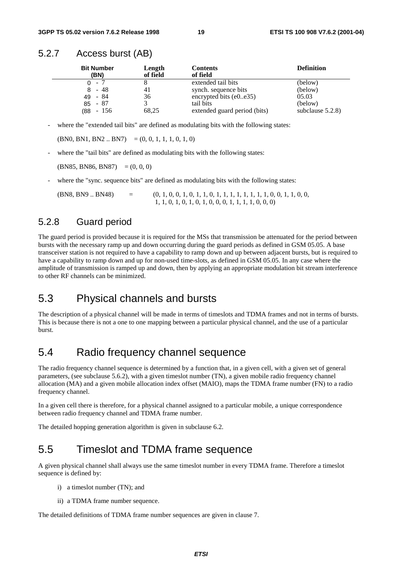#### 5.2.7 Access burst (AB)

| <b>Bit Number</b><br>(BN) | Length<br>of field | <b>Contents</b><br>of field  | <b>Definition</b>   |
|---------------------------|--------------------|------------------------------|---------------------|
| - 7<br>0                  |                    | extended tail bits           | (below)             |
| - 48<br>8                 | 41                 | synch. sequence bits         | (below)             |
| - 84<br>49                | 36                 | encrypted bits $(e0e35)$     | 05.03               |
| $85 - 87$                 |                    | tail bits                    | (below)             |
| $-156$<br>88)             | 68,25              | extended guard period (bits) | subclause $5.2.8$ ) |

where the "extended tail bits" are defined as modulating bits with the following states:

 $(BN0, BN1, BN2.. BN7) = (0, 0, 1, 1, 1, 0, 1, 0)$ 

where the "tail bits" are defined as modulating bits with the following states:

 $(BN85, BN86, BN87) = (0, 0, 0)$ 

where the "sync. sequence bits" are defined as modulating bits with the following states:

 $(BNS, BNS, B48)$  = (0, 1, 0, 0, 1, 0, 1, 1, 0, 1, 1, 1, 1, 1, 1, 1, 1, 0, 0, 1, 1, 0, 0, 1, 1, 0, 0, 1, 1, 0, 0, 1, 1, 0, 0, 1, 1, 0, 0, 1, 1, 0, 0, 1, 1, 0, 0, 1, 1, 0, 0, 1, 1, 0, 0, 1, 1, 0, 0, 1, 1, 0, 0, 1, 1, 0, 0, 1, 1 1, 1, 0, 1, 0, 1, 0, 1, 0, 0, 0, 1, 1, 1, 1, 0, 0, 0)

### 5.2.8 Guard period

The guard period is provided because it is required for the MSs that transmission be attenuated for the period between bursts with the necessary ramp up and down occurring during the guard periods as defined in GSM 05.05. A base transceiver station is not required to have a capability to ramp down and up between adjacent bursts, but is required to have a capability to ramp down and up for non-used time-slots, as defined in GSM 05.05. In any case where the amplitude of transmission is ramped up and down, then by applying an appropriate modulation bit stream interference to other RF channels can be minimized.

### 5.3 Physical channels and bursts

The description of a physical channel will be made in terms of timeslots and TDMA frames and not in terms of bursts. This is because there is not a one to one mapping between a particular physical channel, and the use of a particular burst.

### 5.4 Radio frequency channel sequence

The radio frequency channel sequence is determined by a function that, in a given cell, with a given set of general parameters, (see subclause 5.6.2), with a given timeslot number (TN), a given mobile radio frequency channel allocation (MA) and a given mobile allocation index offset (MAIO), maps the TDMA frame number (FN) to a radio frequency channel.

In a given cell there is therefore, for a physical channel assigned to a particular mobile, a unique correspondence between radio frequency channel and TDMA frame number.

The detailed hopping generation algorithm is given in subclause 6.2.

### 5.5 Timeslot and TDMA frame sequence

A given physical channel shall always use the same timeslot number in every TDMA frame. Therefore a timeslot sequence is defined by:

- i) a timeslot number (TN); and
- ii) a TDMA frame number sequence.

The detailed definitions of TDMA frame number sequences are given in clause 7.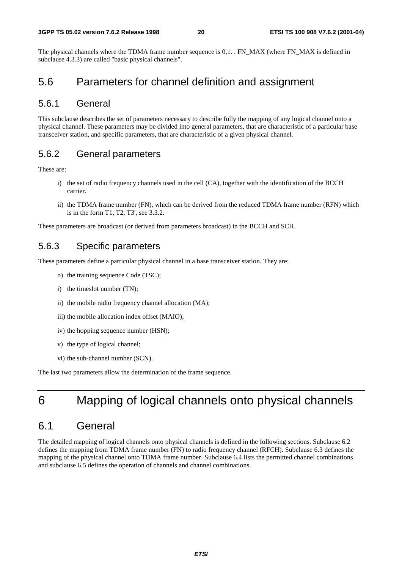The physical channels where the TDMA frame number sequence is 0,1. . FN\_MAX (where FN\_MAX is defined in subclause 4.3.3) are called "basic physical channels".

### 5.6 Parameters for channel definition and assignment

#### 5.6.1 General

This subclause describes the set of parameters necessary to describe fully the mapping of any logical channel onto a physical channel. These parameters may be divided into general parameters, that are characteristic of a particular base transceiver station, and specific parameters, that are characteristic of a given physical channel.

#### 5.6.2 General parameters

These are:

- i) the set of radio frequency channels used in the cell (CA), together with the identification of the BCCH carrier.
- ii) the TDMA frame number (FN), which can be derived from the reduced TDMA frame number (RFN) which is in the form T1, T2, T3', see 3.3.2.

These parameters are broadcast (or derived from parameters broadcast) in the BCCH and SCH.

#### 5.6.3 Specific parameters

These parameters define a particular physical channel in a base transceiver station. They are:

- o) the training sequence Code (TSC);
- i) the timeslot number (TN);
- ii) the mobile radio frequency channel allocation (MA);
- iii) the mobile allocation index offset (MAIO);
- iv) the hopping sequence number (HSN);
- v) the type of logical channel;
- vi) the sub-channel number (SCN).

The last two parameters allow the determination of the frame sequence.

# 6 Mapping of logical channels onto physical channels

### 6.1 General

The detailed mapping of logical channels onto physical channels is defined in the following sections. Subclause 6.2 defines the mapping from TDMA frame number (FN) to radio frequency channel (RFCH). Subclause 6.3 defines the mapping of the physical channel onto TDMA frame number. Subclause 6.4 lists the permitted channel combinations and subclause 6.5 defines the operation of channels and channel combinations.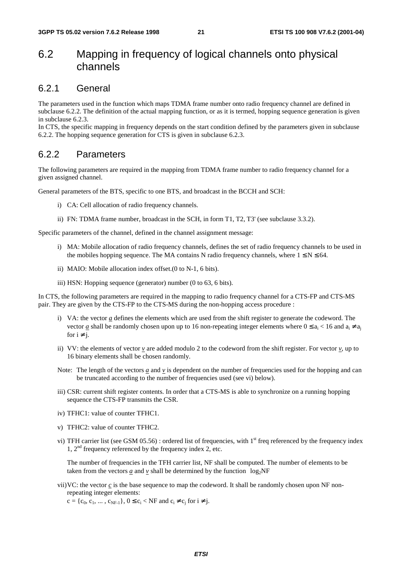### 6.2 Mapping in frequency of logical channels onto physical channels

#### 6.2.1 General

The parameters used in the function which maps TDMA frame number onto radio frequency channel are defined in subclause 6.2.2. The definition of the actual mapping function, or as it is termed, hopping sequence generation is given in subclause 6.2.3.

In CTS, the specific mapping in frequency depends on the start condition defined by the parameters given in subclause 6.2.2. The hopping sequence generation for CTS is given in subclause 6.2.3.

#### 6.2.2 Parameters

The following parameters are required in the mapping from TDMA frame number to radio frequency channel for a given assigned channel.

General parameters of the BTS, specific to one BTS, and broadcast in the BCCH and SCH:

- i) CA: Cell allocation of radio frequency channels.
- ii) FN: TDMA frame number, broadcast in the SCH, in form T1, T2, T3' (see subclause 3.3.2).

Specific parameters of the channel, defined in the channel assignment message:

- i) MA: Mobile allocation of radio frequency channels, defines the set of radio frequency channels to be used in the mobiles hopping sequence. The MA contains N radio frequency channels, where  $1 \le N \le 64$ .
- ii) MAIO: Mobile allocation index offset.(0 to N-1, 6 bits).
- iii) HSN: Hopping sequence (generator) number (0 to 63, 6 bits).

In CTS, the following parameters are required in the mapping to radio frequency channel for a CTS-FP and CTS-MS pair. They are given by the CTS-FP to the CTS-MS during the non-hopping access procedure :

- i) VA: the vector *a* defines the elements which are used from the shift register to generate the codeword. The vector <u>a</u> shall be randomly chosen upon up to 16 non-repeating integer elements where  $0 \le a_i < 16$  and  $a_i \ne a_i$ for  $i \neq j$ .
- ii) VV: the elements of vector  $v$  are added modulo 2 to the codeword from the shift register. For vector  $v$ , up to 16 binary elements shall be chosen randomly.
- Note: The length of the vectors  $\alpha$  and  $\nu$  is dependent on the number of frequencies used for the hopping and can be truncated according to the number of frequencies used (see vi) below).
- iii) CSR: current shift register contents. In order that a CTS-MS is able to synchronize on a running hopping sequence the CTS-FP transmits the CSR.
- iv) TFHC1: value of counter TFHC1.
- v) TFHC2: value of counter TFHC2.
- vi) TFH carrier list (see GSM  $05.56$ ) : ordered list of frequencies, with 1<sup>st</sup> freq referenced by the frequency index 1, 2nd frequency referenced by the frequency index 2, etc.

The number of frequencies in the TFH carrier list, NF shall be computed. The number of elements to be taken from the vectors *a* and *v* shall be determined by the function  $\lceil \log_2 NF \rceil$ 

vii)VC: the vector *c* is the base sequence to map the codeword. It shall be randomly chosen upon NF nonrepeating integer elements:

 $c = \{c_0, c_1, \dots, c_{NF-1}\}, 0 \le c_i < NF$  and  $c_i \ne c_i$  for  $i \ne j$ .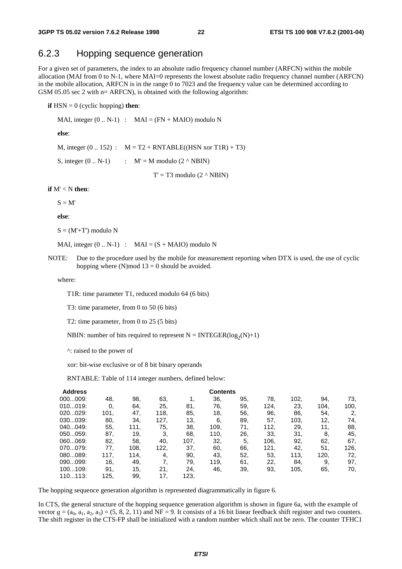### 6.2.3 Hopping sequence generation

For a given set of parameters, the index to an absolute radio frequency channel number (ARFCN) within the mobile allocation (MAI from 0 to N-1, where MAI=0 represents the lowest absolute radio frequency channel number (ARFCN) in the mobile allocation, ARFCN is in the range 0 to 7023 and the frequency value can be determined according to GSM 05.05 sec 2 with  $n=$  ARFCN), is obtained with the following algorithm:

**if**  $HSN = 0$  (cyclic hopping) **then**:

MAI, integer  $(0.. N-1)$  :  $MAI = (FN + MAIO)$  modulo N

**else**:

M, integer  $(0.. 152)$  :  $M = T2 + RNTABLE((HSN xor T1R) + T3)$ 

S, integer  $(0.. N-1)$  :  $M' = M$  modulo  $(2 \wedge NBIN)$ 

 $T' = T3$  modulo  $(2 \land NBIN)$ 

#### **if** M' < N **then**:

 $S = M'$ 

**else**:

 $S = (M' + T')$  modulo N

MAI, integer  $(0.. N-1)$  : MAI =  $(S + MAIO)$  modulo N

NOTE: Due to the procedure used by the mobile for measurement reporting when DTX is used, the use of cyclic hopping where (N)mod  $13 = 0$  should be avoided.

where:

T1R: time parameter T1, reduced modulo 64 (6 bits)

T3: time parameter, from 0 to 50 (6 bits)

T2: time parameter, from 0 to 25 (5 bits)

NBIN: number of bits required to represent  $N = INTEGR(log_2(N)+1)$ 

^: raised to the power of

xor: bit-wise exclusive or of 8 bit binary operands

RNTABLE: Table of 114 integer numbers, defined below:

| <b>Address</b> |      |      |      |      | <b>Contents</b> |     |      |      |      |      |
|----------------|------|------|------|------|-----------------|-----|------|------|------|------|
| 000009:        | 48.  | 98.  | 63.  |      | 36,             | 95. | 78.  | 102, | 94.  | 73,  |
| 010019:        | 0,   | 64.  | 25,  | 81.  | 76.             | 59. | 124. | 23.  | 104. | 100, |
| 020029:        | 101, | 47.  | 118, | 85.  | 18,             | 56. | 96.  | 86.  | 54.  | 2,   |
| 030039:        | 80.  | 34.  | 127, | 13,  | 6,              | 89. | 57.  | 103. | 12,  | 74.  |
| 040049:        | 55.  | 111. | 75.  | 38.  | 109,            | 71. | 112, | 29.  | 11.  | 88,  |
| 050059:        | 87.  | 19,  | 3.   | 68.  | 110,            | 26. | 33.  | 31.  | 8.   | 45.  |
| 060069:        | 82.  | 58.  | 40.  | 107. | 32.             | 5.  | 106. | 92,  | 62,  | 67,  |
| 070079:        | 77,  | 108. | 122, | 37.  | 60.             | 66. | 121, | 42.  | 51,  | 126. |
| 080089:        | 117. | 114. | 4,   | 90.  | 43,             | 52. | 53.  | 113, | 120, | 72,  |
| 090099:        | 16,  | 49.  | 7.   | 79.  | 119.            | 61. | 22.  | 84.  | 9.   | 97,  |
| 100109:        | 91.  | 15,  | 21.  | 24.  | 46,             | 39. | 93,  | 105. | 65.  | 70,  |
| 110113:        | 125, | 99.  | 17,  | 123, |                 |     |      |      |      |      |

The hopping sequence generation algorithm is represented diagrammatically in figure 6.

In CTS, the general structure of the hopping sequence generation algorithm is shown in figure 6a, with the example of vector  $\underline{a} = (a_0, a_1, a_2, a_3) = (5, 8, 2, 11)$  and NF = 9. It consists of a 16 bit linear feedback shift register and two counters. The shift register in the CTS-FP shall be initialized with a random number which shall not be zero. The counter TFHC1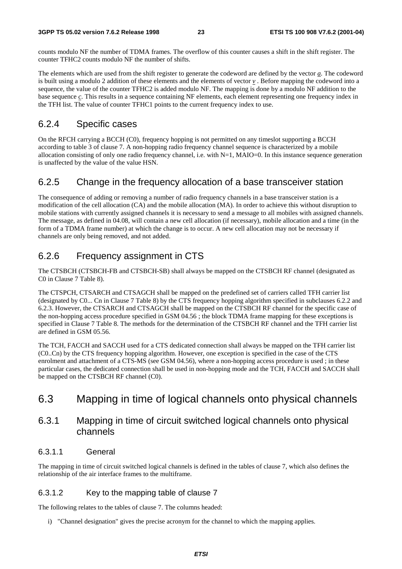counts modulo NF the number of TDMA frames. The overflow of this counter causes a shift in the shift register. The counter TFHC2 counts modulo NF the number of shifts.

The elements which are used from the shift register to generate the codeword are defined by the vector *a*. The codeword is built using a modulo 2 addition of these elements and the elements of vector *v* . Before mapping the codeword into a sequence, the value of the counter TFHC2 is added modulo NF. The mapping is done by a modulo NF addition to the base sequence *c*. This results in a sequence containing NF elements, each element representing one frequency index in the TFH list. The value of counter TFHC1 points to the current frequency index to use.

### 6.2.4 Specific cases

On the RFCH carrying a BCCH (C0), frequency hopping is not permitted on any timeslot supporting a BCCH according to table 3 of clause 7. A non-hopping radio frequency channel sequence is characterized by a mobile allocation consisting of only one radio frequency channel, i.e. with N=1, MAIO=0. In this instance sequence generation is unaffected by the value of the value HSN.

### 6.2.5 Change in the frequency allocation of a base transceiver station

The consequence of adding or removing a number of radio frequency channels in a base transceiver station is a modification of the cell allocation (CA) and the mobile allocation (MA). In order to achieve this without disruption to mobile stations with currently assigned channels it is necessary to send a message to all mobiles with assigned channels. The message, as defined in 04.08, will contain a new cell allocation (if necessary), mobile allocation and a time (in the form of a TDMA frame number) at which the change is to occur. A new cell allocation may not be necessary if channels are only being removed, and not added.

### 6.2.6 Frequency assignment in CTS

The CTSBCH (CTSBCH-FB and CTSBCH-SB) shall always be mapped on the CTSBCH RF channel (designated as C0 in Clause 7 Table 8).

The CTSPCH, CTSARCH and CTSAGCH shall be mapped on the predefined set of carriers called TFH carrier list (designated by C0... Cn in Clause 7 Table 8) by the CTS frequency hopping algorithm specified in subclauses 6.2.2 and 6.2.3. However, the CTSARCH and CTSAGCH shall be mapped on the CTSBCH RF channel for the specific case of the non-hopping access procedure specified in GSM 04.56 ; the block TDMA frame mapping for these exceptions is specified in Clause 7 Table 8. The methods for the determination of the CTSBCH RF channel and the TFH carrier list are defined in GSM 05.56.

The TCH, FACCH and SACCH used for a CTS dedicated connection shall always be mapped on the TFH carrier list (C0..Cn) by the CTS frequency hopping algorithm. However, one exception is specified in the case of the CTS enrolment and attachment of a CTS-MS (see GSM 04.56), where a non-hopping access procedure is used ; in these particular cases, the dedicated connection shall be used in non-hopping mode and the TCH, FACCH and SACCH shall be mapped on the CTSBCH RF channel (C0).

### 6.3 Mapping in time of logical channels onto physical channels

### 6.3.1 Mapping in time of circuit switched logical channels onto physical channels

#### 6.3.1.1 General

The mapping in time of circuit switched logical channels is defined in the tables of clause 7, which also defines the relationship of the air interface frames to the multiframe.

#### 6.3.1.2 Key to the mapping table of clause 7

The following relates to the tables of clause 7. The columns headed:

i) "Channel designation" gives the precise acronym for the channel to which the mapping applies.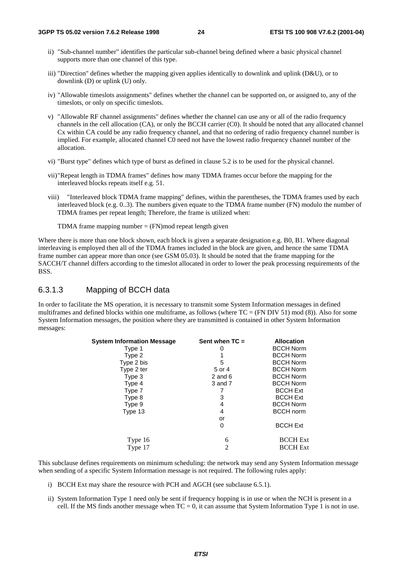- ii) "Sub-channel number" identifies the particular sub-channel being defined where a basic physical channel supports more than one channel of this type.
- iii) "Direction" defines whether the mapping given applies identically to downlink and uplink (D&U), or to downlink (D) or uplink (U) only.
- iv) "Allowable timeslots assignments" defines whether the channel can be supported on, or assigned to, any of the timeslots, or only on specific timeslots.
- v) "Allowable RF channel assignments" defines whether the channel can use any or all of the radio frequency channels in the cell allocation (CA), or only the BCCH carrier (C0). It should be noted that any allocated channel Cx within CA could be any radio frequency channel, and that no ordering of radio frequency channel number is implied. For example, allocated channel C0 need not have the lowest radio frequency channel number of the allocation.
- vi) "Burst type" defines which type of burst as defined in clause 5.2 is to be used for the physical channel.
- vii)"Repeat length in TDMA frames" defines how many TDMA frames occur before the mapping for the interleaved blocks repeats itself e.g. 51.
- viii) "Interleaved block TDMA frame mapping" defines, within the parentheses, the TDMA frames used by each interleaved block (e.g. 0..3). The numbers given equate to the TDMA frame number (FN) modulo the number of TDMA frames per repeat length; Therefore, the frame is utilized when:

TDMA frame mapping number  $=$  (FN)mod repeat length given

Where there is more than one block shown, each block is given a separate designation e.g. B0, B1. Where diagonal interleaving is employed then all of the TDMA frames included in the block are given, and hence the same TDMA frame number can appear more than once (see GSM 05.03). It should be noted that the frame mapping for the SACCH/T channel differs according to the timeslot allocated in order to lower the peak processing requirements of the BSS.

#### 6.3.1.3 Mapping of BCCH data

In order to facilitate the MS operation, it is necessary to transmit some System Information messages in defined multiframes and defined blocks within one multiframe, as follows (where  $TC = (FN DIV 51) \text{ mod } (8)$ ). Also for some System Information messages, the position where they are transmitted is contained in other System Information messages:

| <b>System Information Message</b> | Sent when $TC =$ | <b>Allocation</b> |
|-----------------------------------|------------------|-------------------|
| Type 1                            | 0                | <b>BCCH Norm</b>  |
| Type 2                            |                  | <b>BCCH Norm</b>  |
| Type 2 bis                        | 5                | <b>BCCH Norm</b>  |
| Type 2 ter                        | 5 or 4           | <b>BCCH Norm</b>  |
| Type 3                            | $2$ and $6$      | <b>BCCH Norm</b>  |
| Type 4                            | 3 and 7          | <b>BCCH Norm</b>  |
| Type 7                            |                  | <b>BCCH Ext</b>   |
| Type 8                            | 3                | <b>BCCH Ext</b>   |
| Type 9                            | 4                | <b>BCCH Norm</b>  |
| Type 13                           | 4                | <b>BCCH</b> norm  |
|                                   | or               |                   |
|                                   | 0                | <b>BCCH Ext</b>   |
| Type 16                           | 6                | <b>BCCH</b> Ext   |
| Type 17                           | $\overline{c}$   | <b>BCCH</b> Ext   |

This subclause defines requirements on minimum scheduling: the network may send any System Information message when sending of a specific System Information message is not required. The following rules apply:

- i) BCCH Ext may share the resource with PCH and AGCH (see subclause 6.5.1).
- ii) System Information Type 1 need only be sent if frequency hopping is in use or when the NCH is present in a cell. If the MS finds another message when  $TC = 0$ , it can assume that System Information Type 1 is not in use.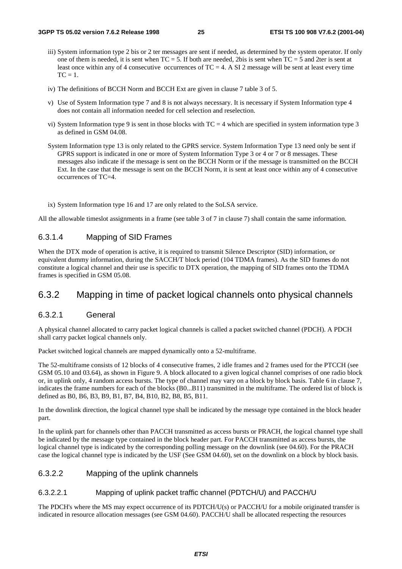- iii) System information type 2 bis or 2 ter messages are sent if needed, as determined by the system operator. If only one of them is needed, it is sent when  $TC = 5$ . If both are needed, 2bis is sent when  $TC = 5$  and 2ter is sent at least once within any of 4 consecutive occurrences of  $TC = 4$ . A SI 2 message will be sent at least every time  $TC = 1$ .
- iv) The definitions of BCCH Norm and BCCH Ext are given in clause 7 table 3 of 5.
- v) Use of System Information type 7 and 8 is not always necessary. It is necessary if System Information type 4 does not contain all information needed for cell selection and reselection.
- vi) System Information type 9 is sent in those blocks with  $TC = 4$  which are specified in system information type 3 as defined in GSM 04.08.
- System Information type 13 is only related to the GPRS service. System Information Type 13 need only be sent if GPRS support is indicated in one or more of System Information Type 3 or 4 or 7 or 8 messages. These messages also indicate if the message is sent on the BCCH Norm or if the message is transmitted on the BCCH Ext. In the case that the message is sent on the BCCH Norm, it is sent at least once within any of 4 consecutive occurrences of TC=4.
- ix) System Information type 16 and 17 are only related to the SoLSA service.

All the allowable timeslot assignments in a frame (see table 3 of 7 in clause 7) shall contain the same information.

#### 6.3.1.4 Mapping of SID Frames

When the DTX mode of operation is active, it is required to transmit Silence Descriptor (SID) information, or equivalent dummy information, during the SACCH/T block period (104 TDMA frames). As the SID frames do not constitute a logical channel and their use is specific to DTX operation, the mapping of SID frames onto the TDMA frames is specified in GSM 05.08.

### 6.3.2 Mapping in time of packet logical channels onto physical channels

#### 6.3.2.1 General

A physical channel allocated to carry packet logical channels is called a packet switched channel (PDCH). A PDCH shall carry packet logical channels only.

Packet switched logical channels are mapped dynamically onto a 52-multiframe.

The 52-multiframe consists of 12 blocks of 4 consecutive frames, 2 idle frames and 2 frames used for the PTCCH (see GSM 05.10 and 03.64), as shown in Figure 9. A block allocated to a given logical channel comprises of one radio block or, in uplink only, 4 random access bursts. The type of channel may vary on a block by block basis. Table 6 in clause 7, indicates the frame numbers for each of the blocks (B0...B11) transmitted in the multiframe. The ordered list of block is defined as B0, B6, B3, B9, B1, B7, B4, B10, B2, B8, B5, B11.

In the downlink direction, the logical channel type shall be indicated by the message type contained in the block header part.

In the uplink part for channels other than PACCH transmitted as access bursts or PRACH, the logical channel type shall be indicated by the message type contained in the block header part. For PACCH transmitted as access bursts, the logical channel type is indicated by the corresponding polling message on the downlink (see 04.60). For the PRACH case the logical channel type is indicated by the USF (See GSM 04.60), set on the downlink on a block by block basis.

#### 6.3.2.2 Mapping of the uplink channels

#### 6.3.2.2.1 Mapping of uplink packet traffic channel (PDTCH/U) and PACCH/U

The PDCH's where the MS may expect occurrence of its PDTCH/U(s) or PACCH/U for a mobile originated transfer is indicated in resource allocation messages (see GSM 04.60). PACCH/U shall be allocated respecting the resources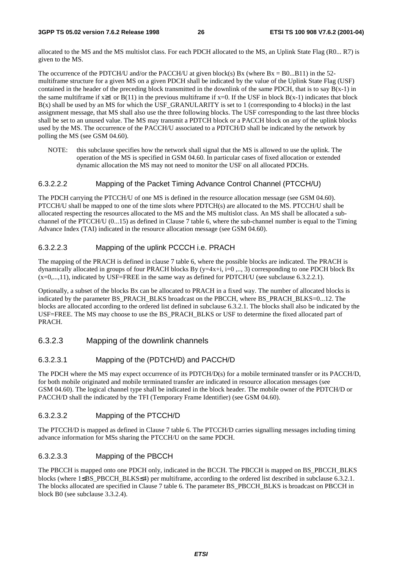allocated to the MS and the MS multislot class. For each PDCH allocated to the MS, an Uplink State Flag (R0... R7) is given to the MS.

The occurrence of the PDTCH/U and/or the PACCH/U at given block(s) Bx (where  $Bx = B0...B11$ ) in the 52multiframe structure for a given MS on a given PDCH shall be indicated by the value of the Uplink State Flag (USF) contained in the header of the preceding block transmitted in the downlink of the same PDCH, that is to say  $B(x-1)$  in the same multiframe if  $x\geq 1$  or  $B(11)$  in the previous multiframe if  $x=0$ . If the USF in block  $B(x-1)$  indicates that block  $B(x)$  shall be used by an MS for which the USF\_GRANULARITY is set to 1 (corresponding to 4 blocks) in the last assignment message, that MS shall also use the three following blocks. The USF corresponding to the last three blocks shall be set to an unused value. The MS may transmit a PDTCH block or a PACCH block on any of the uplink blocks used by the MS. The occurrence of the PACCH/U associated to a PDTCH/D shall be indicated by the network by polling the MS (see GSM 04.60).

NOTE: this subclause specifies how the network shall signal that the MS is allowed to use the uplink. The operation of the MS is specified in GSM 04.60. In particular cases of fixed allocation or extended dynamic allocation the MS may not need to monitor the USF on all allocated PDCHs.

#### 6.3.2.2.2 Mapping of the Packet Timing Advance Control Channel (PTCCH/U)

The PDCH carrying the PTCCH/U of one MS is defined in the resource allocation message (see GSM 04.60). PTCCH/U shall be mapped to one of the time slots where PDTCH(s) are allocated to the MS. PTCCH/U shall be allocated respecting the resources allocated to the MS and the MS multislot class. An MS shall be allocated a subchannel of the PTCCH/U (0...15) as defined in Clause 7 table 6, where the sub-channel number is equal to the Timing Advance Index (TAI) indicated in the resource allocation message (see GSM 04.60).

#### 6.3.2.2.3 Mapping of the uplink PCCCH i.e. PRACH

The mapping of the PRACH is defined in clause 7 table 6, where the possible blocks are indicated. The PRACH is dynamically allocated in groups of four PRACH blocks By  $(y=4x+i, i=0, \ldots, 3)$  corresponding to one PDCH block Bx (x=0,...,11), indicated by USF=FREE in the same way as defined for PDTCH/U (see subclause 6.3.2.2.1).

Optionally, a subset of the blocks Bx can be allocated to PRACH in a fixed way. The number of allocated blocks is indicated by the parameter BS\_PRACH\_BLKS broadcast on the PBCCH, where BS\_PRACH\_BLKS=0...12. The blocks are allocated according to the ordered list defined in subclause 6.3.2.1. The blocks shall also be indicated by the USF=FREE. The MS may choose to use the BS\_PRACH\_BLKS or USF to determine the fixed allocated part of PRACH.

#### 6.3.2.3 Mapping of the downlink channels

#### 6.3.2.3.1 Mapping of the (PDTCH/D) and PACCH/D

The PDCH where the MS may expect occurrence of its PDTCH/D(s) for a mobile terminated transfer or its PACCH/D, for both mobile originated and mobile terminated transfer are indicated in resource allocation messages (see GSM 04.60). The logical channel type shall be indicated in the block header. The mobile owner of the PDTCH/D or PACCH/D shall the indicated by the TFI (Temporary Frame Identifier) (see GSM 04.60).

#### 6.3.2.3.2 Mapping of the PTCCH/D

The PTCCH/D is mapped as defined in Clause 7 table 6. The PTCCH/D carries signalling messages including timing advance information for MSs sharing the PTCCH/U on the same PDCH.

#### 6.3.2.3.3 Mapping of the PBCCH

The PBCCH is mapped onto one PDCH only, indicated in the BCCH. The PBCCH is mapped on BS\_PBCCH\_BLKS blocks (where 1≤BS\_PBCCH\_BLKS≤4) per multiframe, according to the ordered list described in subclause 6.3.2.1. The blocks allocated are specified in Clause 7 table 6. The parameter BS\_PBCCH\_BLKS is broadcast on PBCCH in block B0 (see subclause 3.3.2.4).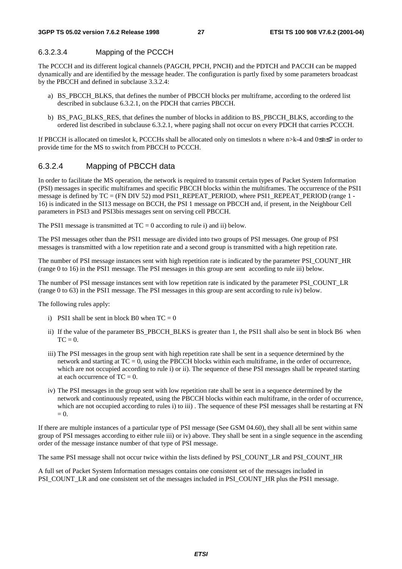#### 6.3.2.3.4 Mapping of the PCCCH

The PCCCH and its different logical channels (PAGCH, PPCH, PNCH) and the PDTCH and PACCH can be mapped dynamically and are identified by the message header. The configuration is partly fixed by some parameters broadcast by the PBCCH and defined in subclause 3.3.2.4:

- a) BS\_PBCCH\_BLKS, that defines the number of PBCCH blocks per multiframe, according to the ordered list described in subclause 6.3.2.1, on the PDCH that carries PBCCH.
- b) BS\_PAG\_BLKS\_RES, that defines the number of blocks in addition to BS\_PBCCH\_BLKS, according to the ordered list described in subclause 6.3.2.1, where paging shall not occur on every PDCH that carries PCCCH.

If PBCCH is allocated on timeslot k, PCCCHs shall be allocated only on timeslots n where n>k-4 and 0≤n≤7 in order to provide time for the MS to switch from PBCCH to PCCCH.

#### 6.3.2.4 Mapping of PBCCH data

In order to facilitate the MS operation, the network is required to transmit certain types of Packet System Information (PSI) messages in specific multiframes and specific PBCCH blocks within the multiframes. The occurrence of the PSI1 message is defined by TC = (FN DIV 52) mod PSI1\_REPEAT\_PERIOD, where PSI1\_REPEAT\_PERIOD (range 1 -16) is indicated in the SI13 message on BCCH, the PSI 1 message on PBCCH and, if present, in the Neighbour Cell parameters in PSI3 and PSI3bis messages sent on serving cell PBCCH.

The PSI1 message is transmitted at  $TC = 0$  according to rule i) and ii) below.

The PSI messages other than the PSI1 message are divided into two groups of PSI messages. One group of PSI messages is transmitted with a low repetition rate and a second group is transmitted with a high repetition rate.

The number of PSI message instances sent with high repetition rate is indicated by the parameter PSI\_COUNT\_HR (range 0 to 16) in the PSI1 message. The PSI messages in this group are sent according to rule iii) below.

The number of PSI message instances sent with low repetition rate is indicated by the parameter PSI\_COUNT\_LR (range 0 to 63) in the PSI1 message. The PSI messages in this group are sent according to rule iv) below.

The following rules apply:

- i) PSI1 shall be sent in block B0 when  $TC = 0$
- ii) If the value of the parameter BS\_PBCCH\_BLKS is greater than 1, the PSI1 shall also be sent in block B6 when  $TC = 0$ .
- iii) The PSI messages in the group sent with high repetition rate shall be sent in a sequence determined by the network and starting at  $TC = 0$ , using the PBCCH blocks within each multiframe, in the order of occurrence, which are not occupied according to rule i) or ii). The sequence of these PSI messages shall be repeated starting at each occurrence of  $TC = 0$ .
- iv) The PSI messages in the group sent with low repetition rate shall be sent in a sequence determined by the network and continuously repeated, using the PBCCH blocks within each multiframe, in the order of occurrence, which are not occupied according to rules i) to iii). The sequence of these PSI messages shall be restarting at FN  $= 0.$

If there are multiple instances of a particular type of PSI message (See GSM 04.60), they shall all be sent within same group of PSI messages according to either rule iii) or iv) above. They shall be sent in a single sequence in the ascending order of the message instance number of that type of PSI message.

The same PSI message shall not occur twice within the lists defined by PSI\_COUNT\_LR and PSI\_COUNT\_HR

A full set of Packet System Information messages contains one consistent set of the messages included in PSI\_COUNT\_LR and one consistent set of the messages included in PSI\_COUNT\_HR plus the PSI1 message.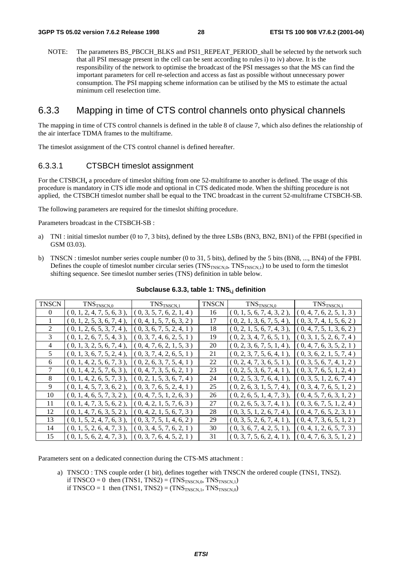NOTE: The parameters BS\_PBCCH\_BLKS and PSI1\_REPEAT\_PERIOD\_shall be selected by the network such that all PSI message present in the cell can be sent according to rules i) to iv) above. It is the responsibility of the network to optimise the broadcast of the PSI messages so that the MS can find the important parameters for cell re-selection and access as fast as possible without unnecessary power consumption. The PSI mapping scheme information can be utilised by the MS to estimate the actual minimum cell reselection time.

### 6.3.3 Mapping in time of CTS control channels onto physical channels

The mapping in time of CTS control channels is defined in the table 8 of clause 7, which also defines the relationship of the air interface TDMA frames to the multiframe.

The timeslot assignment of the CTS control channel is defined hereafter.

#### 6.3.3.1 CTSBCH timeslot assignment

For the CTSBCH**,** a procedure of timeslot shifting from one 52-multiframe to another is defined. The usage of this procedure is mandatory in CTS idle mode and optional in CTS dedicated mode. When the shifting procedure is not applied, the CTSBCH timeslot number shall be equal to the TNC broadcast in the current 52-multiframe CTSBCH-SB.

The following parameters are required for the timeslot shifting procedure.

Parameters broadcast in the CTSBCH-SB :

- a) TNI : initial timeslot number (0 to 7, 3 bits), defined by the three LSBs (BN3, BN2, BN1) of the FPBI (specified in GSM 03.03).
- b) TNSCN : timeslot number series couple number (0 to 31, 5 bits), defined by the 5 bits (BN8, ..., BN4) of the FPBI. Defines the couple of timeslot number circular series  $(TNS_{TNSCN,0}, TNS_{TNSCN,1})$  to be used to form the timeslot shifting sequence. See timeslot number series (TNS) definition in table below.

| <b>TNSCN</b> | TNS <sub>TNSCN,0</sub>       | TNS <sub>TNSCN,1</sub>                | <b>TNSCN</b> | TNS <sub>TNSCN,0</sub>       | $TNS_{TNSCN,1}$          |
|--------------|------------------------------|---------------------------------------|--------------|------------------------------|--------------------------|
| $\theta$     | (0, 1, 2, 4, 7, 5, 6, 3),    | (0, 3, 5, 7, 6, 2, 1, 4)              | 16           | $(0, 1, 5, 6, 7, 4, 3, 2)$ , | (0, 4, 7, 6, 2, 5, 1, 3) |
|              | $(0, 1, 2, 5, 3, 6, 7, 4)$ , | (0, 4, 1, 5, 7, 6, 3, 2)              | 17           | (0, 2, 1, 3, 6, 7, 5, 4)     | (0, 3, 7, 4, 1, 5, 6, 2) |
| 2            | $(0, 1, 2, 6, 5, 3, 7, 4)$ , | (0, 3, 6, 7, 5, 2, 4, 1)              | 18           | (0, 2, 1, 5, 6, 7, 4, 3)     | (0, 4, 7, 5, 1, 3, 6, 2) |
| 3            | $(0, 1, 2, 6, 7, 5, 4, 3)$ , | $\left[0, 3, 7, 4, 6, 2, 5, 1\right)$ | 19           | (0, 2, 3, 4, 7, 6, 5, 1)     | (0, 3, 1, 5, 2, 6, 7, 4) |
| 4            | $(0, 1, 3, 2, 5, 6, 7, 4)$ , | $\left[0, 4, 7, 6, 2, 1, 5, 3\right)$ | 20           | (0, 2, 3, 6, 7, 5, 1, 4)     | (0, 4, 7, 6, 3, 5, 2, 1) |
| 5            | $(0, 1, 3, 6, 7, 5, 2, 4)$ , | $\left[0, 3, 7, 4, 2, 6, 5, 1\right)$ | 21           | $(0, 2, 3, 7, 5, 6, 4, 1)$ , | (0, 3, 6, 2, 1, 5, 7, 4) |
| 6            | $(0, 1, 4, 2, 5, 6, 7, 3)$ , | (0, 2, 6, 3, 7, 5, 4, 1)              | 22           | (0, 2, 4, 7, 3, 6, 5, 1)     | (0, 3, 5, 6, 7, 4, 1, 2) |
| 7            | $(0, 1, 4, 2, 5, 7, 6, 3)$ , | (0, 4, 7, 3, 5, 6, 2, 1)              | 23           | (0, 2, 5, 3, 6, 7, 4, 1)     | (0, 3, 7, 6, 5, 1, 2, 4) |
| 8            | $(0, 1, 4, 2, 6, 5, 7, 3)$ , | (0, 2, 1, 5, 3, 6, 7, 4)              | 24           | (0, 2, 5, 3, 7, 6, 4, 1)     | (0, 3, 5, 1, 2, 6, 7, 4) |
| 9            | $(0, 1, 4, 5, 7, 3, 6, 2)$ , | (0, 3, 7, 6, 5, 2, 4, 1)              | 25           | (0, 2, 6, 3, 1, 5, 7, 4)     | (0, 3, 4, 7, 6, 5, 1, 2) |
| 10           | $(0, 1, 4, 6, 5, 7, 3, 2)$ , | $\left[0, 4, 7, 5, 1, 2, 6, 3\right)$ | 26           | $(0, 2, 6, 5, 1, 4, 7, 3)$ , | (0, 4, 5, 7, 6, 3, 1, 2) |
| 11           | $(0, 1, 4, 7, 3, 5, 6, 2)$ , | (0, 4, 2, 1, 5, 7, 6, 3)              | 27           | (0, 2, 6, 5, 3, 7, 4, 1)     | (0, 3, 6, 7, 5, 1, 2, 4) |
| 12           | $(0, 1, 4, 7, 6, 3, 5, 2)$ , | (0, 4, 2, 1, 5, 6, 7, 3)              | 28           | (0, 3, 5, 1, 2, 6, 7, 4)     | (0, 4, 7, 6, 5, 2, 3, 1) |
| 13           | $(0, 1, 5, 2, 4, 7, 6, 3)$ , | (0, 3, 7, 5, 1, 4, 6, 2)              | 29           | $(0, 3, 5, 2, 6, 7, 4, 1)$ , | (0, 4, 7, 3, 6, 5, 1, 2) |
| 14           | $(0, 1, 5, 2, 6, 4, 7, 3)$ , | 0, 3, 4, 5, 7, 6, 2, 1                | 30           | (0, 3, 6, 7, 4, 2, 5, 1)     | (0, 4, 1, 2, 6, 5, 7, 3) |
| 15           | (0, 1, 5, 6, 2, 4, 7, 3),    | (0, 3, 7, 6, 4, 5, 2, 1)              | 31           | $[0, 3, 7, 5, 6, 2, 4, 1)$ , | (0, 4, 7, 6, 3, 5, 1, 2) |

Subclause 6.3.3, table 1: TNS<sub>i,j</sub> definition

Parameters sent on a dedicated connection during the CTS-MS attachment :

a) TNSCO : TNS couple order (1 bit), defines together with TNSCN the ordered couple (TNS1, TNS2). if TNSCO = 0 then  $(TNS1, TNS2) = (TNS<sub>TNSCN.0</sub>, TNS<sub>TNSCN.1</sub>)$ if TNSCO = 1 then  $(TNS1, TNS2) = (TNS<sub>TNSCN,1</sub>, TNS<sub>TNSCN,0</sub>)$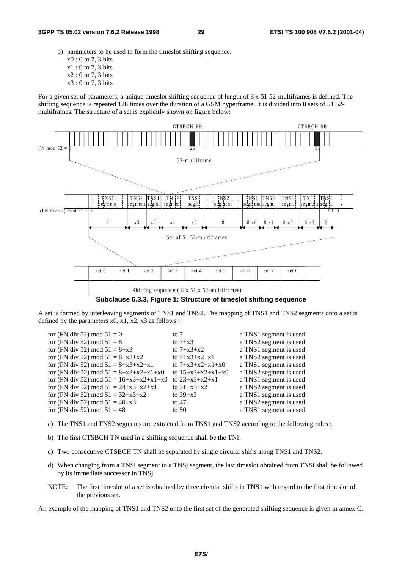- b) parameters to be used to form the timeslot shifting sequence.
	- x0 : 0 to 7, 3 bits
	- x1 : 0 to 7, 3 bits
	- x2 : 0 to 7, 3 bits
	- x3 : 0 to 7, 3 bits

For a given set of parameters, a unique timeslot shifting sequence of length of 8 x 51 52-multiframes is defined. The shifting sequence is repeated 128 times over the duration of a GSM hyperframe. It is divided into 8 sets of 51 52 multiframes. The structure of a set is explicitly shown on figure below:



**Subclause 6.3.3, Figure 1: Structure of timeslot shifting sequence**

A set is formed by interleaving segments of TNS1 and TNS2. The mapping of TNS1 and TNS2 segments onto a set is defined by the parameters  $x0$ ,  $x1$ ,  $x2$ ,  $x3$  as follows :

| for (FN div 52) mod $51 = 0$                               | to $71$             | a TNS1 segment is used |
|------------------------------------------------------------|---------------------|------------------------|
| for (FN div 52) mod $51 = 8$                               | to $7+x3$           | a TNS2 segment is used |
| for (FN div 52) mod $51 = 8+x3$                            | to $7+x3+x2$        | a TNS1 segment is used |
| for (FN div 52) mod $51 = 8+x3+x2$                         | to $7+x3+x2+x1$     | a TNS2 segment is used |
| for (FN div 52) mod $51 = 8 + x3 + x2 + x1$                | to $7+x3+x2+x1+x0$  | a TNS1 segment is used |
| for (FN div 52) mod $51 = 8 + x3 + x2 + x1 + x0$           | to $15+x3+x2+x1+x0$ | a TNS2 segment is used |
| for (FN div 52) mod $51 = 16+x3+x2+x1+x0$ to $23+x3+x2+x1$ |                     | a TNS1 segment is used |
| for (FN div 52) mod $51 = 24+x3+x2+x1$                     | to $31+x3+x2$       | a TNS2 segment is used |
| for (FN div 52) mod $51 = 32+x3+x2$                        | to $39+x3$          | a TNS1 segment is used |
| for (FN div 52) mod $51 = 40+x3$                           | to 47               | a TNS2 segment is used |
| for (FN div 52) mod $51 = 48$                              | to 50               | a TNS1 segment is used |
|                                                            |                     |                        |

- a) The TNS1 and TNS2 segments are extracted from TNS1 and TNS2 according to the following rules :
- b) The first CTSBCH TN used in a shifting sequence shall be the TNI.
- c) Two consecutive CTSBCH TN shall be separated by single circular shifts along TNS1 and TNS2.
- d) When changing from a TNSi segment to a TNSj segment, the last timeslot obtained from TNSi shall be followed by its immediate successor in TNSj.
- NOTE: The first timeslot of a set is obtained by three circular shifts in TNS1 with regard to the first timeslot of the previous set.

An example of the mapping of TNS1 and TNS2 onto the first set of the generated shifting sequence is given in annex C.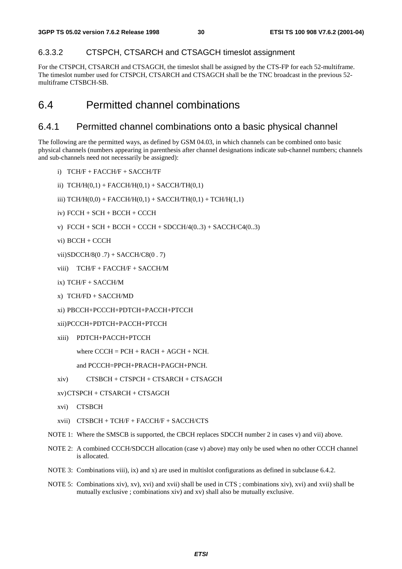#### 6.3.3.2 CTSPCH, CTSARCH and CTSAGCH timeslot assignment

For the CTSPCH, CTSARCH and CTSAGCH, the timeslot shall be assigned by the CTS-FP for each 52-multiframe. The timeslot number used for CTSPCH, CTSARCH and CTSAGCH shall be the TNC broadcast in the previous 52 multiframe CTSBCH-SB.

### 6.4 Permitted channel combinations

### 6.4.1 Permitted channel combinations onto a basic physical channel

The following are the permitted ways, as defined by GSM 04.03, in which channels can be combined onto basic physical channels (numbers appearing in parenthesis after channel designations indicate sub-channel numbers; channels and sub-channels need not necessarily be assigned):

- i) TCH/F + FACCH/F + SACCH/TF
- ii)  $TCH/H(0,1) + FACCH/H(0,1) + SACCH/TH(0,1)$
- iii)  $TCH/H(0,0) + FACCH/H(0,1) + SACCH/TH(0,1) + TCH/H(1,1)$
- iv) FCCH + SCH + BCCH + CCCH
- v)  $FCCH + SCH + BACH + CACH + SDCCH/4(0..3) + SACCH/C4(0..3)$
- vi) BCCH + CCCH
- vii)SDCCH/8(0 .7) + SACCH/C8(0 . 7)
- viii) TCH/F + FACCH/F + SACCH/M
- ix) TCH/F + SACCH/M
- x) TCH/FD + SACCH/MD
- xi) PBCCH+PCCCH+PDTCH+PACCH+PTCCH

```
xii)PCCCH+PDTCH+PACCH+PTCCH
```
xiii) PDTCH+PACCH+PTCCH

```
where C CCH = PCH + RACH + AGCH + NCH.
```

```
and PCCCH=PPCH+PRACH+PAGCH+PNCH.
```
xiv) CTSBCH + CTSPCH + CTSARCH + CTSAGCH

```
xv)CTSPCH + CTSARCH + CTSAGCH
```
- xvi) CTSBCH
- xvii) CTSBCH + TCH/F + FACCH/F + SACCH/CTS
- NOTE 1: Where the SMSCB is supported, the CBCH replaces SDCCH number 2 in cases v) and vii) above.
- NOTE 2: A combined CCCH/SDCCH allocation (case v) above) may only be used when no other CCCH channel is allocated.
- NOTE 3: Combinations viii), ix) and x) are used in multislot configurations as defined in subclause 6.4.2.
- NOTE 5: Combinations xiv), xv), xvi) and xvii) shall be used in CTS ; combinations xiv), xvi) and xvii) shall be mutually exclusive ; combinations xiv) and xv) shall also be mutually exclusive.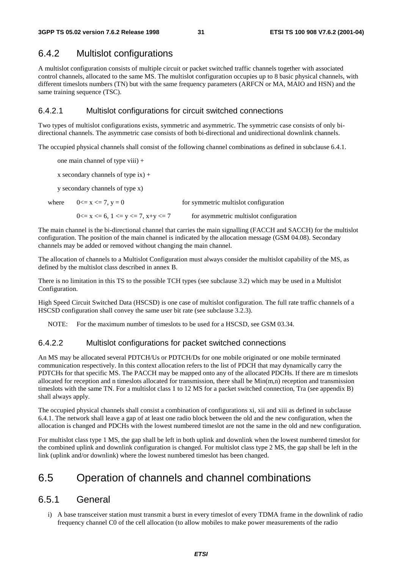### 6.4.2 Multislot configurations

A multislot configuration consists of multiple circuit or packet switched traffic channels together with associated control channels, allocated to the same MS. The multislot configuration occupies up to 8 basic physical channels, with different timeslots numbers (TN) but with the same frequency parameters (ARFCN or MA, MAIO and HSN) and the same training sequence (TSC).

#### 6.4.2.1 Multislot configurations for circuit switched connections

Two types of multislot configurations exists, symmetric and asymmetric. The symmetric case consists of only bidirectional channels. The asymmetric case consists of both bi-directional and unidirectional downlink channels.

The occupied physical channels shall consist of the following channel combinations as defined in subclause 6.4.1.

one main channel of type viii) +

x secondary channels of type  $ix$ ) +

y secondary channels of type x)

where  $0 \le x \le 7$ ,  $y = 0$  for symmetric multislot configuration  $0 \le x \le 6$ ,  $1 \le y \le 7$ ,  $x+y \le 7$  for asymmetric multislot configuration

The main channel is the bi-directional channel that carries the main signalling (FACCH and SACCH) for the multislot configuration. The position of the main channel is indicated by the allocation message (GSM 04.08). Secondary channels may be added or removed without changing the main channel.

The allocation of channels to a Multislot Configuration must always consider the multislot capability of the MS, as defined by the multislot class described in annex B.

There is no limitation in this TS to the possible TCH types (see subclause 3.2) which may be used in a Multislot Configuration.

High Speed Circuit Switched Data (HSCSD) is one case of multislot configuration. The full rate traffic channels of a HSCSD configuration shall convey the same user bit rate (see subclause 3.2.3).

NOTE: For the maximum number of timeslots to be used for a HSCSD, see GSM 03.34.

#### 6.4.2.2 Multislot configurations for packet switched connections

An MS may be allocated several PDTCH/Us or PDTCH/Ds for one mobile originated or one mobile terminated communication respectively. In this context allocation refers to the list of PDCH that may dynamically carry the PDTCHs for that specific MS. The PACCH may be mapped onto any of the allocated PDCHs. If there are m timeslots allocated for reception and n timeslots allocated for transmission, there shall be  $Min(m,n)$  reception and transmission timeslots with the same TN. For a multislot class 1 to 12 MS for a packet switched connection, Tra (see appendix B) shall always apply.

The occupied physical channels shall consist a combination of configurations xi, xii and xiii as defined in subclause 6.4.1. The network shall leave a gap of at least one radio block between the old and the new configuration, when the allocation is changed and PDCHs with the lowest numbered timeslot are not the same in the old and new configuration.

For multislot class type 1 MS, the gap shall be left in both uplink and downlink when the lowest numbered timeslot for the combined uplink and downlink configuration is changed. For multislot class type 2 MS, the gap shall be left in the link (uplink and/or downlink) where the lowest numbered timeslot has been changed.

### 6.5 Operation of channels and channel combinations

### 6.5.1 General

i) A base transceiver station must transmit a burst in every timeslot of every TDMA frame in the downlink of radio frequency channel C0 of the cell allocation (to allow mobiles to make power measurements of the radio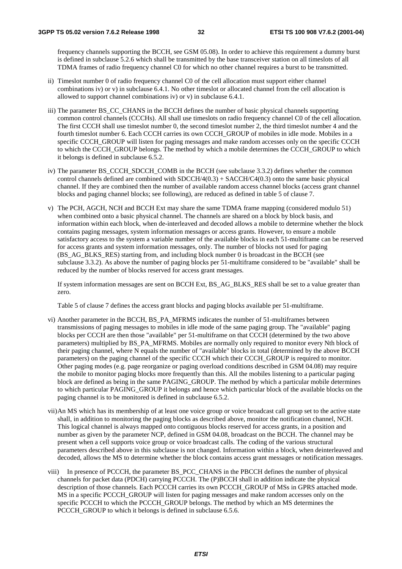frequency channels supporting the BCCH, see GSM 05.08). In order to achieve this requirement a dummy burst is defined in subclause 5.2.6 which shall be transmitted by the base transceiver station on all timeslots of all TDMA frames of radio frequency channel C0 for which no other channel requires a burst to be transmitted.

- ii) Timeslot number 0 of radio frequency channel C0 of the cell allocation must support either channel combinations iv) or v) in subclause 6.4.1. No other timeslot or allocated channel from the cell allocation is allowed to support channel combinations iv) or v) in subclause 6.4.1.
- iii) The parameter BS\_CC\_CHANS in the BCCH defines the number of basic physical channels supporting common control channels (CCCHs). All shall use timeslots on radio frequency channel C0 of the cell allocation. The first CCCH shall use timeslot number 0, the second timeslot number 2, the third timeslot number 4 and the fourth timeslot number 6. Each CCCH carries its own CCCH\_GROUP of mobiles in idle mode. Mobiles in a specific CCCH\_GROUP will listen for paging messages and make random accesses only on the specific CCCH to which the CCCH\_GROUP belongs. The method by which a mobile determines the CCCH\_GROUP to which it belongs is defined in subclause 6.5.2.
- iv) The parameter BS\_CCCH\_SDCCH\_COMB in the BCCH (see subclause 3.3.2) defines whether the common control channels defined are combined with  $SDCCH/4(0.3) + SACCH/C4(0.3)$  onto the same basic physical channel. If they are combined then the number of available random access channel blocks (access grant channel blocks and paging channel blocks; see following), are reduced as defined in table 5 of clause 7.
- v) The PCH, AGCH, NCH and BCCH Ext may share the same TDMA frame mapping (considered modulo 51) when combined onto a basic physical channel. The channels are shared on a block by block basis, and information within each block, when de-interleaved and decoded allows a mobile to determine whether the block contains paging messages, system information messages or access grants. However, to ensure a mobile satisfactory access to the system a variable number of the available blocks in each 51-multiframe can be reserved for access grants and system information messages, only. The number of blocks not used for paging (BS\_AG\_BLKS\_RES) starting from, and including block number 0 is broadcast in the BCCH (see subclause 3.3.2). As above the number of paging blocks per 51-multiframe considered to be "available" shall be reduced by the number of blocks reserved for access grant messages.

If system information messages are sent on BCCH Ext, BS\_AG\_BLKS\_RES shall be set to a value greater than zero.

Table 5 of clause 7 defines the access grant blocks and paging blocks available per 51-multiframe.

- vi) Another parameter in the BCCH, BS\_PA\_MFRMS indicates the number of 51-multiframes between transmissions of paging messages to mobiles in idle mode of the same paging group. The "available" paging blocks per CCCH are then those "available" per 51-multiframe on that CCCH (determined by the two above parameters) multiplied by BS\_PA\_MFRMS. Mobiles are normally only required to monitor every Nth block of their paging channel, where N equals the number of "available" blocks in total (determined by the above BCCH parameters) on the paging channel of the specific CCCH which their CCCH\_GROUP is required to monitor. Other paging modes (e.g. page reorganize or paging overload conditions described in GSM 04.08) may require the mobile to monitor paging blocks more frequently than this. All the mobiles listening to a particular paging block are defined as being in the same PAGING\_GROUP. The method by which a particular mobile determines to which particular PAGING\_GROUP it belongs and hence which particular block of the available blocks on the paging channel is to be monitored is defined in subclause 6.5.2.
- vii)An MS which has its membership of at least one voice group or voice broadcast call group set to the active state shall, in addition to monitoring the paging blocks as described above, monitor the notification channel, NCH. This logical channel is always mapped onto contiguous blocks reserved for access grants, in a position and number as given by the parameter NCP, defined in GSM 04.08, broadcast on the BCCH. The channel may be present when a cell supports voice group or voice broadcast calls. The coding of the various structural parameters described above in this subclause is not changed. Information within a block, when deinterleaved and decoded, allows the MS to determine whether the block contains access grant messages or notification messages.
- viii) In presence of PCCCH, the parameter BS\_PCC\_CHANS in the PBCCH defines the number of physical channels for packet data (PDCH) carrying PCCCH. The (P)BCCH shall in addition indicate the physical description of those channels. Each PCCCH carries its own PCCCH\_GROUP of MSs in GPRS attached mode. MS in a specific PCCCH GROUP will listen for paging messages and make random accesses only on the specific PCCCH to which the PCCCH\_GROUP belongs. The method by which an MS determines the PCCCH\_GROUP to which it belongs is defined in subclause 6.5.6.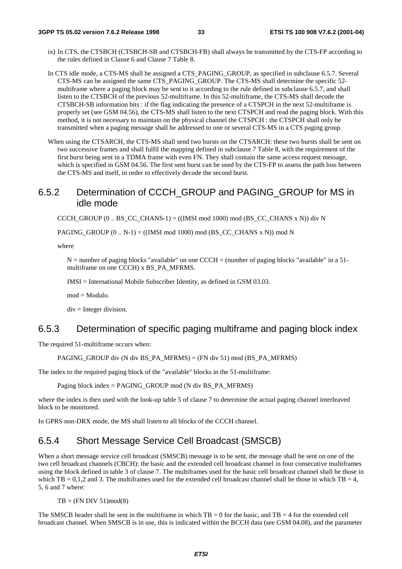- ix) In CTS, the CTSBCH (CTSBCH-SB and CTSBCH-FB) shall always be transmitted by the CTS-FP according to the rules defined in Clause 6 and Clause 7 Table 8.
- In CTS idle mode, a CTS-MS shall be assigned a CTS\_PAGING\_GROUP, as specified in subclause 6.5.7. Several CTS-MS can be assigned the same CTS\_PAGING\_GROUP. The CTS-MS shall determine the specific 52 multiframe where a paging block may be sent to it according to the rule defined in subclause 6.5.7, and shall listen to the CTSBCH of the previous 52-multiframe. In this 52-multiframe, the CTS-MS shall decode the CTSBCH-SB information bits : if the flag indicating the presence of a CTSPCH in the next 52-multiframe is properly set (see GSM 04.56), the CTS-MS shall listen to the next CTSPCH and read the paging block. With this method, it is not necessary to maintain on the physical channel the CTSPCH : the CTSPCH shall only be transmitted when a paging message shall be addressed to one or several CTS-MS in a CTS paging group.
- When using the CTSARCH, the CTS-MS shall send two bursts on the CTSARCH: these two bursts shall be sent on two successive frames and shall fulfil the mapping defined in subclause 7 Table 8, with the requirement of the first burst being sent in a TDMA frame with even FN. They shall contain the same access request message, which is specified in GSM 04.56. The first sent burst can be used by the CTS-FP to assess the path loss between the CTS-MS and itself, in order to effectively decode the second burst.

### 6.5.2 Determination of CCCH\_GROUP and PAGING\_GROUP for MS in idle mode

CCCH\_GROUP  $(0 \dots BS$  CC\_CHANS-1) =  $((IMSI \mod 1000) \mod (BS \CC \CHANS \times N))$  div N

PAGING\_GROUP  $(0.. N-1) = ((IMSI \mod 1000) \mod (BS\_CC\_CHANS \times N)) \mod N$ 

where

 $N =$  number of paging blocks "available" on one CCCH = (number of paging blocks "available" in a 51multiframe on one CCCH) x BS\_PA\_MFRMS.

IMSI = International Mobile Subscriber Identity, as defined in GSM 03.03.

mod = Modulo.

 $div =$  Integer division.

#### 6.5.3 Determination of specific paging multiframe and paging block index

The required 51-multiframe occurs when:

PAGING\_GROUP div (N div BS\_PA\_MFRMS) = (FN div 51) mod (BS\_PA\_MFRMS)

The index to the required paging block of the "available" blocks in the 51-multiframe:

Paging block index = PAGING\_GROUP mod (N div BS\_PA\_MFRMS)

where the index is then used with the look-up table 5 of clause 7 to determine the actual paging channel interleaved block to be monitored.

In GPRS non-DRX mode, the MS shall listen to all blocks of the CCCH channel.

### 6.5.4 Short Message Service Cell Broadcast (SMSCB)

When a short message service cell broadcast (SMSCB) message is to be sent, the message shall be sent on one of the two cell broadcast channels (CBCH): the basic and the extended cell broadcast channel in four consecutive multiframes using the block defined in table 3 of clause 7. The multiframes used for the basic cell broadcast channel shall be those in which TB = 0,1,2 and 3. The multiframes used for the extended cell broadcast channel shall be those in which TB = 4, 5, 6 and 7 where:

 $TB = (FN DIV 51)mod(8)$ 

The SMSCB header shall be sent in the multiframe in which  $TB = 0$  for the basic, and  $TB = 4$  for the extended cell broadcast channel. When SMSCB is in use, this is indicated within the BCCH data (see GSM 04.08), and the parameter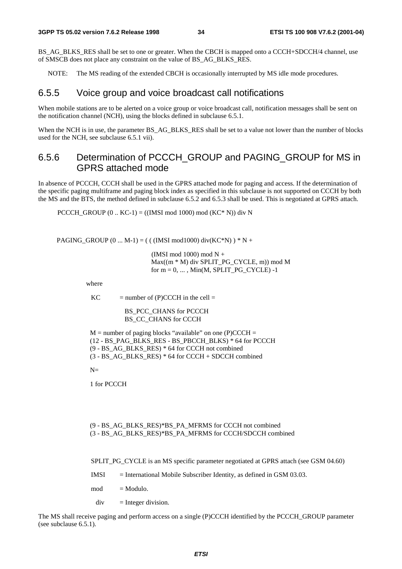BS\_AG\_BLKS\_RES shall be set to one or greater. When the CBCH is mapped onto a CCCH+SDCCH/4 channel, use of SMSCB does not place any constraint on the value of BS\_AG\_BLKS\_RES.

NOTE: The MS reading of the extended CBCH is occasionally interrupted by MS idle mode procedures.

#### 6.5.5 Voice group and voice broadcast call notifications

When mobile stations are to be alerted on a voice group or voice broadcast call, notification messages shall be sent on the notification channel (NCH), using the blocks defined in subclause 6.5.1.

When the NCH is in use, the parameter BS\_AG\_BLKS\_RES shall be set to a value not lower than the number of blocks used for the NCH, see subclause 6.5.1 vii).

### 6.5.6 Determination of PCCCH\_GROUP and PAGING\_GROUP for MS in GPRS attached mode

In absence of PCCCH, CCCH shall be used in the GPRS attached mode for paging and access. If the determination of the specific paging multiframe and paging block index as specified in this subclause is not supported on CCCH by both the MS and the BTS, the method defined in subclause 6.5.2 and 6.5.3 shall be used. This is negotiated at GPRS attach.

PCCCH\_GROUP  $(0 \dots KC-1) = ((IMSI \mod 1000) \mod (KC^* N))$  div N

PAGING\_GROUP  $(0 ... M-1) =$  ( ( (IMSI mod1000) div(KC\*N) ) \* N +

 (IMSI mod 1000) mod N + Max((m \* M) div SPLIT\_PG\_CYCLE, m)) mod M for  $m = 0, \ldots, Min(M, SPILT_PG_CYCLE) -1$ 

where

 $KC$  = number of (P)CCCH in the cell =

BS\_PCC\_CHANS for PCCCH BS CC\_CHANS for CCCH

 $M =$  number of paging blocks "available" on one (P)CCCH = (12 - BS\_PAG\_BLKS\_RES - BS\_PBCCH\_BLKS) \* 64 for PCCCH (9 - BS\_AG\_BLKS\_RES) \* 64 for CCCH not combined (3 - BS\_AG\_BLKS\_RES) \* 64 for CCCH + SDCCH combined

 $N-$ 

1 for PCCCH

(9 - BS\_AG\_BLKS\_RES)\*BS\_PA\_MFRMS for CCCH not combined (3 - BS\_AG\_BLKS\_RES)\*BS\_PA\_MFRMS for CCCH/SDCCH combined

SPLIT\_PG\_CYCLE is an MS specific parameter negotiated at GPRS attach (see GSM 04.60)

- IMSI = International Mobile Subscriber Identity, as defined in GSM 03.03.
- $mod = Modulo.$

 $div =$  Integer division.

The MS shall receive paging and perform access on a single (P)CCCH identified by the PCCCH\_GROUP parameter (see subclause 6.5.1).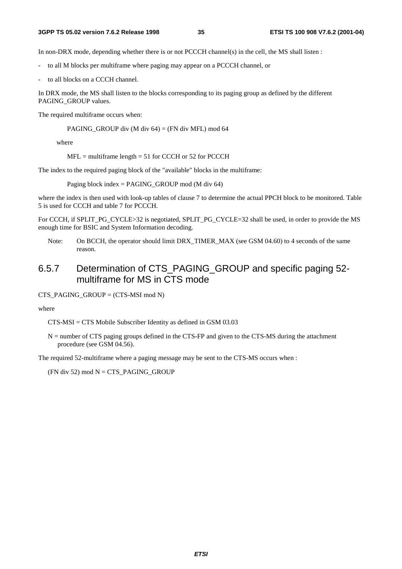In non-DRX mode, depending whether there is or not PCCCH channel(s) in the cell, the MS shall listen :

- to all M blocks per multiframe where paging may appear on a PCCCH channel, or
- to all blocks on a CCCH channel.

In DRX mode, the MS shall listen to the blocks corresponding to its paging group as defined by the different PAGING\_GROUP values.

The required multiframe occurs when:

PAGING\_GROUP div (M div 64) = (FN div MFL) mod 64

where

 $MFL$  = multiframe length = 51 for CCCH or 52 for PCCCH

The index to the required paging block of the "available" blocks in the multiframe:

Paging block index = PAGING\_GROUP mod (M div 64)

where the index is then used with look-up tables of clause 7 to determine the actual PPCH block to be monitored. Table 5 is used for CCCH and table 7 for PCCCH.

For CCCH, if SPLIT\_PG\_CYCLE>32 is negotiated, SPLIT\_PG\_CYCLE=32 shall be used, in order to provide the MS enough time for BSIC and System Information decoding.

Note: On BCCH, the operator should limit DRX\_TIMER\_MAX (see GSM 04.60) to 4 seconds of the same reason.

### 6.5.7 Determination of CTS\_PAGING\_GROUP and specific paging 52 multiframe for MS in CTS mode

CTS\_PAGING\_GROUP =  $(CTS\text{-}MSI \mod N)$ 

where

CTS-MSI = CTS Mobile Subscriber Identity as defined in GSM 03.03

N = number of CTS paging groups defined in the CTS-FP and given to the CTS-MS during the attachment procedure (see GSM 04.56).

The required 52-multiframe where a paging message may be sent to the CTS-MS occurs when :

 $(FN \div 52) \mod N = CTS$  PAGING GROUP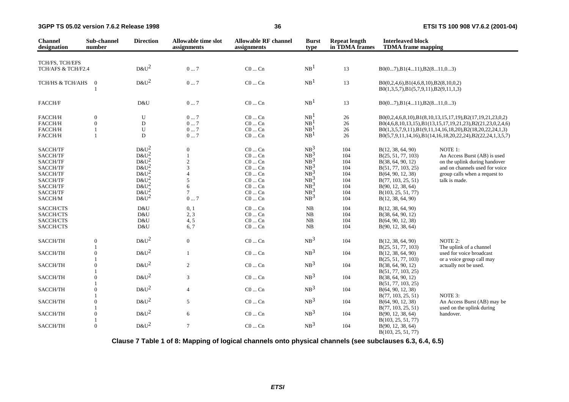| <b>Channel</b><br>designation                                                                           | Sub-channel<br>number                             | <b>Direction</b>                                                                                  | Allowable time slot<br>assignments                                                        | <b>Allowable RF channel</b><br>assignments                                                                                                            | <b>Burst</b><br>type                                                                            | <b>Repeat length</b><br>in TDMA frames                      | <b>Interleaved block</b><br><b>TDMA</b> frame mapping                                                                                                                                         |                                                                                                                                                                                                                                                    |
|---------------------------------------------------------------------------------------------------------|---------------------------------------------------|---------------------------------------------------------------------------------------------------|-------------------------------------------------------------------------------------------|-------------------------------------------------------------------------------------------------------------------------------------------------------|-------------------------------------------------------------------------------------------------|-------------------------------------------------------------|-----------------------------------------------------------------------------------------------------------------------------------------------------------------------------------------------|----------------------------------------------------------------------------------------------------------------------------------------------------------------------------------------------------------------------------------------------------|
| TCH/FS, TCH/EFS                                                                                         |                                                   |                                                                                                   |                                                                                           |                                                                                                                                                       |                                                                                                 |                                                             |                                                                                                                                                                                               |                                                                                                                                                                                                                                                    |
| TCH/AFS & TCH/F2.4                                                                                      |                                                   | $D&U^2$                                                                                           | 07                                                                                        | $CO \dots Cn$                                                                                                                                         | NB <sup>1</sup>                                                                                 | 13                                                          | $B0(07), B1(411), B2(811,03)$                                                                                                                                                                 |                                                                                                                                                                                                                                                    |
| TCH/HS & TCH/AHS                                                                                        | $\boldsymbol{0}$                                  | $D&U^2$                                                                                           | 07                                                                                        | $CO \dots Cn$                                                                                                                                         | NB <sup>1</sup>                                                                                 | 13                                                          | $B0(0,2,4,6), B1(4,6,8,10), B2(8,10,0,2)$<br>$B0(1,3,5,7), B1(5,7,9,11), B2(9,11,1,3)$                                                                                                        |                                                                                                                                                                                                                                                    |
| FACCH/F                                                                                                 |                                                   | D&U                                                                                               | 07                                                                                        | $C0 \dots Cn$                                                                                                                                         | NB <sup>1</sup>                                                                                 | 13                                                          | $B0(07), B1(411), B2(811,03)$                                                                                                                                                                 |                                                                                                                                                                                                                                                    |
| FACCH/H<br>FACCH/H<br>FACCH/H<br>FACCH/H                                                                | $\mathbf{0}$<br>$\mathbf{0}$<br>1<br>$\mathbf{1}$ | U<br>$\mathbf D$<br>U<br>D                                                                        | 07<br>07<br>07<br>07                                                                      | $CO \dots Cn$<br>$C0$ $Cn$<br>$\rm CO$ $\ldots$ $\rm Cn$<br>$CO \dots Cn$                                                                             | NB <sup>1</sup><br>NB <sup>1</sup><br>NB <sup>1</sup><br>NB <sup>1</sup>                        | 26<br>26<br>26<br>26                                        |                                                                                                                                                                                               | B0(0,2,4,6,8,10),B1(8,10,13,15,17,19),B2(17,19,21,23,0,2)<br>B0(4,6,8,10,13,15),B1(13,15,17,19,21,23),B2(21,23,0,2,4,6)<br>B0(1,3,5,7,9,11),B1(9,11,14,16,18,20),B2(18,20,22,24,1,3)<br>B0(5,7,9,11,14,16),B1(14,16,18,20,22,24),B2(22,24,1,3,5,7) |
| SACCH/TF<br>SACCH/TF<br>SACCH/TF<br>SACCH/TF<br>SACCH/TF<br>SACCH/TF<br>SACCH/TF<br>SACCH/TF<br>SACCH/M |                                                   | $D&U^2$<br>$D\&U^2$<br>$D&U^2$<br>$D&U^2$<br>$D\&U^2$<br>$D&U^2$<br>$D&U^2$<br>$D&U^2$<br>$D&U^2$ | $\boldsymbol{0}$<br>$\mathbf{1}$<br>$\mathfrak{2}$<br>3<br>5<br>6<br>$\overline{7}$<br>07 | $CO \dots Cn$<br>$C0 \dots Cn$<br>$CO \dots Cn$<br>$C0 \dots Cn$<br>$CO \dots Cn$<br>$CO \dots Cn$<br>$CO \dots Cn$<br>$CO \dots Cn$<br>$CO \dots Cn$ | $NB^3$<br>$NB^3$<br>$NB^3$<br>$NB^3$<br>$NB^3$<br>$NB^3$<br>$NB^3$<br>$NB^3$<br>NB <sup>3</sup> | 104<br>104<br>104<br>104<br>104<br>104<br>104<br>104<br>104 | B(12, 38, 64, 90)<br>B(25, 51, 77, 103)<br>B(38, 64, 90, 12)<br>B(51, 77, 103, 25)<br>B(64, 90, 12, 38)<br>B(77, 103, 25, 51)<br>B(90, 12, 38, 64)<br>B(103, 25, 51, 77)<br>B(12, 38, 64, 90) | NOTE 1:<br>An Access Burst (AB) is used<br>on the uplink during handover<br>and on channels used for voice<br>group calls when a request to<br>talk is made.                                                                                       |
| SACCH/CTS<br>SACCH/CTS<br>SACCH/CTS<br>SACCH/CTS                                                        |                                                   | D&U<br>D&U<br>D&U<br>D&U                                                                          | 0, 1<br>2, 3<br>4, 5<br>6,7                                                               | $CO \dots Cn$<br>$CO \dots Cn$<br>$C0 \dots Cn$<br>$C0$ $Cn$                                                                                          | ${\rm NB}$<br>NB<br>${\rm NB}$<br>NB                                                            | 104<br>104<br>104<br>104                                    | B(12, 38, 64, 90)<br>B(38, 64, 90, 12)<br>B(64, 90, 12, 38)<br>B(90, 12, 38, 64)                                                                                                              |                                                                                                                                                                                                                                                    |
| SACCH/TH                                                                                                | $\mathbf{0}$                                      | $D&U^2$                                                                                           | $\mathbf{0}$                                                                              | $CO \dots Cn$                                                                                                                                         | NB <sup>3</sup>                                                                                 | 104                                                         | B(12, 38, 64, 90)                                                                                                                                                                             | NOTE 2:                                                                                                                                                                                                                                            |
| SACCH/TH                                                                                                | $\overline{0}$                                    | $D&U^2$                                                                                           | $\mathbf{1}$                                                                              | $CO \dots Cn$                                                                                                                                         | NB <sup>3</sup>                                                                                 | 104                                                         | B(25, 51, 77, 103)<br>B(12, 38, 64, 90)                                                                                                                                                       | The uplink of a channel<br>used for voice broadcast                                                                                                                                                                                                |
| SACCH/TH                                                                                                | $\overline{0}$                                    | $D&U^2$                                                                                           | 2                                                                                         | $CO \dots Cn$                                                                                                                                         | NB <sup>3</sup>                                                                                 | 104                                                         | B(25, 51, 77, 103)<br>B(38, 64, 90, 12)                                                                                                                                                       | or a voice group call may<br>actually not be used.                                                                                                                                                                                                 |
| SACCH/TH                                                                                                | $\mathbf{0}$                                      | $D&U^2$                                                                                           | 3                                                                                         | $CO \dots Cn$                                                                                                                                         | NB <sup>3</sup>                                                                                 | 104                                                         | B(51, 77, 103, 25)<br>B(38, 64, 90, 12)                                                                                                                                                       |                                                                                                                                                                                                                                                    |
| SACCH/TH                                                                                                | $\overline{0}$                                    | $D&U^2$                                                                                           | $\overline{4}$                                                                            | $CO \dots Cn$                                                                                                                                         | NB <sup>3</sup>                                                                                 | 104                                                         | B(51, 77, 103, 25)<br>B(64, 90, 12, 38)                                                                                                                                                       |                                                                                                                                                                                                                                                    |
| SACCH/TH                                                                                                | $\mathbf{0}$                                      | $D&U^2$                                                                                           | 5                                                                                         | $CO \dots Cn$                                                                                                                                         | NB <sup>3</sup>                                                                                 | 104                                                         | B(77, 103, 25, 51)<br>B(64, 90, 12, 38)                                                                                                                                                       | NOTE 3:<br>An Access Burst (AB) may be                                                                                                                                                                                                             |
| SACCH/TH                                                                                                | $\mathbf{0}$                                      | $D&U^2$                                                                                           | $6\,$                                                                                     | $C0$ $Cn$                                                                                                                                             | NB <sup>3</sup>                                                                                 | 104                                                         | B(77, 103, 25, 51)<br>B(90, 12, 38, 64)                                                                                                                                                       | used on the uplink during<br>handover.                                                                                                                                                                                                             |
| SACCH/TH                                                                                                | $\mathbf{0}$                                      | $D\&U^2$                                                                                          | $\overline{7}$                                                                            | $CO \dots Cn$                                                                                                                                         | NB <sup>3</sup>                                                                                 | 104                                                         | B(103, 25, 51, 77)<br>B(90, 12, 38, 64)<br>B(103, 25, 51, 77)                                                                                                                                 |                                                                                                                                                                                                                                                    |

**Clause 7 Table 1 of 8: Mapping of logical channels onto physical channels (see subclauses 6.3, 6.4, 6.5)**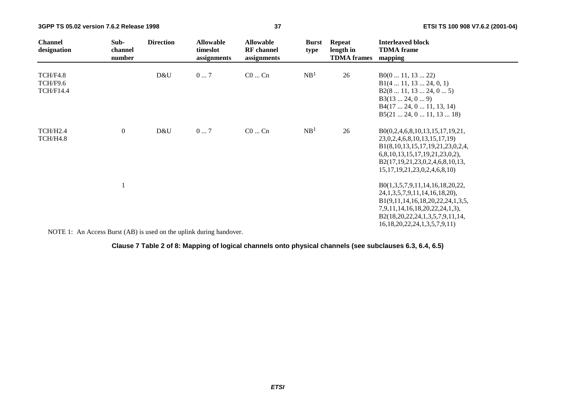| <b>Channel</b><br>designation            | Sub-<br>channel<br>number | <b>Direction</b>                                                                                                                                                                                                                  | <b>Allowable</b><br>timeslot<br>assignments | <b>Allowable</b><br><b>RF</b> channel<br>assignments | <b>Burst</b><br>type | <b>Repeat</b><br>length in<br><b>TDMA</b> frames | <b>Interleaved block</b><br><b>TDMA</b> frame<br>mapping                                                                                                                                                                     |
|------------------------------------------|---------------------------|-----------------------------------------------------------------------------------------------------------------------------------------------------------------------------------------------------------------------------------|---------------------------------------------|------------------------------------------------------|----------------------|--------------------------------------------------|------------------------------------------------------------------------------------------------------------------------------------------------------------------------------------------------------------------------------|
| TCH/F4.8<br>TCH/F9.6<br><b>TCH/F14.4</b> |                           | D&U                                                                                                                                                                                                                               | 07                                          | $C0$ $Cn$                                            | NB <sup>1</sup>      | 26                                               | B0(011, 1322)<br>B1(4 11, 13 24, 0, 1)<br>B2(8 11, 13 24, 0 5)<br>B3(1324, 09)<br>B4(17 24, 0 11, 13, 14)<br>B5(21 24, 0 11, 13 18)                                                                                          |
| TCH/H <sub>2.4</sub><br>TCH/H4.8         | $\boldsymbol{0}$          | D&U                                                                                                                                                                                                                               | 07                                          | $C0$ $Cn$                                            | NB <sup>1</sup>      | 26                                               | B0(0,2,4,6,8,10,13,15,17,19,21,<br>23, 0, 2, 4, 6, 8, 10, 13, 15, 17, 19)<br>B1(8,10,13,15,17,19,21,23,0,2,4,<br>6,8,10,13,15,17,19,21,23,0,2),<br>B2(17,19,21,23,0,2,4,6,8,10,13,<br>15, 17, 19, 21, 23, 0, 2, 4, 6, 8, 10) |
| $\frac{1}{2}$                            |                           | $\mathcal{L}$ and the contract of the contract of the contract of the contract of the contract of the contract of the contract of the contract of the contract of the contract of the contract of the contract of the contract of |                                             |                                                      |                      |                                                  | B0(1,3,5,7,9,11,14,16,18,20,22,<br>24, 1, 3, 5, 7, 9, 11, 14, 16, 18, 20),<br>B1(9,11,14,16,18,20,22,24,1,3,5,<br>7,9,11,14,16,18,20,22,24,1,3),<br>B2(18,20,22,24,1,3,5,7,9,11,14,<br>16, 18, 20, 22, 24, 1, 3, 5, 7, 9, 11 |

NOTE 1: An Access Burst (AB) is used on the uplink during handover.

#### **Clause 7 Table 2 of 8: Mapping of logical channels onto physical channels (see subclauses 6.3, 6.4, 6.5)**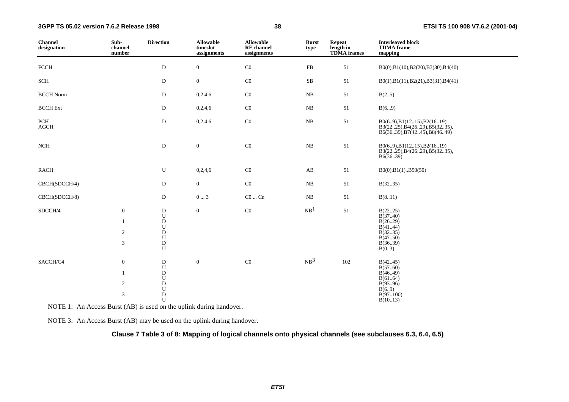| <b>Channel</b><br>designation | Sub-<br>channel<br>number                                            | <b>Direction</b>                                                                             | <b>Allowable</b><br>timeslot<br>assignments | <b>Allowable</b><br><b>RF</b> channel<br>assignments | <b>Burst</b><br>type | <b>Repeat</b><br>length in<br><b>TDMA</b> frames | <b>Interleaved block</b><br><b>TDMA</b> frame<br>mapping                                            |
|-------------------------------|----------------------------------------------------------------------|----------------------------------------------------------------------------------------------|---------------------------------------------|------------------------------------------------------|----------------------|--------------------------------------------------|-----------------------------------------------------------------------------------------------------|
| <b>FCCH</b>                   |                                                                      | $\mathbf D$                                                                                  | $\boldsymbol{0}$                            | $\rm CO$                                             | ${\rm FB}$           | 51                                               | B0(0),B1(10),B2(20),B3(30),B4(40)                                                                   |
| SCH                           |                                                                      | D                                                                                            | $\boldsymbol{0}$                            | $\rm CO$                                             | $\rm SB$             | 51                                               | B0(1),B1(11),B2(21),B3(31),B4(41)                                                                   |
| <b>BCCH Norm</b>              |                                                                      | D                                                                                            | 0,2,4,6                                     | $\rm CO$                                             | ${\bf NB}$           | $51\,$                                           | B(25)                                                                                               |
| <b>BCCH</b> Ext               |                                                                      | D                                                                                            | 0,2,4,6                                     | $\rm CO$                                             | $_{\rm NB}$          | 51                                               | B(69)                                                                                               |
| PCH<br>$\rm AGCH$             |                                                                      | ${\bf D}$                                                                                    | 0,2,4,6                                     | $\rm CO$                                             | $_{\rm NB}$          | $51\,$                                           | $B0(69)$ , $B1(1215)$ , $B2(1619)$<br>B3(2225), B4(2629), B5(3235),<br>B6(3639), B7(4245), B8(4649) |
| NCH                           |                                                                      | ${\bf D}$                                                                                    | $\boldsymbol{0}$                            | $\rm CO$                                             | ${\bf NB}$           | 51                                               | B0(69), B1(1215), B2(1619)<br>B3(2225), B4(2629), B5(3235),<br>B6(36.39)                            |
| <b>RACH</b>                   |                                                                      | U                                                                                            | 0,2,4,6                                     | $\rm CO$                                             | AB                   | 51                                               | $B0(0), B1(1)$ $B50(50)$                                                                            |
| CBCH(SDCCH/4)                 |                                                                      | D                                                                                            | $\overline{0}$                              | $\rm CO$                                             | NB                   | 51                                               | B(3235)                                                                                             |
| CBCH(SDCCH/8)                 |                                                                      | D                                                                                            | $0 \ldots 3$                                | $CO \dots Cn$                                        | NB                   | 51                                               | B(811)                                                                                              |
| SDCCH/4                       | $\boldsymbol{0}$<br>$\mathbf{1}$<br>$\overline{2}$<br>$\mathfrak{Z}$ | ${\bf D}$<br>${\bf U}$<br>${\bf D}$<br>${\bf U}$<br>${\rm D}$<br>${\bf U}$<br>${\rm D}$<br>U | $\boldsymbol{0}$                            | $\rm CO$                                             | NB <sup>1</sup>      | $51\,$                                           | B(2225)<br>B(3740)<br>B(26.29)<br>B(4144)<br>B(3235)<br>B(4750)<br>B(3639)<br>B(03)                 |
| SACCH/C4                      | $\boldsymbol{0}$<br>$\mathbf{1}$<br>$\overline{c}$<br>$\mathfrak{Z}$ | D<br>${\bf U}$<br>${\rm D}$<br>${\bf U}$<br>${\bf D}$<br>${\bf U}$<br>${\bf D}$<br>U         | $\boldsymbol{0}$                            | $\rm CO$                                             | NB <sup>3</sup>      | 102                                              | B(4245)<br>B(5760)<br>B(46.49)<br>B(6164)<br>B(9396)<br>B(6.9)<br>B(97100)<br>B(1013)               |

NOTE 1: An Access Burst (AB) is used on the uplink during handover.

NOTE 3: An Access Burst (AB) may be used on the uplink during handover.

#### **Clause 7 Table 3 of 8: Mapping of logical channels onto physical channels (see subclauses 6.3, 6.4, 6.5)**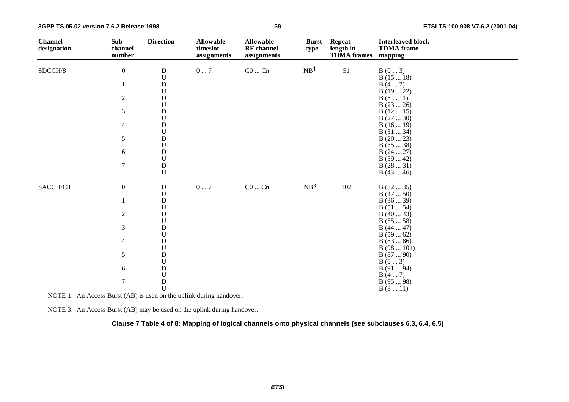| <b>Channel</b><br>designation | Sub-<br>channel<br>number | <b>Direction</b>                       | <b>Allowable</b><br>timeslot<br>assignments | <b>Allowable</b><br><b>RF</b> channel<br>assignments | <b>Burst</b><br>type | <b>Repeat</b><br>length in<br><b>TDMA</b> frames | <b>Interleaved block</b><br><b>TDMA</b> frame<br>mapping |
|-------------------------------|---------------------------|----------------------------------------|---------------------------------------------|------------------------------------------------------|----------------------|--------------------------------------------------|----------------------------------------------------------|
| SDCCH/8                       | $\boldsymbol{0}$          | ${\bf D}$                              | $0 \ldots 7$                                | $C0 \dots Cn$                                        | NB <sup>1</sup>      | 51                                               | B(03)                                                    |
|                               |                           | $\mathbf U$                            |                                             |                                                      |                      |                                                  | B(1518)                                                  |
|                               | $\mathbf{1}$              | ${\rm D}$                              |                                             |                                                      |                      |                                                  | B(47)                                                    |
|                               |                           | $\mathbf U$                            |                                             |                                                      |                      |                                                  | B(1922)                                                  |
|                               | $\sqrt{2}$                | ${\rm D}$                              |                                             |                                                      |                      |                                                  | B(811)                                                   |
|                               |                           | $\ensuremath{\mathbf{U}}$              |                                             |                                                      |                      |                                                  | B(2326)                                                  |
|                               | 3                         | ${\rm D}$                              |                                             |                                                      |                      |                                                  | B(1215)                                                  |
|                               | 4                         | $\ensuremath{\mathbf{U}}$<br>${\bf D}$ |                                             |                                                      |                      |                                                  | B(2730)<br>B(1619)                                       |
|                               |                           | $\ensuremath{\mathbf{U}}$              |                                             |                                                      |                      |                                                  | B(3134)                                                  |
|                               | 5                         | ${\bf D}$                              |                                             |                                                      |                      |                                                  | B(2023)                                                  |
|                               |                           | $\mathbf U$                            |                                             |                                                      |                      |                                                  | B(3538)                                                  |
|                               | 6                         | ${\bf D}$                              |                                             |                                                      |                      |                                                  | B(2427)                                                  |
|                               |                           | ${\bf U}$                              |                                             |                                                      |                      |                                                  | B(3942)                                                  |
|                               | $\tau$                    | ${\rm D}$                              |                                             |                                                      |                      |                                                  | B(2831)                                                  |
|                               |                           | $\mathbf U$                            |                                             |                                                      |                      |                                                  | B(4346)                                                  |
| SACCH/C8                      | $\boldsymbol{0}$          | ${\bf D}$                              | $0\ldots7$                                  | $\rm CO \ldots \rm Cn$                               | NB <sup>3</sup>      | 102                                              | B(3235)                                                  |
|                               |                           | ${\bf U}$                              |                                             |                                                      |                      |                                                  | B(4750)                                                  |
|                               | 1                         | ${\bf D}$                              |                                             |                                                      |                      |                                                  | B(3639)                                                  |
|                               |                           | $\ensuremath{\mathbf{U}}$              |                                             |                                                      |                      |                                                  | B(5154)                                                  |
|                               | $\overline{2}$            | ${\rm D}$                              |                                             |                                                      |                      |                                                  | B(4043)                                                  |
|                               |                           | $\ensuremath{\mathbf{U}}$              |                                             |                                                      |                      |                                                  | B(5558)                                                  |
|                               | 3                         | ${\bf D}$<br>$\mathbf U$               |                                             |                                                      |                      |                                                  | B(4447)                                                  |
|                               | $\overline{4}$            | ${\rm D}$                              |                                             |                                                      |                      |                                                  | B(5962)<br>B(8386)                                       |
|                               |                           | $\ensuremath{\mathbf{U}}$              |                                             |                                                      |                      |                                                  | B(98101)                                                 |
|                               | $\sqrt{5}$                | ${\rm D}$                              |                                             |                                                      |                      |                                                  | B(8790)                                                  |
|                               |                           | ${\bf U}$                              |                                             |                                                      |                      |                                                  | B(03)                                                    |
|                               | 6                         | ${\bf D}$                              |                                             |                                                      |                      |                                                  | B(9194)                                                  |
|                               |                           | ${\bf U}$                              |                                             |                                                      |                      |                                                  | B(47)                                                    |
|                               | $\boldsymbol{7}$          | ${\rm D}$                              |                                             |                                                      |                      |                                                  | B(9598)                                                  |
|                               |                           | $\mathbf U$                            |                                             |                                                      |                      |                                                  | B(811)                                                   |

NOTE 1: An Access Burst (AB) is used on the uplink during handover.

NOTE 3: An Access Burst (AB) may be used on the uplink during handover.

**Clause 7 Table 4 of 8: Mapping of logical channels onto physical channels (see subclauses 6.3, 6.4, 6.5)**

**39**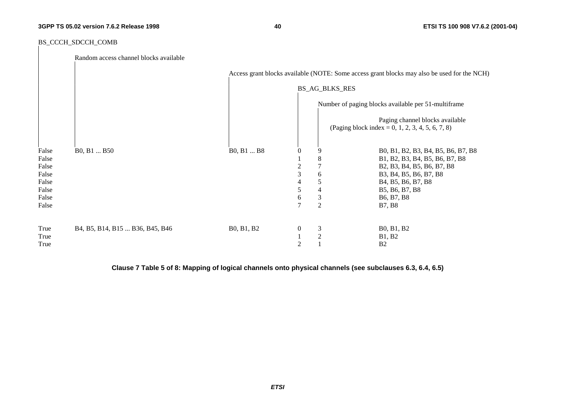**ETSI TS 100 908 V7.6.2 (2001-04)**

#### BS\_CCCH\_SDCCH\_COMB

|                | Random access channel blocks available          |            |                  |                |                                                                                             |
|----------------|-------------------------------------------------|------------|------------------|----------------|---------------------------------------------------------------------------------------------|
|                |                                                 |            |                  |                | Access grant blocks available (NOTE: Some access grant blocks may also be used for the NCH) |
|                |                                                 |            |                  | BS_AG_BLKS_RES |                                                                                             |
|                |                                                 |            |                  |                | Number of paging blocks available per 51-multiframe                                         |
|                |                                                 |            |                  |                | Paging channel blocks available<br>(Paging block index = 0, 1, 2, 3, 4, 5, 6, 7, 8)         |
| False<br>False | B <sub>0</sub> , B <sub>1</sub> B <sub>50</sub> | B0, B1  B8 | $\theta$         | 9<br>$\,8\,$   | B0, B1, B2, B3, B4, B5, B6, B7, B8                                                          |
| False          |                                                 |            | $\overline{c}$   | $\tau$         | B1, B2, B3, B4, B5, B6, B7, B8<br>B2, B3, B4, B5, B6, B7, B8                                |
| False          |                                                 |            | 3                | 6              | B3, B4, B5, B6, B7, B8                                                                      |
| False          |                                                 |            | 4                | 5              | B4, B5, B6, B7, B8                                                                          |
| False          |                                                 |            | 5                | 4              | B5, B6, B7, B8                                                                              |
| False          |                                                 |            | 6                | $\mathfrak{Z}$ | B6, B7, B8                                                                                  |
| False          |                                                 |            | $\tau$           | $\overline{2}$ | <b>B7, B8</b>                                                                               |
| True           | B4, B5, B14, B15  B36, B45, B46                 | B0, B1, B2 | $\boldsymbol{0}$ | $\mathfrak{Z}$ | B0, B1, B2                                                                                  |
| True           |                                                 |            |                  | $\sqrt{2}$     | <b>B1, B2</b>                                                                               |
| True           |                                                 |            | $\overline{2}$   |                | B <sub>2</sub>                                                                              |

**Clause 7 Table 5 of 8: Mapping of logical channels onto physical channels (see subclauses 6.3, 6.4, 6.5)**

**40**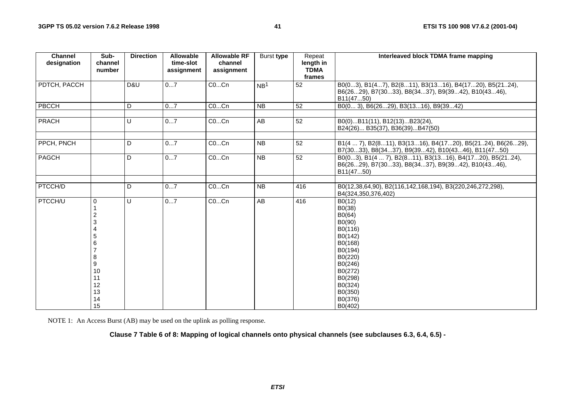| <b>Channel</b><br>designation | Sub-<br>channel                                                                 | <b>Direction</b> | <b>Allowable</b><br>time-slot | <b>Allowable RF</b><br>channel | Burst type      | Repeat<br>length in   | Interleaved block TDMA frame mapping                                                                                                                                     |
|-------------------------------|---------------------------------------------------------------------------------|------------------|-------------------------------|--------------------------------|-----------------|-----------------------|--------------------------------------------------------------------------------------------------------------------------------------------------------------------------|
|                               | number                                                                          |                  | assignment                    | assignment                     |                 | <b>TDMA</b><br>frames |                                                                                                                                                                          |
| PDTCH, PACCH                  |                                                                                 | D&U              | 07                            | COCn                           | NB <sup>1</sup> | 52                    | B0(03), B1(47), B2(811), B3(1316), B4(1720), B5(2124),<br>B6(2629), B7(3033), B8(3437), B9(3942), B10(4346),<br>B11(4750)                                                |
| PBCCH                         |                                                                                 | D                | 07                            | COCn                           | NB              | $\overline{52}$       | B0(0 3), B6(2629), B3(1316), B9(3942)                                                                                                                                    |
| PRACH                         |                                                                                 | U                | 07                            | COCn                           | AB              | 52                    | B0(0)B11(11), B12(13)B23(24),<br>B24(26) B35(37), B36(39)B47(50)                                                                                                         |
| PPCH, PNCH                    |                                                                                 | D                | 07                            | COCn                           | <b>NB</b>       | 52                    | B1(4  7), B2(811), B3(1316), B4(1720), B5(2124), B6(2629),<br>B7(3033), B8(3437), B9(3942), B10(4346), B11(4750)                                                         |
| PAGCH                         |                                                                                 | D                | 07                            | COCn                           | <b>NB</b>       | 52                    | B0(03), B1(4  7), B2(811), B3(1316), B4(1720), B5(2124),<br>B6(2629), B7(3033), B8(3437), B9(3942), B10(4346),<br>B11(4750)                                              |
| <b>PTCCH/D</b>                |                                                                                 | D                | 07                            | COCn                           | <b>NB</b>       | 416                   | B0(12,38,64,90), B2(116,142,168,194), B3(220,246,272,298),<br>B4(324,350,376,402)                                                                                        |
| <b>PTCCH/U</b>                | $\Omega$<br>2<br>3<br>4<br>5<br>6<br>8<br>9<br>10<br>11<br>12<br>13<br>14<br>15 | U                | 07                            | COCn                           | AB              | 416                   | B0(12)<br>B0(38)<br>B0(64)<br>B0(90)<br>B0(116)<br>B0(142)<br>B0(168)<br>B0(194)<br>B0(220)<br>B0(246)<br>B0(272)<br>B0(298)<br>B0(324)<br>B0(350)<br>B0(376)<br>B0(402) |

NOTE 1: An Access Burst (AB) may be used on the uplink as polling response.

**Clause 7 Table 6 of 8: Mapping of logical channels onto physical channels (see subclauses 6.3, 6.4, 6.5) -**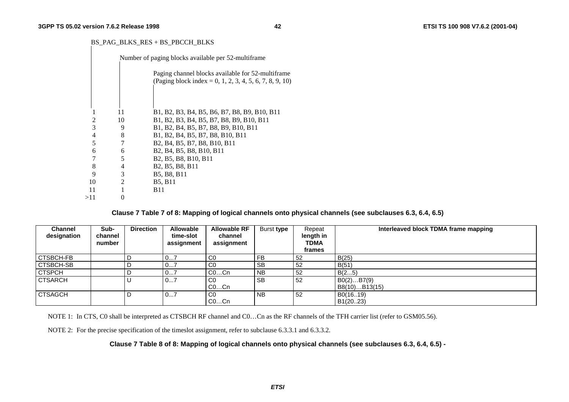#### BS\_PAG\_BLKS\_RES + BS\_PBCCH\_BLKS

|     |                             | Number of paging blocks available per 52-multiframe                                                                    |
|-----|-----------------------------|------------------------------------------------------------------------------------------------------------------------|
|     |                             | Paging channel blocks available for 52-multiframe<br>(Paging block index = 0, 1, 2, 3, 4, 5, 6, 7, 8, 9, 10)           |
|     |                             |                                                                                                                        |
|     | 11                          | B1, B2, B3, B4, B5, B6, B7, B8, B9, B10, B11                                                                           |
| 2   | 10                          | B1, B2, B3, B4, B5, B7, B8, B9, B10, B11                                                                               |
| 3   | 9                           | B1, B2, B4, B5, B7, B8, B9, B10, B11                                                                                   |
| 4   | 8                           | B1, B2, B4, B5, B7, B8, B10, B11                                                                                       |
| 5   |                             | B <sub>2</sub> , B <sub>4</sub> , B <sub>5</sub> , B <sub>7</sub> , B <sub>8</sub> , B <sub>10</sub> , B <sub>11</sub> |
| 6   | 6                           | B <sub>2</sub> , B <sub>4</sub> , B <sub>5</sub> , B <sub>8</sub> , B <sub>10</sub> , B <sub>11</sub>                  |
|     | 5                           | B <sub>2</sub> , B <sub>5</sub> , B <sub>8</sub> , B <sub>10</sub> , B <sub>11</sub>                                   |
| 8   | 4                           | B <sub>2</sub> , B <sub>5</sub> , B <sub>8</sub> , B <sub>11</sub>                                                     |
| 9   | 3                           | B5, B8, B11                                                                                                            |
| 10  | $\mathcal{D}_{\mathcal{L}}$ | <b>B5, B11</b>                                                                                                         |
| 11  |                             | B11                                                                                                                    |
| >11 |                             |                                                                                                                        |
|     |                             |                                                                                                                        |

**Clause 7 Table 7 of 8: Mapping of logical channels onto physical channels (see subclauses 6.3, 6.4, 6.5)**

| Channel<br>designation | Sub-<br>channel<br>number | <b>Direction</b> | <b>Allowable</b><br>time-slot<br>assignment | <b>Allowable RF</b><br>channel<br>assignment | Burst type | Repeat<br>length in<br><b>TDMA</b><br>frames | Interleaved block TDMA frame mapping |
|------------------------|---------------------------|------------------|---------------------------------------------|----------------------------------------------|------------|----------------------------------------------|--------------------------------------|
| <b>CTSBCH-FB</b>       |                           |                  | 01                                          | CO                                           | <b>FB</b>  | 52                                           | B(25)                                |
| CTSBCH-SB              |                           |                  | 07                                          | C <sub>0</sub>                               | <b>SB</b>  | 52                                           | B(51)                                |
| <b>CTSPCH</b>          |                           |                  | 07                                          | $CO$ Cn                                      | <b>NB</b>  | 52                                           | B(25)                                |
| <b>CTSARCH</b>         |                           |                  | 07                                          | CO                                           | <b>SB</b>  | 52                                           | B0(2)B7(9)                           |
|                        |                           |                  |                                             | $CO$ Cn                                      |            |                                              | B8(10)B13(15)                        |
| <b>CTSAGCH</b>         |                           |                  | 07                                          | CO                                           | <b>NB</b>  | 52                                           | B0(1619)                             |
|                        |                           |                  |                                             | $CO$ Cn                                      |            |                                              | B1(2023)                             |

NOTE 1: In CTS, C0 shall be interpreted as CTSBCH RF channel and C0...Cn as the RF channels of the TFH carrier list (refer to GSM05.56).

NOTE 2: For the precise specification of the timeslot assignment, refer to subclause 6.3.3.1 and 6.3.3.2.

**Clause 7 Table 8 of 8: Mapping of logical channels onto physical channels (see subclauses 6.3, 6.4, 6.5) -**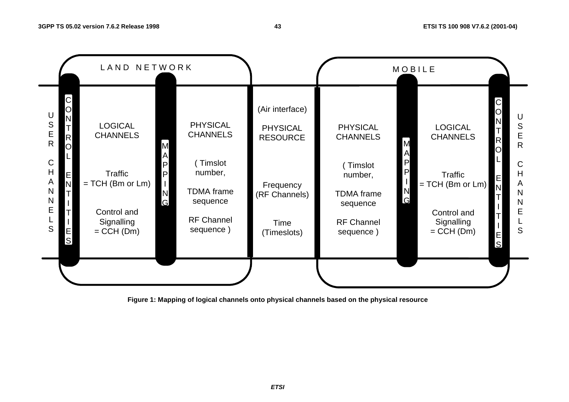

**43**

**Figure 1: Mapping of logical channels onto physical channels based on the physical resource**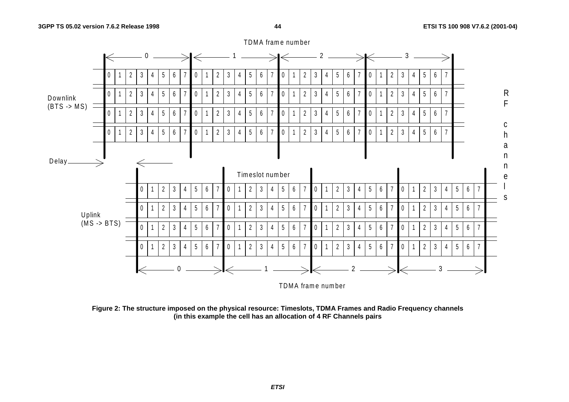

**Figure 2: The structure imposed on the physical resource: Timeslots, TDMA Frames and Radio Frequency channels (in this example the cell has an allocation of 4 RF Channels pairs**

TDMA frame number

**44**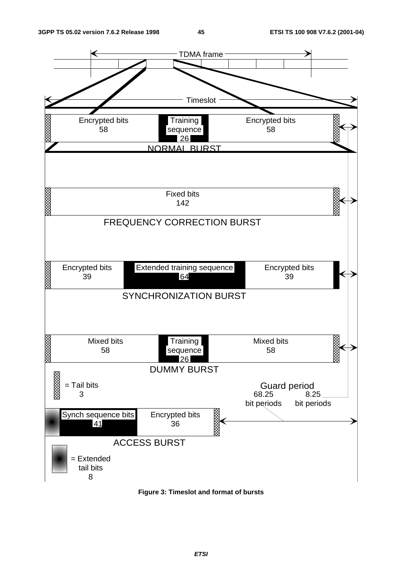

**Figure 3: Timeslot and format of bursts**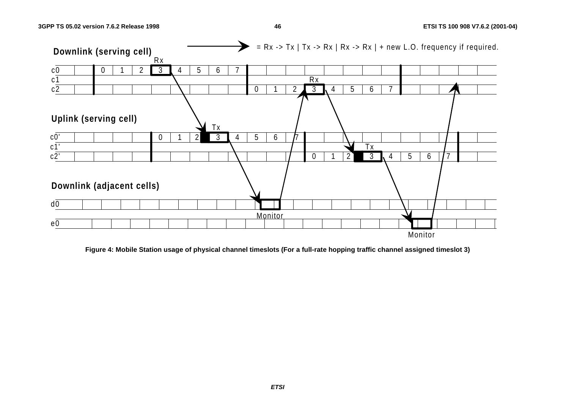

**46**

**Figure 4: Mobile Station usage of physical channel timeslots (For a full-rate hopping traffic channel assigned timeslot 3)**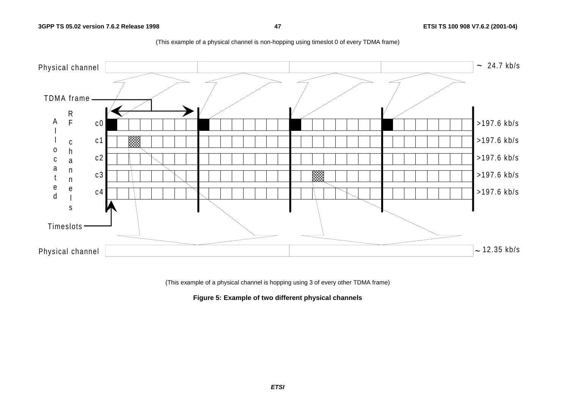

(This example of a physical channel is non-hopping using timeslot 0 of every TDMA frame)

(This example of a physical channel is hopping using 3 of every other TDMA frame)

**Figure 5: Example of two different physical channels**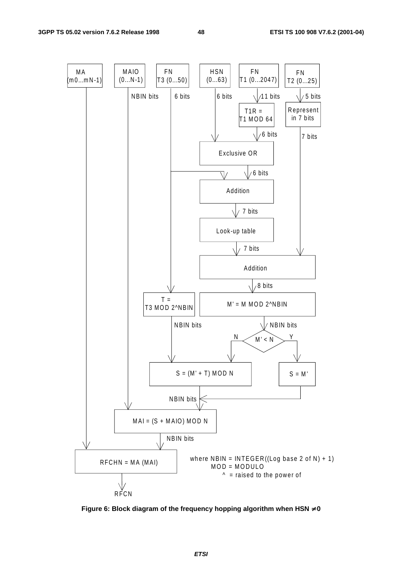

**Figure 6: Block diagram of the frequency hopping algorithm when HSN** ≠ **0**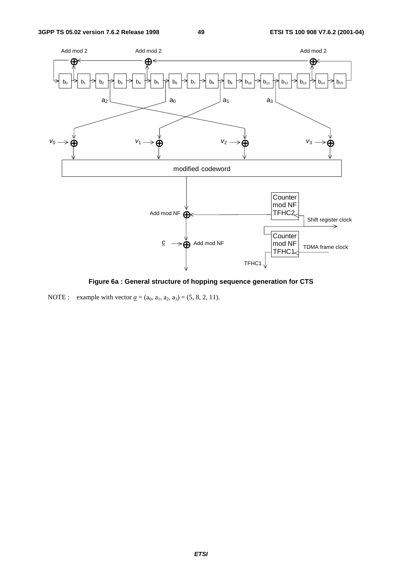

**Figure 6a : General structure of hopping sequence generation for CTS**

NOTE : example with vector  $\underline{a} = (a_0, a_1, a_2, a_3) = (5, 8, 2, 11)$ .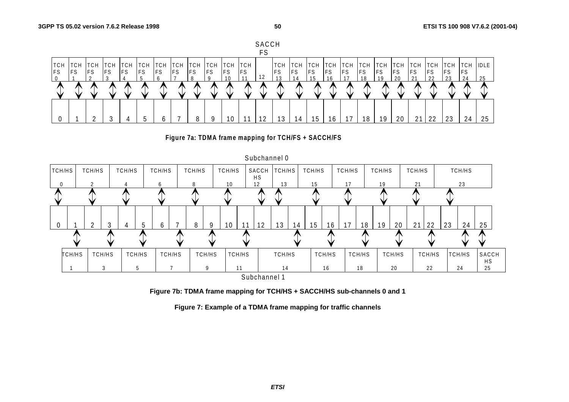







**Figure 7b: TDMA frame mapping for TCH/HS + SACCH/HS sub-channels 0 and 1**

**Figure 7: Example of a TDMA frame mapping for traffic channels**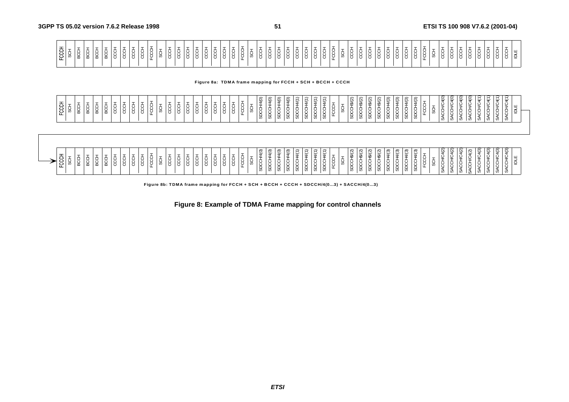| ' ਨੁ ਼                                                                                                                                                                                                                                                                                                                         |  |
|--------------------------------------------------------------------------------------------------------------------------------------------------------------------------------------------------------------------------------------------------------------------------------------------------------------------------------|--|
| $2^{\circ}$                                                                                                                                                                                                                                                                                                                    |  |
|                                                                                                                                                                                                                                                                                                                                |  |
|                                                                                                                                                                                                                                                                                                                                |  |
|                                                                                                                                                                                                                                                                                                                                |  |
|                                                                                                                                                                                                                                                                                                                                |  |
|                                                                                                                                                                                                                                                                                                                                |  |
|                                                                                                                                                                                                                                                                                                                                |  |
|                                                                                                                                                                                                                                                                                                                                |  |
|                                                                                                                                                                                                                                                                                                                                |  |
|                                                                                                                                                                                                                                                                                                                                |  |
| ျပာ                                                                                                                                                                                                                                                                                                                            |  |
| . O I                                                                                                                                                                                                                                                                                                                          |  |
|                                                                                                                                                                                                                                                                                                                                |  |
|                                                                                                                                                                                                                                                                                                                                |  |
|                                                                                                                                                                                                                                                                                                                                |  |
|                                                                                                                                                                                                                                                                                                                                |  |
|                                                                                                                                                                                                                                                                                                                                |  |
|                                                                                                                                                                                                                                                                                                                                |  |
| $\frac{1}{2}$ , $\frac{1}{2}$ , $\frac{1}{2}$ , $\frac{1}{2}$ , $\frac{1}{2}$ , $\frac{1}{2}$ , $\frac{1}{2}$ , $\frac{1}{2}$ , $\frac{1}{2}$ , $\frac{1}{2}$ , $\frac{1}{2}$ , $\frac{1}{2}$ , $\frac{1}{2}$ , $\frac{1}{2}$ , $\frac{1}{2}$ , $\frac{1}{2}$ , $\frac{1}{2}$ , $\frac{1}{2}$ , $\frac{1$<br>18 18 18 18 18 18 |  |
|                                                                                                                                                                                                                                                                                                                                |  |
| ∣ ග                                                                                                                                                                                                                                                                                                                            |  |
|                                                                                                                                                                                                                                                                                                                                |  |
| 18 I 8 '                                                                                                                                                                                                                                                                                                                       |  |
|                                                                                                                                                                                                                                                                                                                                |  |
| 1 U I U I U                                                                                                                                                                                                                                                                                                                    |  |
| ا ب                                                                                                                                                                                                                                                                                                                            |  |
| 1010                                                                                                                                                                                                                                                                                                                           |  |
|                                                                                                                                                                                                                                                                                                                                |  |
|                                                                                                                                                                                                                                                                                                                                |  |
|                                                                                                                                                                                                                                                                                                                                |  |
|                                                                                                                                                                                                                                                                                                                                |  |
|                                                                                                                                                                                                                                                                                                                                |  |
|                                                                                                                                                                                                                                                                                                                                |  |
|                                                                                                                                                                                                                                                                                                                                |  |
|                                                                                                                                                                                                                                                                                                                                |  |
|                                                                                                                                                                                                                                                                                                                                |  |
|                                                                                                                                                                                                                                                                                                                                |  |
|                                                                                                                                                                                                                                                                                                                                |  |
|                                                                                                                                                                                                                                                                                                                                |  |
|                                                                                                                                                                                                                                                                                                                                |  |
|                                                                                                                                                                                                                                                                                                                                |  |
| ັບ                                                                                                                                                                                                                                                                                                                             |  |
|                                                                                                                                                                                                                                                                                                                                |  |
|                                                                                                                                                                                                                                                                                                                                |  |
| :   ㅎ   ㅎ   ㅎ   ㅎ   ㅎ                                                                                                                                                                                                                                                                                                          |  |
|                                                                                                                                                                                                                                                                                                                                |  |
|                                                                                                                                                                                                                                                                                                                                |  |
|                                                                                                                                                                                                                                                                                                                                |  |
|                                                                                                                                                                                                                                                                                                                                |  |
|                                                                                                                                                                                                                                                                                                                                |  |

**Figure 8a: TDMA frame mapping for FCCH + SCH + BCCH + CCCH**

**51**

| $\sim$<br>$\widehat{\sigma}$<br>$\sim$<br>ි<br>$\overline{\phantom{0}}$<br>$\overline{\phantom{0}}$<br>$\sim$<br>$\overline{\phantom{0}}$<br>ন<br>$\overline{\phantom{0}}$<br>$\overline{\phantom{0}}$<br>$\overline{\phantom{0}}$<br>$\overline{\phantom{0}}$<br>∽<br>$\sim$<br>$\sim$<br>$\sigma$<br>$\sigma$<br>। ಅ<br>ੲ<br>. U<br>ت ا<br>$\ddot{\phantom{1}}$<br>U<br>└<br>ت<br>$\tilde{}$<br>$\check{ }$<br>$\checkmark$<br>$\check{ }$<br>$\checkmark$<br>-<br>-<br>$\div$<br>$\boldsymbol{\vartheta}$<br>↮<br>ᅩ<br>မာ<br>$\overline{\phantom{0}}$<br>$\overline{\phantom{a}}$<br>$\epsilon$<br>◡<br>È<br>∽<br>ັ<br>ັ<br>ັ<br>ີ<br>ັ<br>ີ<br>ັ<br>È<br>ັ<br>ີ<br>÷.<br>. .<br>∣ ≠<br>ີ<br>л.<br>$\overline{\phantom{a}}$<br>$\sim$<br>$\cdot$ $\cdot$<br>л.<br>$\cdot$<br>$\check{ }$<br>. .<br>$\mathbf{v}$<br>$\cdot$<br>. .<br>. .<br>◡<br>$\mathbf{v}$<br>ີ<br>. .<br>л.<br><b>S</b><br>ີ<br>◡<br>Ø<br>$\sim$<br>ັບ<br>ட<br>ᅚ<br>u<br>ັ<br>$\overline{\phantom{0}}$<br>ш<br>. ب<br>◡<br>◡<br>ີ<br>◡<br>Ë<br>◡<br>ີ<br>ີ<br>ີ<br>ັ<br>ъ.<br>ີ<br>ີ<br>ັ<br>ັ<br>$\checkmark$<br>ັ<br>$\check{ }$<br>ັ<br>ີ<br>ັ<br>் ட<br>╭<br>$\overline{\phantom{0}}$<br>∸<br>◡<br>-<br>ᆸ<br>−<br>−<br>−<br>╺<br>-<br>ၯ<br>' ທ<br>ၯ<br>ၯ<br>$\overline{\phantom{a}}$<br>ဖ<br><b>S</b><br>U)<br>ິ<br>ັບ<br>ັບ<br>v,<br>ັບ<br>ັບ<br>v | $\circ$<br>$\sim$<br>$\overline{\phantom{0}}$<br>$\overline{\phantom{0}}$<br>∽<br>$\sim$<br>ৼ<br>ఆ<br>ັ<br>$\tilde{}$<br>$\tilde{}$<br>$\tilde{}$<br>$\check{ }$<br>ت<br>$\overline{t}$<br>O<br>$\lambda$<br>ັ<br>ັ<br>ັ<br>∼<br>◡<br>◡<br>ັ<br>-<br>_<br>ັ<br>ັ<br>ີ<br>л.<br>◡<br>ີ<br>$\cdots$<br>$\sim$<br>-<br>⊻<br>ഗ<br>võ<br>Ø<br>Ø<br>ິທ<br>ניט<br>ັບ |
|--------------------------------------------------------------------------------------------------------------------------------------------------------------------------------------------------------------------------------------------------------------------------------------------------------------------------------------------------------------------------------------------------------------------------------------------------------------------------------------------------------------------------------------------------------------------------------------------------------------------------------------------------------------------------------------------------------------------------------------------------------------------------------------------------------------------------------------------------------------------------------------------------------------------------------------------------------------------------------------------------------------------------------------------------------------------------------------------------------------------------------------------------------------------------------------------------------------------------------------------------------------------------------------------------------------------------------|---------------------------------------------------------------------------------------------------------------------------------------------------------------------------------------------------------------------------------------------------------------------------------------------------------------------------------------------------------------|
|--------------------------------------------------------------------------------------------------------------------------------------------------------------------------------------------------------------------------------------------------------------------------------------------------------------------------------------------------------------------------------------------------------------------------------------------------------------------------------------------------------------------------------------------------------------------------------------------------------------------------------------------------------------------------------------------------------------------------------------------------------------------------------------------------------------------------------------------------------------------------------------------------------------------------------------------------------------------------------------------------------------------------------------------------------------------------------------------------------------------------------------------------------------------------------------------------------------------------------------------------------------------------------------------------------------------------------|---------------------------------------------------------------------------------------------------------------------------------------------------------------------------------------------------------------------------------------------------------------------------------------------------------------------------------------------------------------|



**Figure 8b: TDMA frame mapping for FCCH + SCH + BCCH + CCCH + SDCCH/4(0...3) + SACCH/4(0...3)**

**Figure 8: Example of TDMA Frame mapping for control channels**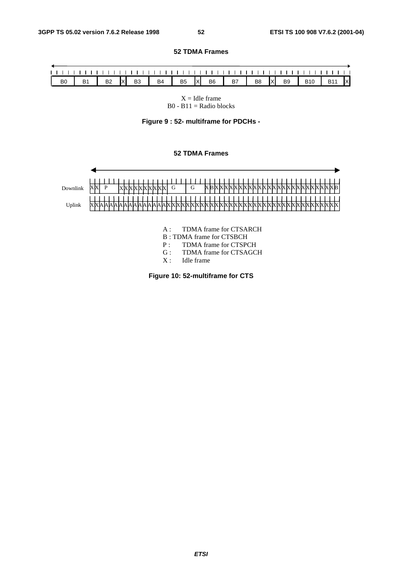#### **52 TDMA Frames**

| B1 B2 X B3 B4 B5 X B6 B7 B8 X B9 B10 B11 X |                |  |  |  |  |  |  |  |  |
|--------------------------------------------|----------------|--|--|--|--|--|--|--|--|
|                                            |                |  |  |  |  |  |  |  |  |
|                                            | B <sub>0</sub> |  |  |  |  |  |  |  |  |



**Figure 9 : 52- multiframe for PDCHs -**

#### **52 TDMA Frames**



- A : TDMA frame for CTSARCH
- B : TDMA frame for CTSBCH
- P : TDMA frame for CTSPCH
- G : TDMA frame for CTSAGCH
- X : Idle frame

**Figure 10: 52-multiframe for CTS**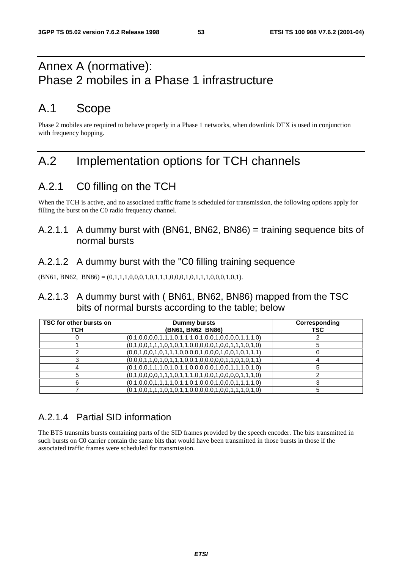# Annex A (normative): Phase 2 mobiles in a Phase 1 infrastructure

# A.1 Scope

Phase 2 mobiles are required to behave properly in a Phase 1 networks, when downlink DTX is used in conjunction with frequency hopping.

# A.2 Implementation options for TCH channels

# A.2.1 C0 filling on the TCH

When the TCH is active, and no associated traffic frame is scheduled for transmission, the following options apply for filling the burst on the C0 radio frequency channel.

### A.2.1.1 A dummy burst with (BN61, BN62, BN86) = training sequence bits of normal bursts

### A.2.1.2 A dummy burst with the "C0 filling training sequence

 $(BN61, BN62, BN86) = (0,1,1,1,0,0,0,1,0,1,1,1,0,0,0,1,0,1,1,1,0,0,0,1,0,1).$ 

### A.2.1.3 A dummy burst with ( BN61, BN62, BN86) mapped from the TSC bits of normal bursts according to the table; below

| TSC for other bursts on<br>тсн | Dummy bursts<br>(BN61, BN62 BN86)                       | Corresponding<br><b>TSC</b> |
|--------------------------------|---------------------------------------------------------|-----------------------------|
|                                | $(0,1,0,0,0,0,1,1,1,0,1,1,1,0,1,0,0,1,0,0,0,0,1,1,1,0)$ |                             |
|                                | $(0,1,0,0,1,1,1,0,1,0,1,1,0,0,0,0,0,1,0,0,1,1,1,0,1,0)$ |                             |
|                                | $(0,0,1,0,0,1,0,1,1,1,0,0,0,0,1,0,0,0,1,0,0,1,0,1,1)$   |                             |
|                                | $(0,0,0,1,1,0,1,0,1,1,1,0,0,1,0,0,0,0,1,1,0,1,0,1,1)$   |                             |
|                                | $(0,1,0,0,1,1,1,0,1,0,1,1,0,0,0,0,0,1,0,0,1,1,1,0,1,0)$ |                             |
|                                | $(0,1,0,0,0,0,1,1,1,0,1,1,1,0,1,0,0,1,0,0,0,0,1,1,1,0)$ |                             |
|                                | $(0,1,0,0,0,1,1,1,1,0,1,1,0,1,0,0,0,1,0,0,0,1,1,1,1,0)$ |                             |
|                                | $(0,1,0,0,1,1,1,0,1,0,1,1,0,0,0,0,0,1,0,0,1,1,1,0,1,0)$ |                             |

### A.2.1.4 Partial SID information

The BTS transmits bursts containing parts of the SID frames provided by the speech encoder. The bits transmitted in such bursts on C0 carrier contain the same bits that would have been transmitted in those bursts in those if the associated traffic frames were scheduled for transmission.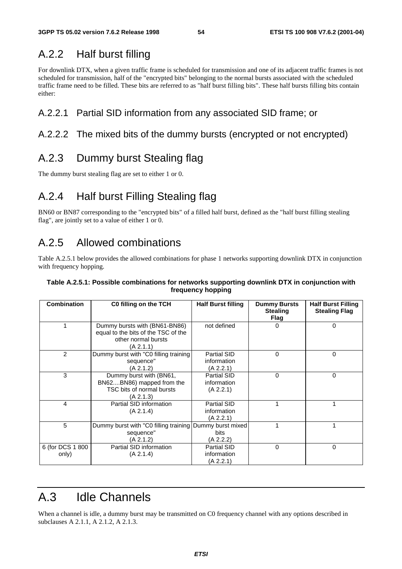## A.2.2 Half burst filling

For downlink DTX, when a given traffic frame is scheduled for transmission and one of its adjacent traffic frames is not scheduled for transmission, half of the "encrypted bits" belonging to the normal bursts associated with the scheduled traffic frame need to be filled. These bits are referred to as "half burst filling bits". These half bursts filling bits contain either:

### A.2.2.1 Partial SID information from any associated SID frame; or

### A.2.2.2 The mixed bits of the dummy bursts (encrypted or not encrypted)

### A.2.3 Dummy burst Stealing flag

The dummy burst stealing flag are set to either 1 or 0.

## A.2.4 Half burst Filling Stealing flag

BN60 or BN87 corresponding to the "encrypted bits" of a filled half burst, defined as the "half burst filling stealing flag", are jointly set to a value of either 1 or 0.

## A.2.5 Allowed combinations

Table A.2.5.1 below provides the allowed combinations for phase 1 networks supporting downlink DTX in conjunction with frequency hopping.

#### **Table A.2.5.1: Possible combinations for networks supporting downlink DTX in conjunction with frequency hopping**

| <b>Combination</b>        | C0 filling on the TCH                                                                                    | <b>Half Burst filling</b>                      | <b>Dummy Bursts</b><br><b>Stealing</b><br><b>Flag</b> | <b>Half Burst Filling</b><br><b>Stealing Flag</b> |
|---------------------------|----------------------------------------------------------------------------------------------------------|------------------------------------------------|-------------------------------------------------------|---------------------------------------------------|
|                           | Dummy bursts with (BN61-BN86)<br>equal to the bits of the TSC of the<br>other normal bursts<br>(A 2.1.1) | not defined                                    | 0                                                     | $\Omega$                                          |
| 2                         | Dummy burst with "C0 filling training<br>sequence"<br>(A 2.1.2)                                          | Partial SID<br>information<br>(A 2.2.1)        | $\Omega$                                              | 0                                                 |
| 3                         | Dummy burst with (BN61,<br>BN62BN86) mapped from the<br>TSC bits of normal bursts<br>(A 2.1.3)           | <b>Partial SID</b><br>information<br>(A 2.2.1) | 0                                                     | 0                                                 |
| 4                         | Partial SID information<br>(A 2.1.4)                                                                     | Partial SID<br>information<br>(A 2.2.1)        |                                                       |                                                   |
| 5                         | Dummy burst with "C0 filling training Dummy burst mixed<br>sequence"<br>(A 2.1.2)                        | <b>bits</b><br>(A 2.2.2)                       |                                                       |                                                   |
| 6 (for DCS 1 800<br>only) | Partial SID information<br>(A 2.1.4)                                                                     | <b>Partial SID</b><br>information<br>(A 2.2.1) | $\Omega$                                              | 0                                                 |

# A.3 Idle Channels

When a channel is idle, a dummy burst may be transmitted on C0 frequency channel with any options described in subclauses A 2.1.1, A 2.1.2, A 2.1.3.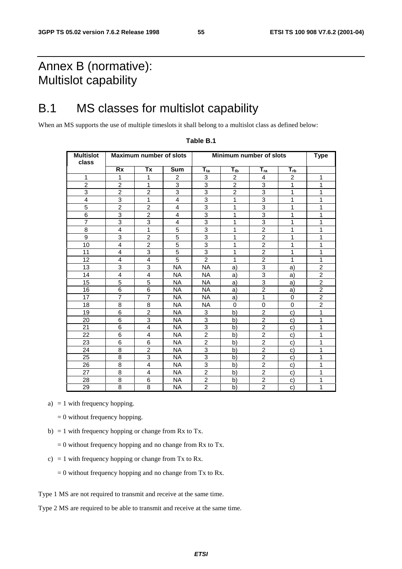# Annex B (normative): Multislot capability

# B.1 MS classes for multislot capability

When an MS supports the use of multiple timeslots it shall belong to a multislot class as defined below:

| <b>Multislot</b><br>class |                         | <b>Maximum number of slots</b> |                | Minimum number of slots | <b>Type</b>    |                |                |                |
|---------------------------|-------------------------|--------------------------------|----------------|-------------------------|----------------|----------------|----------------|----------------|
|                           | <b>Rx</b>               | Tx                             | <b>Sum</b>     | $\overline{T_{ta}}$     | $T_{tb}$       | $T_{ra}$       | $T_{rb}$       |                |
| 1                         | 1                       | 1                              | 2              | 3                       | $\overline{c}$ | 4              | $\overline{c}$ | 1              |
| $\overline{c}$            | $\overline{2}$          | 1                              | 3              | 3                       | $\overline{2}$ | 3              | 1              | 1              |
| 3                         | $\overline{2}$          | $\overline{2}$                 | 3              | 3                       | $\overline{2}$ | 3              | 1              | 1              |
| 4                         | 3                       | $\mathbf{1}$                   | 4              | 3                       | 1              | 3              | 1              | 1              |
| 5                         | $\overline{2}$          | $\overline{2}$                 | 4              | 3                       | 1              | 3              | 1              | 1              |
| 6                         | 3                       | $\overline{2}$                 | 4              | 3                       | 1              | 3              | 1              | 1              |
| $\overline{7}$            | 3                       | 3                              | 4              | 3                       | 1              | 3              | 1              | 1              |
| 8                         | 4                       | $\mathbf{1}$                   | 5              | 3                       | 1              | $\overline{2}$ | 1              | 1              |
| 9                         | 3                       | $\overline{2}$                 | $\overline{5}$ | 3                       | 1              | $\overline{2}$ | 1              | 1              |
| 10                        | $\overline{\mathbf{4}}$ | $\overline{2}$                 | 5              | 3                       | 1              | $\overline{2}$ | 1              | 1              |
| 11                        | 4                       | 3                              | 5              | 3                       | 1              | $\overline{2}$ | 1              | 1              |
| 12                        | 4                       | 4                              | 5              | $\overline{2}$          | 1              | $\overline{2}$ | 1              | 1              |
| 13                        | 3                       | 3                              | <b>NA</b>      | <b>NA</b>               | a)             | 3              | a)             | $\overline{c}$ |
| 14                        | 4                       | $\overline{\mathbf{4}}$        | <b>NA</b>      | <b>NA</b>               | a)             | 3              | a)             | $\overline{c}$ |
| 15                        | 5                       | 5                              | <b>NA</b>      | <b>NA</b>               | a)             | 3              | a)             | $\overline{2}$ |
| 16                        | 6                       | 6                              | <b>NA</b>      | <b>NA</b>               | a)             | $\overline{2}$ | a)             | $\overline{2}$ |
| 17                        | $\overline{7}$          | $\overline{7}$                 | <b>NA</b>      | NA                      | a)             | 1              | 0              | $\overline{2}$ |
| 18                        | 8                       | 8                              | NA.            | NA.                     | 0              | 0              | 0              | $\overline{2}$ |
| $\overline{19}$           | $\overline{6}$          | $\overline{2}$                 | <b>NA</b>      | 3                       | b)             | $\overline{2}$ | C)             | 1              |
| 20                        | 6                       | 3                              | <b>NA</b>      | 3                       | b)             | $\overline{c}$ | C)             | 1              |
| 21                        | 6                       | 4                              | <b>NA</b>      | 3                       | b)             | $\overline{c}$ | C)             | 1              |
| 22                        | 6                       | 4                              | <b>NA</b>      | $\overline{2}$          | b)             | $\overline{2}$ | C)             | 1              |
| 23                        | 6                       | 6                              | <b>NA</b>      | $\overline{2}$          | b)             | $\overline{2}$ | C)             | 1              |
| 24                        | 8                       | $\overline{2}$                 | NA.            | 3                       | b)             | $\overline{2}$ | C)             | 1              |
| 25                        | 8                       | 3                              | <b>NA</b>      | 3                       | b)             | $\overline{2}$ | C)             | 1              |
| 26                        | 8                       | 4                              | <b>NA</b>      | 3                       | b)             | $\overline{c}$ | C)             | 1              |
| 27                        | 8                       | 4                              | <b>NA</b>      | $\overline{2}$          | b)             | $\overline{2}$ | C)             | 1              |
| 28                        | 8                       | 6                              | <b>NA</b>      | $\overline{2}$          | b)             | $\overline{2}$ | C)             | 1              |
| 29                        | 8                       | 8                              | <b>NA</b>      | $\overline{2}$          | b)             | $\overline{2}$ | $\mathbf{C}$   | 1              |

#### **Table B.1**

a)  $= 1$  with frequency hopping.

 $= 0$  without frequency hopping.

- b) = 1 with frequency hopping or change from Rx to Tx.
	- $= 0$  without frequency hopping and no change from Rx to Tx.
- c) = 1 with frequency hopping or change from Tx to Rx.
	- $= 0$  without frequency hopping and no change from Tx to Rx.
- Type 1 MS are not required to transmit and receive at the same time.

Type 2 MS are required to be able to transmit and receive at the same time.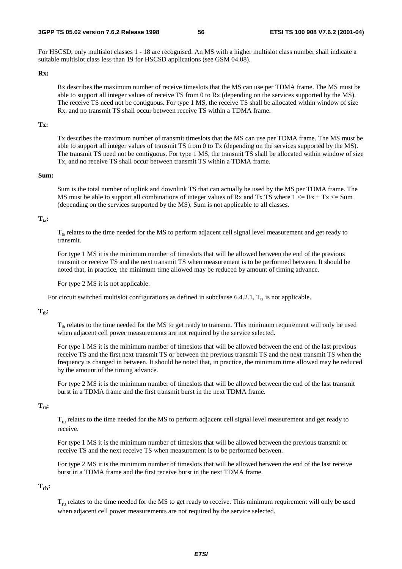For HSCSD, only multislot classes 1 - 18 are recognised. An MS with a higher multislot class number shall indicate a suitable multislot class less than 19 for HSCSD applications (see GSM 04.08).

#### **Rx:**

Rx describes the maximum number of receive timeslots that the MS can use per TDMA frame. The MS must be able to support all integer values of receive TS from 0 to Rx (depending on the services supported by the MS). The receive TS need not be contiguous. For type 1 MS, the receive TS shall be allocated within window of size Rx, and no transmit TS shall occur between receive TS within a TDMA frame.

#### **Tx:**

Tx describes the maximum number of transmit timeslots that the MS can use per TDMA frame. The MS must be able to support all integer values of transmit TS from 0 to Tx (depending on the services supported by the MS). The transmit TS need not be contiguous. For type 1 MS, the transmit TS shall be allocated within window of size Tx, and no receive TS shall occur between transmit TS within a TDMA frame.

#### **Sum:**

Sum is the total number of uplink and downlink TS that can actually be used by the MS per TDMA frame. The MS must be able to support all combinations of integer values of Rx and Tx TS where  $1 \leq Rx + Tx \leq Sum$ (depending on the services supported by the MS). Sum is not applicable to all classes.

#### $T_{\text{ta}}$ :

 $T<sub>ta</sub>$  relates to the time needed for the MS to perform adjacent cell signal level measurement and get ready to transmit.

For type 1 MS it is the minimum number of timeslots that will be allowed between the end of the previous transmit or receive TS and the next transmit TS when measurement is to be performed between. It should be noted that, in practice, the minimum time allowed may be reduced by amount of timing advance.

For type 2 MS it is not applicable.

For circuit switched multislot configurations as defined in subclause 6.4.2.1,  $T_a$  is not applicable.

#### $T_{\text{th}}$ :

 $T_{th}$  relates to the time needed for the MS to get ready to transmit. This minimum requirement will only be used when adjacent cell power measurements are not required by the service selected.

For type 1 MS it is the minimum number of timeslots that will be allowed between the end of the last previous receive TS and the first next transmit TS or between the previous transmit TS and the next transmit TS when the frequency is changed in between. It should be noted that, in practice, the minimum time allowed may be reduced by the amount of the timing advance.

For type 2 MS it is the minimum number of timeslots that will be allowed between the end of the last transmit burst in a TDMA frame and the first transmit burst in the next TDMA frame.

#### **Tra:**

 $T_{ra}$  relates to the time needed for the MS to perform adjacent cell signal level measurement and get ready to receive.

For type 1 MS it is the minimum number of timeslots that will be allowed between the previous transmit or receive TS and the next receive TS when measurement is to be performed between.

For type 2 MS it is the minimum number of timeslots that will be allowed between the end of the last receive burst in a TDMA frame and the first receive burst in the next TDMA frame.

#### **Trb:**

 $T_{\text{rh}}$  relates to the time needed for the MS to get ready to receive. This minimum requirement will only be used when adjacent cell power measurements are not required by the service selected.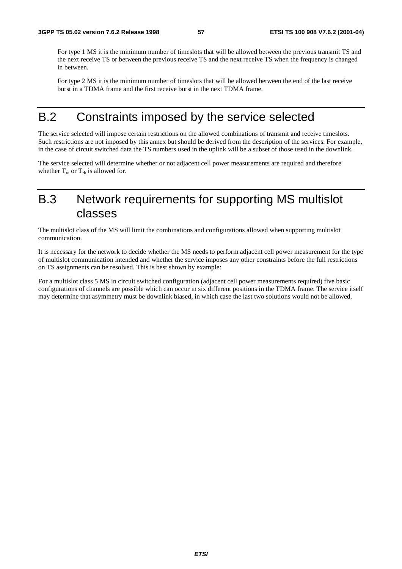For type 1 MS it is the minimum number of timeslots that will be allowed between the previous transmit TS and the next receive TS or between the previous receive TS and the next receive TS when the frequency is changed in between.

For type 2 MS it is the minimum number of timeslots that will be allowed between the end of the last receive burst in a TDMA frame and the first receive burst in the next TDMA frame.

# B.2 Constraints imposed by the service selected

The service selected will impose certain restrictions on the allowed combinations of transmit and receive timeslots. Such restrictions are not imposed by this annex but should be derived from the description of the services. For example, in the case of circuit switched data the TS numbers used in the uplink will be a subset of those used in the downlink.

The service selected will determine whether or not adjacent cell power measurements are required and therefore whether  $T_{ra}$  or  $T_{rb}$  is allowed for.

# B.3 Network requirements for supporting MS multislot classes

The multislot class of the MS will limit the combinations and configurations allowed when supporting multislot communication.

It is necessary for the network to decide whether the MS needs to perform adjacent cell power measurement for the type of multislot communication intended and whether the service imposes any other constraints before the full restrictions on TS assignments can be resolved. This is best shown by example:

For a multislot class 5 MS in circuit switched configuration (adjacent cell power measurements required) five basic configurations of channels are possible which can occur in six different positions in the TDMA frame. The service itself may determine that asymmetry must be downlink biased, in which case the last two solutions would not be allowed.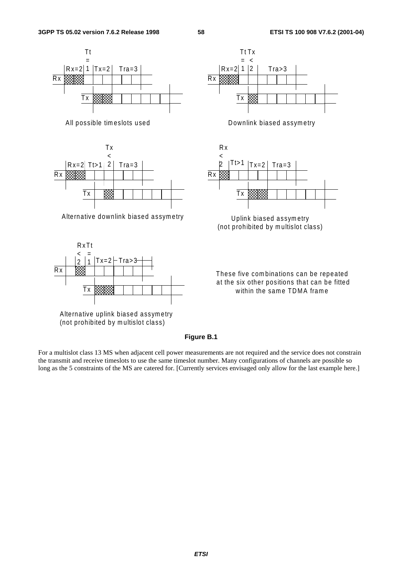



(not prohibited by m ultislot class)







(not prohibited by multislot class)

These five combinations can be repeated at the six other positions that can be fitted within the same TDMA frame

#### **Figure B.1**

For a multislot class 13 MS when adjacent cell power measurements are not required and the service does not constrain the transmit and receive timeslots to use the same timeslot number. Many configurations of channels are possible so long as the 5 constraints of the MS are catered for. [Currently services envisaged only allow for the last example here.]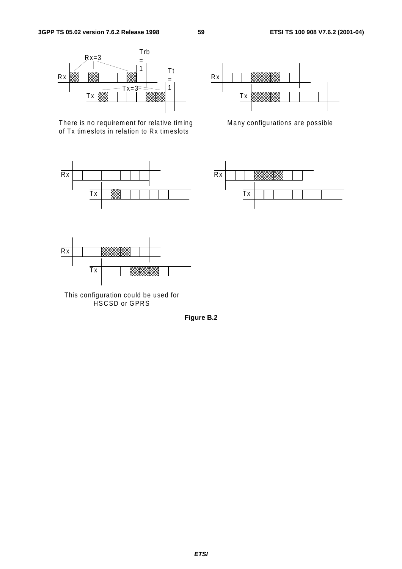

There is no requirement for relative timing of Tx tim eslots in relation to Rx tim eslots





Many configurations are possible





This configuration could be used for HSCSD or GPRS

**Figure B.2**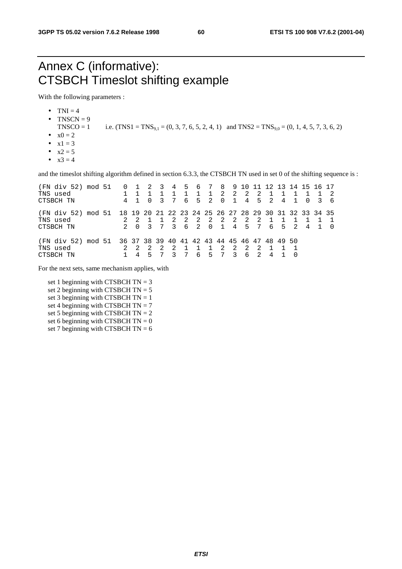# Annex C (informative): CTSBCH Timeslot shifting example

With the following parameters :

- $\bullet$  TNI = 4
- TNSCN  $= 9$ 
	- TNSCO = 1 i.e.  $(TNS1 = TNS_{9,1} = (0, 3, 7, 6, 5, 2, 4, 1)$  and  $TNS2 = TNS_{9,0} = (0, 1, 4, 5, 7, 3, 6, 2)$
- $x0 = 2$
- $x1 = 3$
- $x2 = 5$
- $x^3 = 4$

and the timeslot shifting algorithm defined in section 6.3.3, the CTSBCH TN used in set 0 of the shifting sequence is :

| (FN div 52) mod 51<br>TNS used<br>CTSBCH TN                                                       |  | $0\quad 1$     | -2<br>$\Omega$ | $\overline{\mathbf{3}}$<br>3 | 7      | 4 5 6 7<br>6        |                     | $\overline{1}$<br>$5\quad 2$ | $\Omega$            | 8 9 10 11 12 13 14 15 16 17<br>2 2<br>$\overline{1}$ | $\overline{2}$          | 2<br>45               | 2     | 4 |     | $\Omega$ | 3 | - 6 |
|---------------------------------------------------------------------------------------------------|--|----------------|----------------|------------------------------|--------|---------------------|---------------------|------------------------------|---------------------|------------------------------------------------------|-------------------------|-----------------------|-------|---|-----|----------|---|-----|
| (FN div 52) mod 51 18 19 20 21 22 23 24 25 26 27 28 29 30 31 32 33 34 35<br>TNS used<br>CTSBCH TN |  | $\overline{0}$ | 3              |                              | 2<br>3 | $\overline{2}$<br>6 | $\overline{2}$<br>2 | $\overline{0}$               | $\overline{1}$      | 2 2 2                                                | $\overline{2}$<br>4 5 7 | -2                    | 6 5 2 |   |     | 4        |   |     |
| (FN div 52) mod 51 36 37 38 39 40 41 42 43 44 45 46 47 48 49 50<br>TNS used<br>CTSBCH TN          |  | 4              |                |                              | 2      |                     | 6                   | .5                           | $\overline{2}$<br>7 | 2<br>3                                               | $\overline{2}$<br>6     | -2.<br>$\overline{2}$ | 4     |   | - 0 |          |   |     |

For the next sets, same mechanism applies, with

set 1 beginning with CTSBCH  $TN = 3$ set 2 beginning with CTSBCH  $TN = 5$ set 3 beginning with CTSBCH  $TN = 1$ set 4 beginning with CTSBCH  $TN = 7$ set 5 beginning with CTSBCH  $TN = 2$ set 6 beginning with CTSBCH  $TN = 0$ set 7 beginning with CTSBCH  $TN = 6$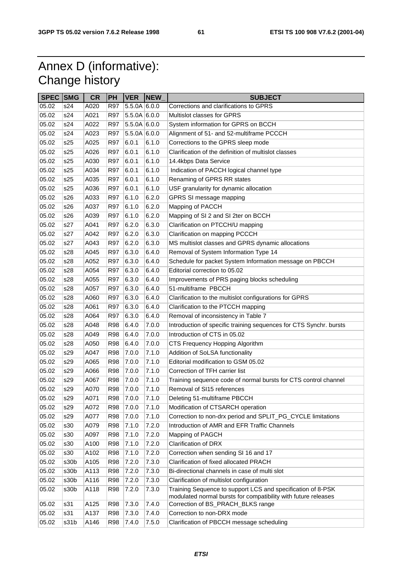**61 ETSI TS 100 908 V7.6.2 (2001-04)**

# Annex D (informative): Change history

| <b>SPEC SMG</b> |      | <b>CR</b> | PH         | <b>VER</b>   | <b>NEW</b> | <b>SUBJECT</b>                                                     |
|-----------------|------|-----------|------------|--------------|------------|--------------------------------------------------------------------|
| 05.02           | s24  | A020      | <b>R97</b> | 5.5.0A 6.0.0 |            | Corrections and clarifications to GPRS                             |
| 05.02           | s24  | A021      | <b>R97</b> | 5.5.0A 6.0.0 |            | Multislot classes for GPRS                                         |
| 05.02           | s24  | A022      | <b>R97</b> | 5.5.0A 6.0.0 |            | System information for GPRS on BCCH                                |
| 05.02           | s24  | A023      | <b>R97</b> | 5.5.0A 6.0.0 |            | Alignment of 51- and 52-multiframe PCCCH                           |
| 05.02           | s25  | A025      | <b>R97</b> | 6.0.1        | 6.1.0      | Corrections to the GPRS sleep mode                                 |
| 05.02           | s25  | A026      | <b>R97</b> | 6.0.1        | 6.1.0      | Clarification of the definition of multislot classes               |
| 05.02           | s25  | A030      | <b>R97</b> | 6.0.1        | 6.1.0      | 14.4kbps Data Service                                              |
| 05.02           | s25  | A034      | <b>R97</b> | 6.0.1        | 6.1.0      | Indication of PACCH logical channel type                           |
| 05.02           | s25  | A035      | <b>R97</b> | 6.0.1        | 6.1.0      | Renaming of GPRS RR states                                         |
| 05.02           | s25  | A036      | <b>R97</b> | 6.0.1        | 6.1.0      | USF granularity for dynamic allocation                             |
| 05.02           | s26  | A033      | <b>R97</b> | 6.1.0        | 6.2.0      | GPRS SI message mapping                                            |
| 05.02           | s26  | A037      | <b>R97</b> | 6.1.0        | 6.2.0      | Mapping of PACCH                                                   |
| 05.02           | s26  | A039      | <b>R97</b> | 6.1.0        | 6.2.0      | Mapping of SI 2 and SI 2ter on BCCH                                |
| 05.02           | s27  | A041      | <b>R97</b> | 6.2.0        | 6.3.0      | Clarification on PTCCH/U mapping                                   |
| 05.02           | s27  | A042      | <b>R97</b> | 6.2.0        | 6.3.0      | Clarification on mapping PCCCH                                     |
| 05.02           | s27  | A043      | <b>R97</b> | 6.2.0        | 6.3.0      | MS multislot classes and GPRS dynamic allocations                  |
| 05.02           | s28  | A045      | <b>R97</b> | 6.3.0        | 6.4.0      | Removal of System Information Type 14                              |
| 05.02           | s28  | A052      | <b>R97</b> | 6.3.0        | 6.4.0      | Schedule for packet System Information message on PBCCH            |
| 05.02           | s28  | A054      | <b>R97</b> | 6.3.0        | 6.4.0      | Editorial correction to 05.02                                      |
| 05.02           | s28  | A055      | <b>R97</b> | 6.3.0        | 6.4.0      | Improvements of PRS paging blocks scheduling                       |
| 05.02           | s28  | A057      | <b>R97</b> | 6.3.0        | 6.4.0      | 51-multiframe PBCCH                                                |
| 05.02           | s28  | A060      | <b>R97</b> | 6.3.0        | 6.4.0      | Clarification to the multislot configurations for GPRS             |
| 05.02           | s28  | A061      | <b>R97</b> | 6.3.0        | 6.4.0      | Clarification to the PTCCH mapping                                 |
| 05.02           | s28  | A064      | <b>R97</b> | 6.3.0        | 6.4.0      | Removal of inconsistency in Table 7                                |
| 05.02           | s28  | A048      | <b>R98</b> | 6.4.0        | 7.0.0      | Introduction of specific training sequences for CTS Synchr. bursts |
| 05.02           | s28  | A049      | <b>R98</b> | 6.4.0        | 7.0.0      | Introduction of CTS in 05.02                                       |
| 05.02           | s28  | A050      | <b>R98</b> | 6.4.0        | 7.0.0      | CTS Frequency Hopping Algorithm                                    |
| 05.02           | s29  | A047      | <b>R98</b> | 7.0.0        | 7.1.0      | Addition of SoLSA functionality                                    |
| 05.02           | s29  | A065      | <b>R98</b> | 7.0.0        | 7.1.0      | Editorial modification to GSM 05.02                                |
| 05.02           | s29  | A066      | <b>R98</b> | 7.0.0        | 7.1.0      | Correction of TFH carrier list                                     |
| 05.02           | s29  | A067      | <b>R98</b> | 7.0.0        | 7.1.0      | Training sequence code of normal bursts for CTS control channel    |
| 05.02           | s29  | A070      | <b>R98</b> | 7.0.0        | 7.1.0      | Removal of SI15 references                                         |
| 05.02           | s29  | A071      | <b>R98</b> | 7.0.0        | 7.1.0      | Deleting 51-multiframe PBCCH                                       |
| 05.02           | s29  | A072      | <b>R98</b> | 7.0.0        | 7.1.0      | Modification of CTSARCH operation                                  |
| 05.02           | s29  | A077      | <b>R98</b> | 7.0.0        | 7.1.0      | Correction to non-drx period and SPLIT_PG_CYCLE limitations        |
| 05.02           | s30  | A079      | <b>R98</b> | 7.1.0        | 7.2.0      | Introduction of AMR and EFR Traffic Channels                       |
| 05.02           | s30  | A097      | <b>R98</b> | 7.1.0        | 7.2.0      | Mapping of PAGCH                                                   |
| 05.02           | s30  | A100      | <b>R98</b> | 7.1.0        | 7.2.0      | <b>Clarification of DRX</b>                                        |
| 05.02           | s30  | A102      | <b>R98</b> | 7.1.0        | 7.2.0      | Correction when sending SI 16 and 17                               |
| 05.02           | s30b | A105      | <b>R98</b> | 7.2.0        | 7.3.0      | Clarification of fixed allocated PRACH                             |
| 05.02           | s30b | A113      | <b>R98</b> | 7.2.0        | 7.3.0      | Bi-directional channels in case of multi slot                      |
| 05.02           | s30b | A116      | <b>R98</b> | 7.2.0        | 7.3.0      | Clarification of multislot configuration                           |
| 05.02           | s30b | A118      | <b>R98</b> | 7.2.0        | 7.3.0      | Training Sequence to support LCS and specification of 8-PSK        |
|                 |      |           |            |              |            | modulated normal bursts for compatibility with future releases     |
| 05.02           | s31  | A125      | <b>R98</b> | 7.3.0        | 7.4.0      | Correction of BS_PRACH_BLKS range                                  |
| 05.02           | s31  | A137      | <b>R98</b> | 7.3.0        | 7.4.0      | Correction to non-DRX mode                                         |
| 05.02           | s31b | A146      | <b>R98</b> | 7.4.0        | 7.5.0      | Clarification of PBCCH message scheduling                          |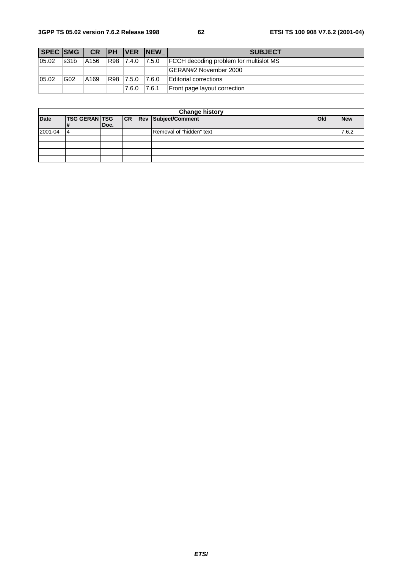| SPEC SMG |      |      |            | <b>CR PH VER NEW</b> |       | <b>SUBJECT</b>                                |
|----------|------|------|------------|----------------------|-------|-----------------------------------------------|
| 05.02    | s31b | A156 | R98        | 7.4.0                | 7.5.0 | <b>FCCH</b> decoding problem for multislot MS |
|          |      |      |            |                      |       | GERAN#2 November 2000                         |
| 05.02    | GG2  | A169 | <b>R98</b> | $\vert 7.5.0 \vert$  | 7.6.0 | Editorial corrections                         |
|          |      |      |            | 7.6.0                | 7.6.1 | Front page layout correction                  |

| <b>Change history</b> |                            |      |    |  |                            |              |            |  |
|-----------------------|----------------------------|------|----|--|----------------------------|--------------|------------|--|
| <b>Date</b>           | <b>TSG GERAN TSG</b><br>1# | Doc. | CR |  | <b>Rev Subject/Comment</b> | <b>l</b> Old | <b>New</b> |  |
| 2001-04               | 14                         |      |    |  | Removal of "hidden" text   |              | 7.6.2      |  |
|                       |                            |      |    |  |                            |              |            |  |
|                       |                            |      |    |  |                            |              |            |  |
|                       |                            |      |    |  |                            |              |            |  |
|                       |                            |      |    |  |                            |              |            |  |